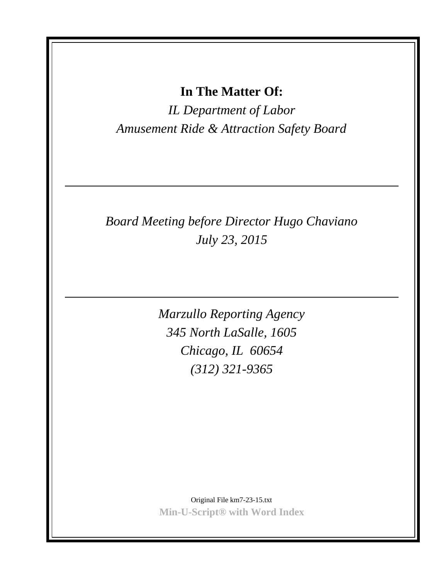**In The Matter Of:**

*IL Department of Labor Amusement Ride & Attraction Safety Board*

## *Board Meeting before Director Hugo Chaviano July 23, 2015*

*Marzullo Reporting Agency 345 North LaSalle, 1605 Chicago, IL 60654 (312) 321-9365*

Original File km7-23-15.txt **Min-U-Script® with Word Index**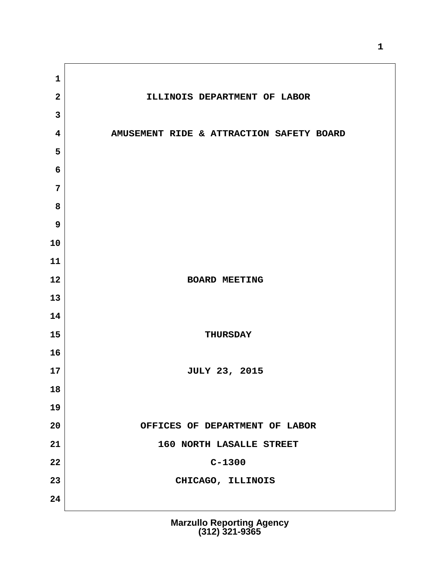**2 ILLINOIS DEPARTMENT OF LABOR 4 AMUSEMENT RIDE & ATTRACTION SAFETY BOARD** BOARD MEETING 15 THURSDAY **17 JULY 23, 2015 20 OFFICES OF DEPARTMENT OF LABOR 21 160 NORTH LASALLE STREET** C-1300 **23 CHICAGO, ILLINOIS**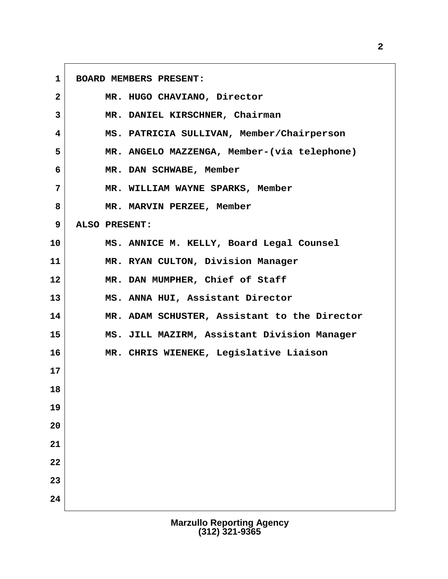**1 BOARD MEMBERS PRESENT: 2 MR. HUGO CHAVIANO, Director 3 MR. DANIEL KIRSCHNER, Chairman 4 MS. PATRICIA SULLIVAN, Member/Chairperson 5 MR. ANGELO MAZZENGA, Member-(via telephone) 6 MR. DAN SCHWABE, Member 7 MR. WILLIAM WAYNE SPARKS, Member 8 MR. MARVIN PERZEE, Member 9 ALSO PRESENT: 10 MS. ANNICE M. KELLY, Board Legal Counsel 11 MR. RYAN CULTON, Division Manager 12 MR. DAN MUMPHER, Chief of Staff 13 MS. ANNA HUI, Assistant Director 14 MR. ADAM SCHUSTER, Assistant to the Director 15 MS. JILL MAZIRM, Assistant Division Manager 16 MR. CHRIS WIENEKE, Legislative Liaison 17 18 19 20 21 22 23 24**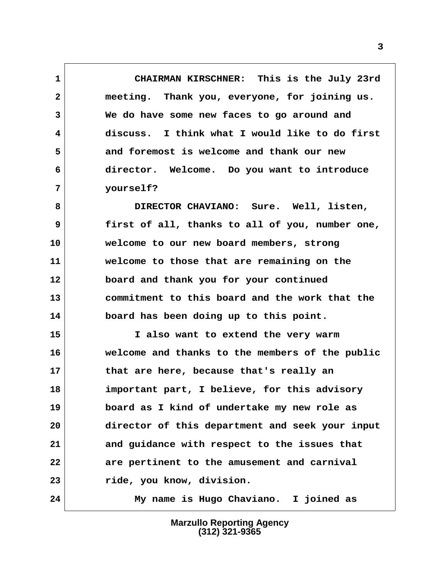**1 CHAIRMAN KIRSCHNER: This is the July 23rd 2 meeting. Thank you, everyone, for joining us. 3 We do have some new faces to go around and 4 discuss. I think what I would like to do first 5 and foremost is welcome and thank our new 6 director. Welcome. Do you want to introduce 7 yourself?**

 **8 DIRECTOR CHAVIANO: Sure. Well, listen, 9 first of all, thanks to all of you, number one, 10 welcome to our new board members, strong 11 welcome to those that are remaining on the 12 board and thank you for your continued 13 commitment to this board and the work that the 14 board has been doing up to this point.**

**15 I also want to extend the very warm 16 welcome and thanks to the members of the public 17 that are here, because that's really an 18 important part, I believe, for this advisory 19 board as I kind of undertake my new role as 20 director of this department and seek your input 21 and guidance with respect to the issues that 22 are pertinent to the amusement and carnival 23 ride, you know, division.**

**24 My name is Hugo Chaviano. I joined as**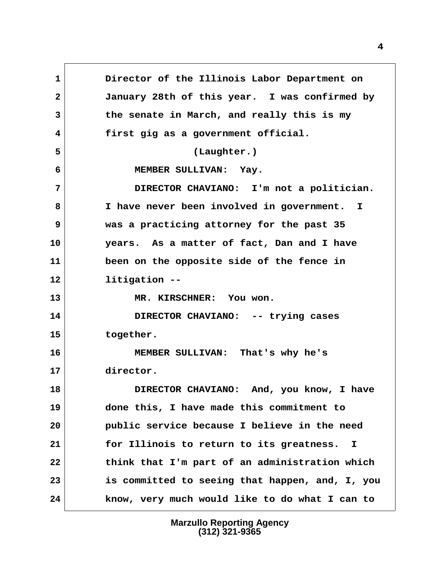**1 Director of the Illinois Labor Department on 2 January 28th of this year. I was confirmed by 3 the senate in March, and really this is my 4 first gig as a government official. 5 (Laughter.) 6 MEMBER SULLIVAN: Yay. 7 DIRECTOR CHAVIANO: I'm not a politician. 8 I have never been involved in government. I 9 was a practicing attorney for the past 35 10 years. As a matter of fact, Dan and I have 11 been on the opposite side of the fence in 12 litigation -- 13 MR. KIRSCHNER: You won. 14 DIRECTOR CHAVIANO: -- trying cases 15 together. 16 MEMBER SULLIVAN: That's why he's 17 director. 18 DIRECTOR CHAVIANO: And, you know, I have 19 done this, I have made this commitment to 20 public service because I believe in the need 21 for Illinois to return to its greatness. I 22 think that I'm part of an administration which 23 is committed to seeing that happen, and, I, you 24 know, very much would like to do what I can to**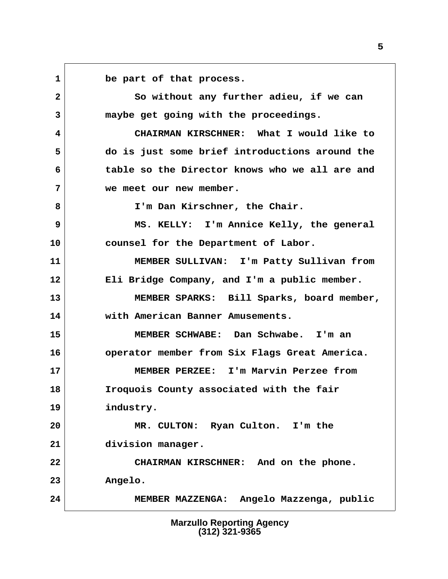**1 be part of that process.**

 **2 So without any further adieu, if we can 3 maybe get going with the proceedings.**

 **4 CHAIRMAN KIRSCHNER: What I would like to 5 do is just some brief introductions around the 6 table so the Director knows who we all are and 7 we meet our new member.**

 **8 I'm Dan Kirschner, the Chair.**

 **9 MS. KELLY: I'm Annice Kelly, the general 10 counsel for the Department of Labor.**

**11 MEMBER SULLIVAN: I'm Patty Sullivan from 12 Eli Bridge Company, and I'm a public member.**

**13 MEMBER SPARKS: Bill Sparks, board member, 14 with American Banner Amusements.**

**15 MEMBER SCHWABE: Dan Schwabe. I'm an 16 operator member from Six Flags Great America.**

**17 MEMBER PERZEE: I'm Marvin Perzee from 18 Iroquois County associated with the fair**

**19 industry.**

**20 MR. CULTON: Ryan Culton. I'm the 21 division manager.**

**22 CHAIRMAN KIRSCHNER: And on the phone. 23 Angelo.**

**24 MEMBER MAZZENGA: Angelo Mazzenga, public**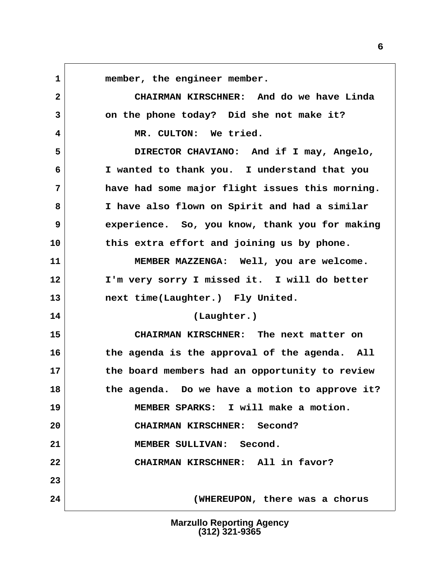**1 member, the engineer member. 2 CHAIRMAN KIRSCHNER: And do we have Linda 3 on the phone today? Did she not make it? 4 MR. CULTON: We tried. 5 DIRECTOR CHAVIANO: And if I may, Angelo, 6 I wanted to thank you. I understand that you 7 have had some major flight issues this morning. 8 I have also flown on Spirit and had a similar 9 experience. So, you know, thank you for making 10 this extra effort and joining us by phone. 11 MEMBER MAZZENGA: Well, you are welcome. 12 I'm very sorry I missed it. I will do better 13 next time(Laughter.) Fly United. 14 (Laughter.) 15 CHAIRMAN KIRSCHNER: The next matter on 16 the agenda is the approval of the agenda. All 17 the board members had an opportunity to review 18 the agenda. Do we have a motion to approve it? 19 MEMBER SPARKS: I will make a motion. 20 CHAIRMAN KIRSCHNER: Second? 21 MEMBER SULLIVAN: Second. 22 CHAIRMAN KIRSCHNER: All in favor? 23 24 (WHEREUPON, there was a chorus**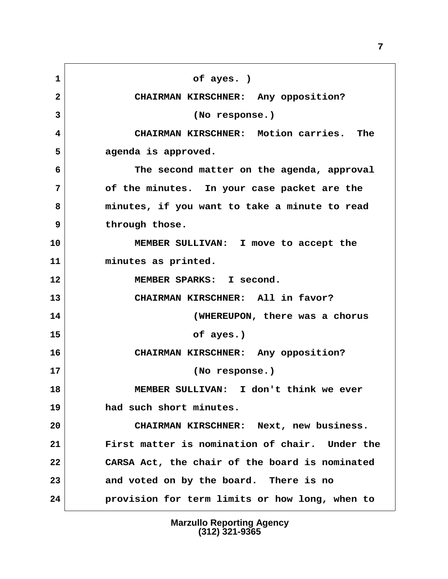1 of ayes. )  **2 CHAIRMAN KIRSCHNER: Any opposition? 3 (No response.) 4 CHAIRMAN KIRSCHNER: Motion carries. The 5 agenda is approved. 6 The second matter on the agenda, approval 7 of the minutes. In your case packet are the 8 minutes, if you want to take a minute to read 9 through those. 10 MEMBER SULLIVAN: I move to accept the 11 minutes as printed. 12 MEMBER SPARKS: I second. 13 CHAIRMAN KIRSCHNER: All in favor? 14 (WHEREUPON, there was a chorus 15 of ayes.) 16 CHAIRMAN KIRSCHNER: Any opposition? 17 (No response.) 18 MEMBER SULLIVAN: I don't think we ever 19 had such short minutes. 20 CHAIRMAN KIRSCHNER: Next, new business. 21 First matter is nomination of chair. Under the 22 CARSA Act, the chair of the board is nominated 23 and voted on by the board. There is no 24 provision for term limits or how long, when to**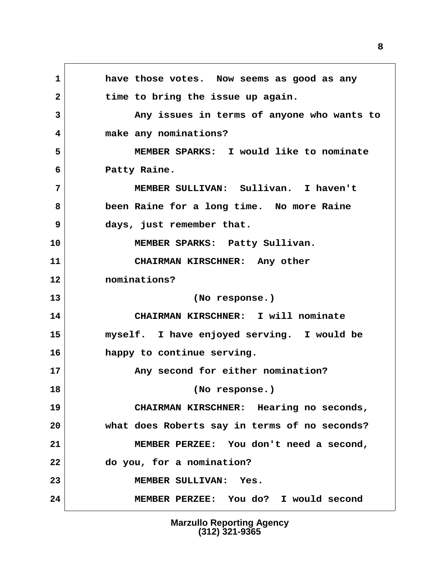**1 have those votes. Now seems as good as any** 2 time to bring the issue up again.  **3 Any issues in terms of anyone who wants to 4 make any nominations? 5 MEMBER SPARKS: I would like to nominate 6 Patty Raine. 7 MEMBER SULLIVAN: Sullivan. I haven't 8 been Raine for a long time. No more Raine 9 days, just remember that. 10 MEMBER SPARKS: Patty Sullivan. 11 CHAIRMAN KIRSCHNER: Any other 12 nominations? 13 (No response.) 14 CHAIRMAN KIRSCHNER: I will nominate 15 myself. I have enjoyed serving. I would be 16 happy to continue serving. 17 Any second for either nomination? 18 (No response.) 19 CHAIRMAN KIRSCHNER: Hearing no seconds, 20 what does Roberts say in terms of no seconds? 21 MEMBER PERZEE: You don't need a second, 22 do you, for a nomination? 23 MEMBER SULLIVAN: Yes. 24 MEMBER PERZEE: You do? I would second**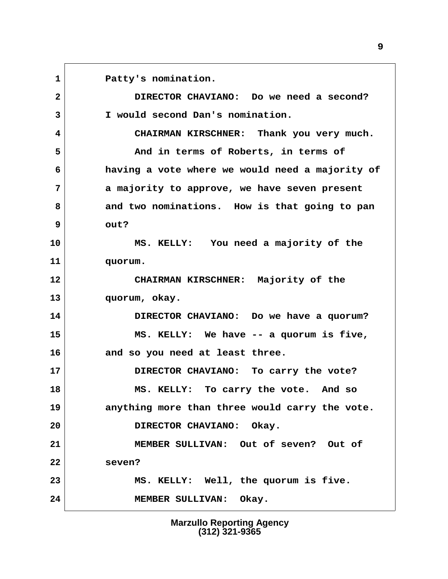**1 Patty's nomination. 2 DIRECTOR CHAVIANO: Do we need a second? 3 I would second Dan's nomination. 4 CHAIRMAN KIRSCHNER: Thank you very much. 5 And in terms of Roberts, in terms of 6 having a vote where we would need a majority of 7 a majority to approve, we have seven present 8 and two nominations. How is that going to pan 9 out? 10 MS. KELLY: You need a majority of the 11 quorum. 12 CHAIRMAN KIRSCHNER: Majority of the 13 quorum, okay. 14 DIRECTOR CHAVIANO: Do we have a quorum? 15 MS. KELLY: We have -- a quorum is five, 16 and so you need at least three. 17 DIRECTOR CHAVIANO: To carry the vote? 18 MS. KELLY: To carry the vote. And so 19 anything more than three would carry the vote. 20 DIRECTOR CHAVIANO: Okay. 21 MEMBER SULLIVAN: Out of seven? Out of 22 seven? 23 MS. KELLY: Well, the quorum is five. 24 MEMBER SULLIVAN: Okay.**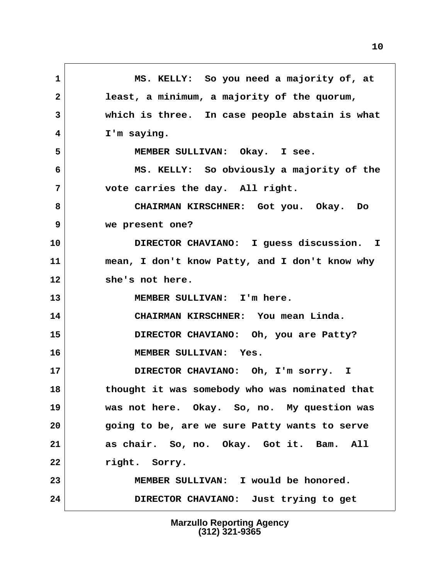**1 MS. KELLY: So you need a majority of, at 2 least, a minimum, a majority of the quorum, 3 which is three. In case people abstain is what 4 I'm saying. 5 MEMBER SULLIVAN: Okay. I see. 6 MS. KELLY: So obviously a majority of the 7 vote carries the day. All right. 8 CHAIRMAN KIRSCHNER: Got you. Okay. Do 9 we present one? 10 DIRECTOR CHAVIANO: I guess discussion. I 11 mean, I don't know Patty, and I don't know why 12 she's not here. 13 MEMBER SULLIVAN: I'm here. 14 CHAIRMAN KIRSCHNER: You mean Linda. 15 DIRECTOR CHAVIANO: Oh, you are Patty? 16 MEMBER SULLIVAN: Yes. 17 DIRECTOR CHAVIANO: Oh, I'm sorry. I 18 thought it was somebody who was nominated that 19 was not here. Okay. So, no. My question was 20 going to be, are we sure Patty wants to serve 21 as chair. So, no. Okay. Got it. Bam. All 22 right. Sorry. 23 MEMBER SULLIVAN: I would be honored. 24 DIRECTOR CHAVIANO: Just trying to get**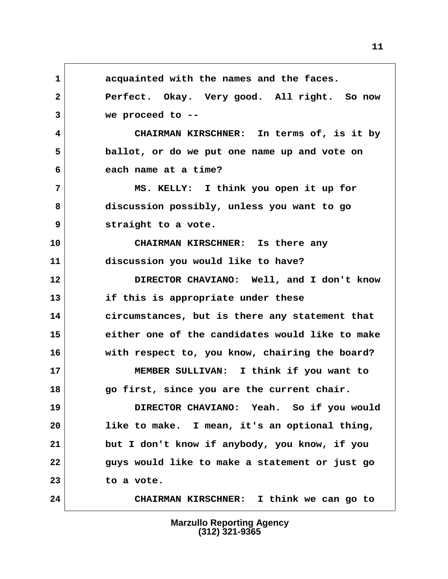**1 acquainted with the names and the faces. 2 Perfect. Okay. Very good. All right. So now 3 we proceed to -- 4 CHAIRMAN KIRSCHNER: In terms of, is it by 5 ballot, or do we put one name up and vote on 6 each name at a time? 7 MS. KELLY: I think you open it up for 8 discussion possibly, unless you want to go 9 straight to a vote. 10 CHAIRMAN KIRSCHNER: Is there any 11 discussion you would like to have? 12 DIRECTOR CHAVIANO: Well, and I don't know 13 if this is appropriate under these 14 circumstances, but is there any statement that 15 either one of the candidates would like to make 16 with respect to, you know, chairing the board? 17 MEMBER SULLIVAN: I think if you want to 18 go first, since you are the current chair. 19 DIRECTOR CHAVIANO: Yeah. So if you would 20 like to make. I mean, it's an optional thing, 21 but I don't know if anybody, you know, if you 22 guys would like to make a statement or just go 23 to a vote. 24 CHAIRMAN KIRSCHNER: I think we can go to**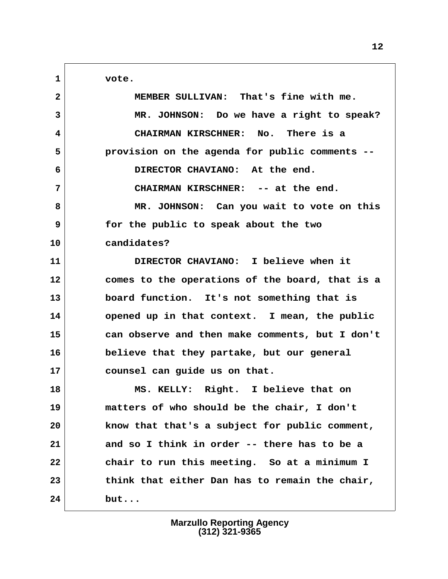1 vote.

| $\mathbf{2}$ | MEMBER SULLIVAN: That's fine with me.           |
|--------------|-------------------------------------------------|
| 3            | MR. JOHNSON: Do we have a right to speak?       |
| 4            | CHAIRMAN KIRSCHNER: No. There is a              |
| 5            | provision on the agenda for public comments --  |
| 6            | DIRECTOR CHAVIANO: At the end.                  |
| 7            | CHAIRMAN KIRSCHNER: -- at the end.              |
| 8            | MR. JOHNSON: Can you wait to vote on this       |
| 9            | for the public to speak about the two           |
| 10           | candidates?                                     |
| 11           | DIRECTOR CHAVIANO: I believe when it            |
| 12           | comes to the operations of the board, that is a |
| 13           | board function. It's not something that is      |
| 14           | opened up in that context. I mean, the public   |
| 15           | can observe and then make comments, but I don't |
| 16           | believe that they partake, but our general      |
| 17           | counsel can guide us on that.                   |
| 18           | MS. KELLY: Right. I believe that on             |
| 19           | matters of who should be the chair, I don't     |
| 20           | know that that's a subject for public comment,  |
| 21           | and so I think in order -- there has to be a    |
| 22           | chair to run this meeting. So at a minimum I    |
| 23           | think that either Dan has to remain the chair,  |
| 24           | but                                             |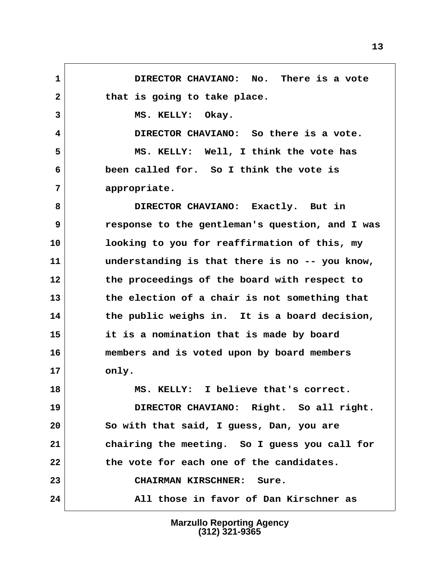**1 DIRECTOR CHAVIANO: No. There is a vote** 2 that is going to take place. 3 MS. KELLY: Okay.  **4 DIRECTOR CHAVIANO: So there is a vote. 5 MS. KELLY: Well, I think the vote has 6 been called for. So I think the vote is 7 appropriate. 8 DIRECTOR CHAVIANO: Exactly. But in 9 response to the gentleman's question, and I was 10 looking to you for reaffirmation of this, my 11 understanding is that there is no -- you know, 12 the proceedings of the board with respect to 13 the election of a chair is not something that 14 the public weighs in. It is a board decision, 15 it is a nomination that is made by board 16 members and is voted upon by board members 17 only. 18 MS. KELLY: I believe that's correct. 19 DIRECTOR CHAVIANO: Right. So all right. 20 So with that said, I guess, Dan, you are 21 chairing the meeting. So I guess you call for 22 the vote for each one of the candidates. 23 CHAIRMAN KIRSCHNER: Sure. 24 All those in favor of Dan Kirschner as**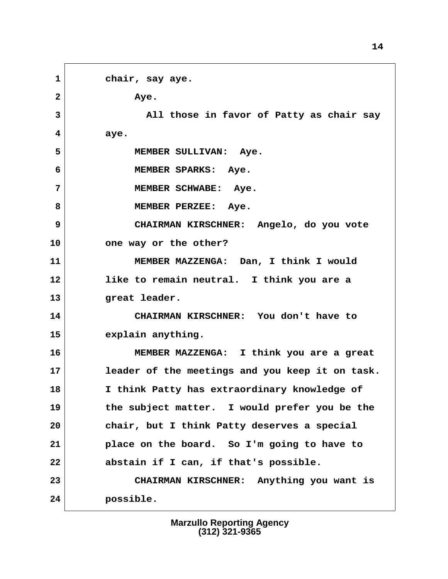**1 chair, say aye. 2 aye. 3 All those in favor of Patty as chair say 4 aye. 5 MEMBER SULLIVAN: Aye. 6 MEMBER SPARKS: Aye. 7 MEMBER SCHWABE: Aye.** 8 MEMBER PERZEE: Aye.  **9 CHAIRMAN KIRSCHNER: Angelo, do you vote 10 one way or the other? 11 MEMBER MAZZENGA: Dan, I think I would 12 like to remain neutral. I think you are a 13 great leader. 14 CHAIRMAN KIRSCHNER: You don't have to 15 explain anything. 16 MEMBER MAZZENGA: I think you are a great 17 leader of the meetings and you keep it on task. 18 I think Patty has extraordinary knowledge of 19 the subject matter. I would prefer you be the 20 chair, but I think Patty deserves a special 21 place on the board. So I'm going to have to 22 abstain if I can, if that's possible. 23 CHAIRMAN KIRSCHNER: Anything you want is 24 possible.**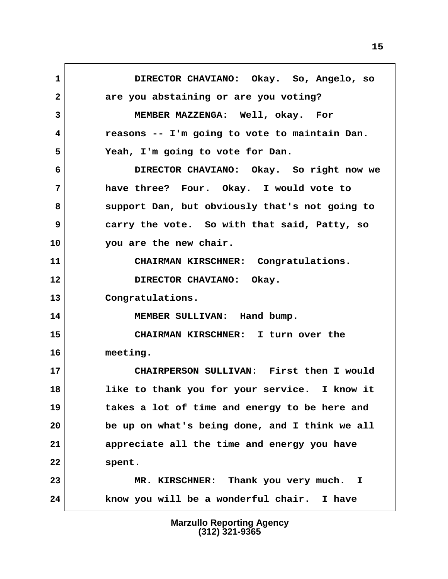**1 DIRECTOR CHAVIANO: Okay. So, Angelo, so 2 are you abstaining or are you voting? 3 MEMBER MAZZENGA: Well, okay. For 4 reasons -- I'm going to vote to maintain Dan. 5 Yeah, I'm going to vote for Dan. 6 DIRECTOR CHAVIANO: Okay. So right now we 7 have three? Four. Okay. I would vote to 8 support Dan, but obviously that's not going to 9 carry the vote. So with that said, Patty, so 10 you are the new chair. 11 CHAIRMAN KIRSCHNER: Congratulations.** 12 DIRECTOR CHAVIANO: Okay. **13 Congratulations. 14 MEMBER SULLIVAN: Hand bump. 15 CHAIRMAN KIRSCHNER: I turn over the 16 meeting. 17 CHAIRPERSON SULLIVAN: First then I would 18 like to thank you for your service. I know it 19 takes a lot of time and energy to be here and 20 be up on what's being done, and I think we all 21 appreciate all the time and energy you have 22 spent. 23 MR. KIRSCHNER: Thank you very much. I 24 know you will be a wonderful chair. I have**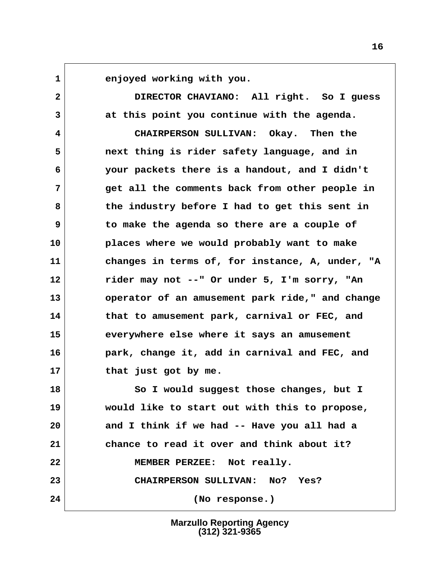**1 enjoyed working with you.**

 **2 DIRECTOR CHAVIANO: All right. So I guess 3 at this point you continue with the agenda. 4 CHAIRPERSON SULLIVAN: Okay. Then the 5 next thing is rider safety language, and in**

 **6 your packets there is a handout, and I didn't 7 get all the comments back from other people in 8 the industry before I had to get this sent in 9 to make the agenda so there are a couple of 10 places where we would probably want to make 11 changes in terms of, for instance, A, under, "A 12 rider may not --" Or under 5, I'm sorry, "An 13 operator of an amusement park ride," and change 14 that to amusement park, carnival or FEC, and 15 everywhere else where it says an amusement 16 park, change it, add in carnival and FEC, and 17 that just got by me.**

**18 So I would suggest those changes, but I 19 would like to start out with this to propose, 20 and I think if we had -- Have you all had a 21 chance to read it over and think about it? 22 MEMBER PERZEE: Not really. 23 CHAIRPERSON SULLIVAN: No? Yes? 24 (No response.)**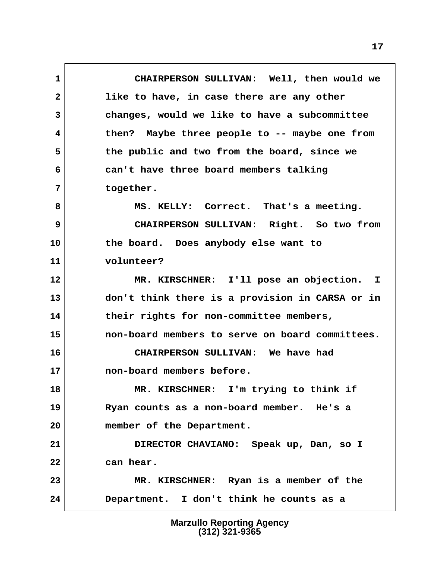**1 CHAIRPERSON SULLIVAN: Well, then would we 2 like to have, in case there are any other 3 changes, would we like to have a subcommittee 4 then? Maybe three people to -- maybe one from 5 the public and two from the board, since we 6 can't have three board members talking 7 together. 8 MS. KELLY: Correct. That's a meeting. 9 CHAIRPERSON SULLIVAN: Right. So two from 10 the board. Does anybody else want to 11 volunteer? 12 MR. KIRSCHNER: I'll pose an objection. I 13 don't think there is a provision in CARSA or in 14 their rights for non-committee members, 15 non-board members to serve on board committees. 16 CHAIRPERSON SULLIVAN: We have had 17 non-board members before. 18 MR. KIRSCHNER: I'm trying to think if 19 Ryan counts as a non-board member. He's a 20 member of the Department. 21 DIRECTOR CHAVIANO: Speak up, Dan, so I 22 can hear. 23 MR. KIRSCHNER: Ryan is a member of the 24 Department. I don't think he counts as a**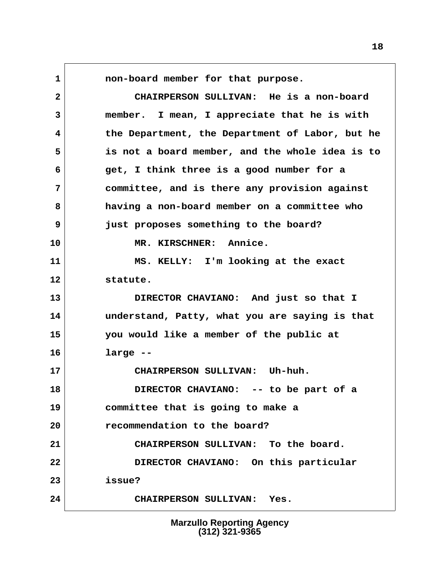**1 non-board member for that purpose. 2 CHAIRPERSON SULLIVAN: He is a non-board 3 member. I mean, I appreciate that he is with 4 the Department, the Department of Labor, but he 5 is not a board member, and the whole idea is to 6 get, I think three is a good number for a 7 committee, and is there any provision against 8 having a non-board member on a committee who 9 just proposes something to the board? 10 MR. KIRSCHNER: Annice. 11 MS. KELLY: I'm looking at the exact 12 statute. 13 DIRECTOR CHAVIANO: And just so that I 14 understand, Patty, what you are saying is that 15 you would like a member of the public at 16 large -- 17 CHAIRPERSON SULLIVAN: Uh-huh. 18 DIRECTOR CHAVIANO: -- to be part of a 19 committee that is going to make a 20 recommendation to the board? 21 CHAIRPERSON SULLIVAN: To the board. 22 DIRECTOR CHAVIANO: On this particular 23 issue? 24 CHAIRPERSON SULLIVAN: Yes.**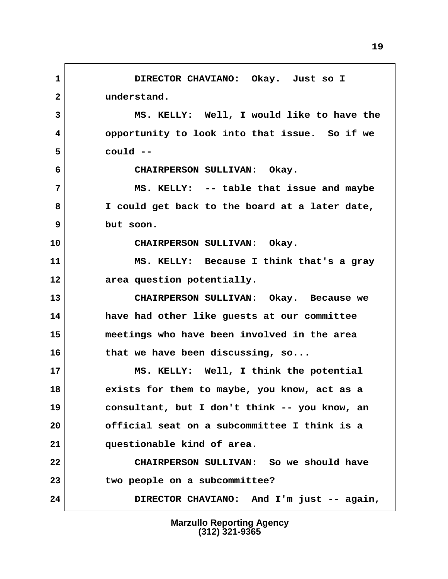**1 DIRECTOR CHAVIANO: Okay. Just so I 2 understand. 3 MS. KELLY: Well, I would like to have the 4 opportunity to look into that issue. So if we 5 could -- 6 CHAIRPERSON SULLIVAN: Okay. 7 MS. KELLY: -- table that issue and maybe 8 I could get back to the board at a later date, 9 but soon. 10 CHAIRPERSON SULLIVAN: Okay. 11 MS. KELLY: Because I think that's a gray 12 area question potentially. 13 CHAIRPERSON SULLIVAN: Okay. Because we 14 have had other like guests at our committee 15 meetings who have been involved in the area 16 that we have been discussing, so... 17 MS. KELLY: Well, I think the potential 18 exists for them to maybe, you know, act as a 19 consultant, but I don't think -- you know, an 20 official seat on a subcommittee I think is a 21 questionable kind of area. 22 CHAIRPERSON SULLIVAN: So we should have 23 two people on a subcommittee? 24 DIRECTOR CHAVIANO: And I'm just -- again,**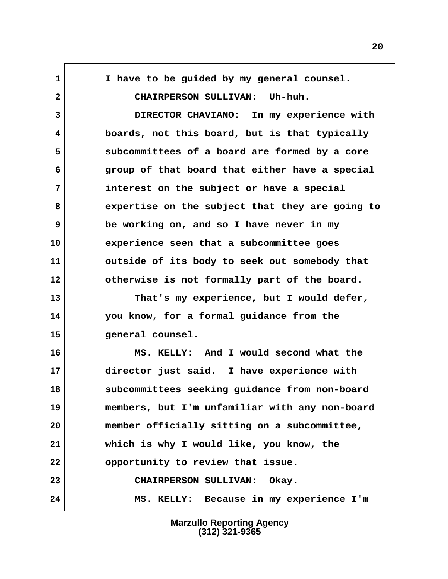**1 I have to be guided by my general counsel. 2 CHAIRPERSON SULLIVAN: Uh-huh. 3 DIRECTOR CHAVIANO: In my experience with 4 boards, not this board, but is that typically 5 subcommittees of a board are formed by a core 6 group of that board that either have a special 7 interest on the subject or have a special 8 expertise on the subject that they are going to 9 be working on, and so I have never in my 10 experience seen that a subcommittee goes 11 outside of its body to seek out somebody that 12 otherwise is not formally part of the board. 13 That's my experience, but I would defer, 14 you know, for a formal guidance from the 15 general counsel. 16 MS. KELLY: And I would second what the 17 director just said. I have experience with 18 subcommittees seeking guidance from non-board 19 members, but I'm unfamiliar with any non-board 20 member officially sitting on a subcommittee, 21 which is why I would like, you know, the 22 opportunity to review that issue. 23 CHAIRPERSON SULLIVAN: Okay. 24 MS. KELLY: Because in my experience I'm**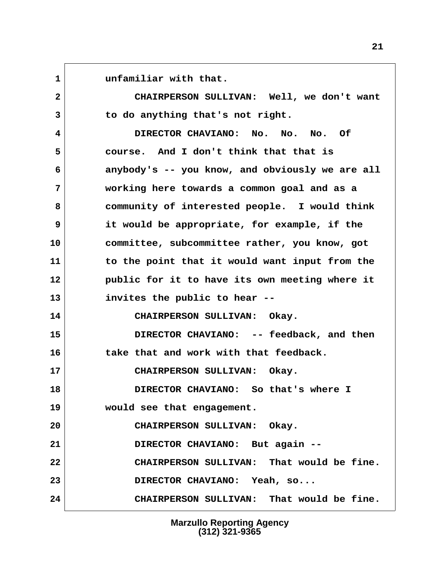1 **1** unfamiliar with that.  **2 CHAIRPERSON SULLIVAN: Well, we don't want 3 to do anything that's not right. 4 DIRECTOR CHAVIANO: No. No. No. Of 5 course. And I don't think that that is 6 anybody's -- you know, and obviously we are all 7 working here towards a common goal and as a 8 community of interested people. I would think 9 it would be appropriate, for example, if the 10 committee, subcommittee rather, you know, got 11 to the point that it would want input from the 12 public for it to have its own meeting where it 13 invites the public to hear -- 14 CHAIRPERSON SULLIVAN: Okay. 15 DIRECTOR CHAVIANO: -- feedback, and then 16 take that and work with that feedback. 17 CHAIRPERSON SULLIVAN: Okay. 18 DIRECTOR CHAVIANO: So that's where I 19 would see that engagement. 20 CHAIRPERSON SULLIVAN: Okay. 21 DIRECTOR CHAVIANO: But again -- 22 CHAIRPERSON SULLIVAN: That would be fine. 23 DIRECTOR CHAVIANO: Yeah, so... 24 CHAIRPERSON SULLIVAN: That would be fine.**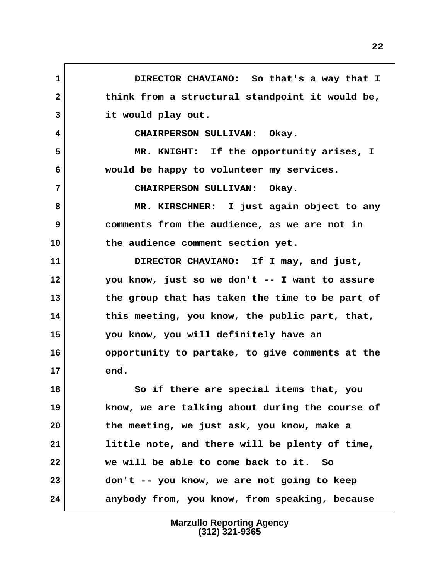**1 DIRECTOR CHAVIANO: So that's a way that I 2 think from a structural standpoint it would be, 3 it would play out. 4 CHAIRPERSON SULLIVAN: Okay. 5 MR. KNIGHT: If the opportunity arises, I 6 would be happy to volunteer my services. 7 CHAIRPERSON SULLIVAN: Okay. 8 MR. KIRSCHNER: I just again object to any 9 comments from the audience, as we are not in 10 the audience comment section yet. 11 DIRECTOR CHAVIANO: If I may, and just, 12 you know, just so we don't -- I want to assure 13 the group that has taken the time to be part of 14 this meeting, you know, the public part, that, 15 you know, you will definitely have an 16 opportunity to partake, to give comments at the 17 end. 18 So if there are special items that, you 19 know, we are talking about during the course of 20 the meeting, we just ask, you know, make a 21 little note, and there will be plenty of time, 22 we will be able to come back to it. So 23 don't -- you know, we are not going to keep 24 anybody from, you know, from speaking, because**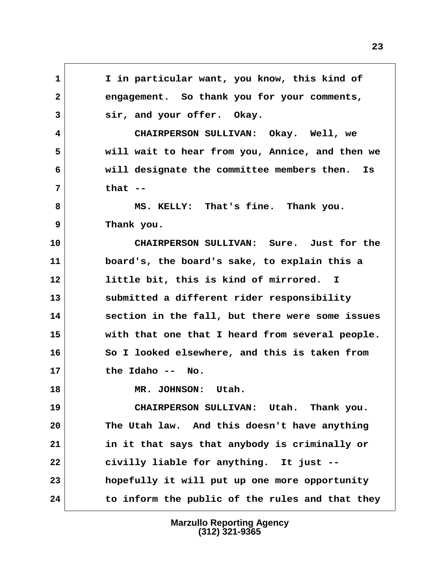**1 I in particular want, you know, this kind of 2 engagement. So thank you for your comments, 3 sir, and your offer. Okay. 4 CHAIRPERSON SULLIVAN: Okay. Well, we 5 will wait to hear from you, Annice, and then we 6 will designate the committee members then. Is 7 that -- 8 MS. KELLY: That's fine. Thank you. 9 Thank you. 10 CHAIRPERSON SULLIVAN: Sure. Just for the 11 board's, the board's sake, to explain this a 12 little bit, this is kind of mirrored. I 13 submitted a different rider responsibility 14 section in the fall, but there were some issues 15 with that one that I heard from several people. 16 So I looked elsewhere, and this is taken from 17 the Idaho -- No. 18 MR. JOHNSON: Utah. 19 CHAIRPERSON SULLIVAN: Utah. Thank you. 20 The Utah law. And this doesn't have anything 21 in it that says that anybody is criminally or 22 civilly liable for anything. It just -- 23 hopefully it will put up one more opportunity 24 to inform the public of the rules and that they**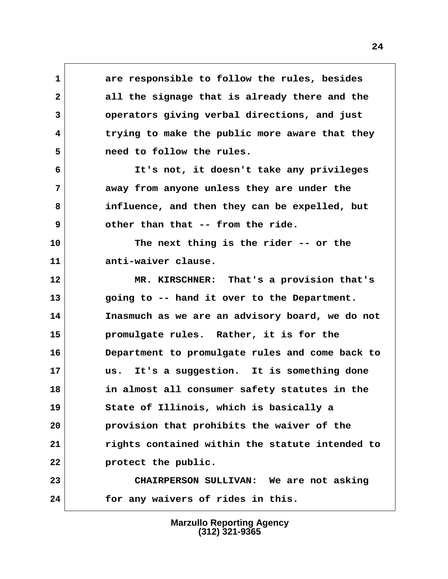**1 are responsible to follow the rules, besides 2 all the signage that is already there and the 3 operators giving verbal directions, and just 4 trying to make the public more aware that they 5 need to follow the rules.**

 **6 It's not, it doesn't take any privileges 7 away from anyone unless they are under the 8 influence, and then they can be expelled, but 9 other than that -- from the ride.**

**10 The next thing is the rider -- or the 11 anti-waiver clause.**

**12 MR. KIRSCHNER: That's a provision that's 13 going to -- hand it over to the Department. 14 Inasmuch as we are an advisory board, we do not 15 promulgate rules. Rather, it is for the 16 Department to promulgate rules and come back to 17 us. It's a suggestion. It is something done 18 in almost all consumer safety statutes in the 19 State of Illinois, which is basically a 20 provision that prohibits the waiver of the 21 rights contained within the statute intended to 22 protect the public.**

**23 CHAIRPERSON SULLIVAN: We are not asking 24 for any waivers of rides in this.**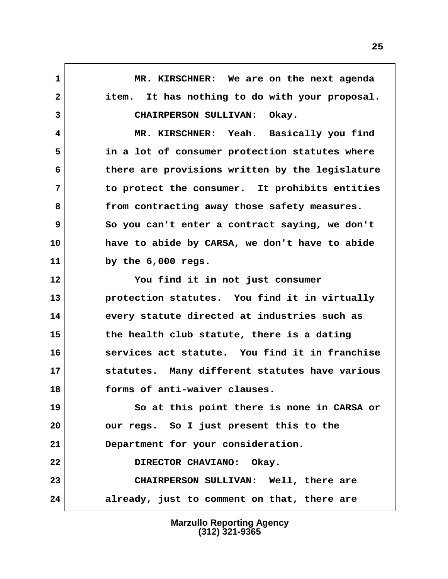**1 MR. KIRSCHNER: We are on the next agenda 2 item. It has nothing to do with your proposal. 3 CHAIRPERSON SULLIVAN: Okay. 4 MR. KIRSCHNER: Yeah. Basically you find 5 in a lot of consumer protection statutes where 6 there are provisions written by the legislature 7 to protect the consumer. It prohibits entities 8 from contracting away those safety measures. 9 So you can't enter a contract saying, we don't 10 have to abide by CARSA, we don't have to abide 11 by the 6,000 regs. 12 You find it in not just consumer 13 protection statutes. You find it in virtually 14 every statute directed at industries such as 15 the health club statute, there is a dating 16 services act statute. You find it in franchise 17 statutes. Many different statutes have various 18 forms of anti-waiver clauses. 19 So at this point there is none in CARSA or 20 our regs. So I just present this to the 21 Department for your consideration. 22 DIRECTOR CHAVIANO: Okay. 23 CHAIRPERSON SULLIVAN: Well, there are 24 already, just to comment on that, there are**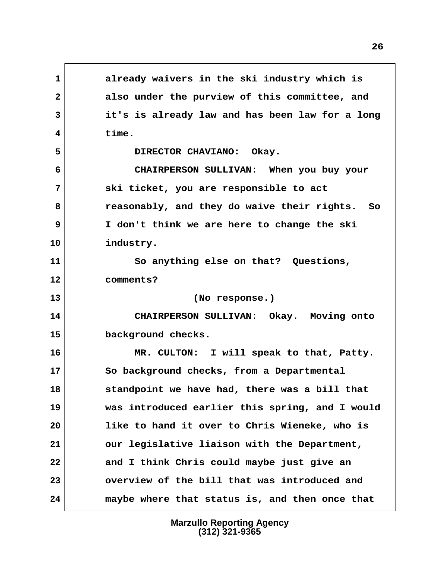**1 already waivers in the ski industry which is 2 also under the purview of this committee, and 3 it's is already law and has been law for a long 4 time. 5 DIRECTOR CHAVIANO: Okay. 6 CHAIRPERSON SULLIVAN: When you buy your 7 ski ticket, you are responsible to act 8 reasonably, and they do waive their rights. So 9 I don't think we are here to change the ski 10 industry. 11 So anything else on that? Questions, 12 comments? 13 (No response.) 14 CHAIRPERSON SULLIVAN: Okay. Moving onto 15 background checks. 16 MR. CULTON: I will speak to that, Patty. 17 So background checks, from a Departmental 18 standpoint we have had, there was a bill that 19 was introduced earlier this spring, and I would 20 like to hand it over to Chris Wieneke, who is 21 our legislative liaison with the Department, 22 and I think Chris could maybe just give an 23 overview of the bill that was introduced and 24 maybe where that status is, and then once that**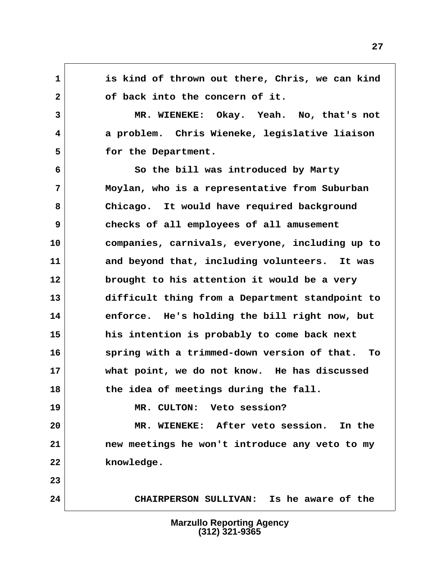**1 is kind of thrown out there, Chris, we can kind** 2 of back into the concern of it.  **3 MR. WIENEKE: Okay. Yeah. No, that's not 4 a problem. Chris Wieneke, legislative liaison 5 for the Department. 6 So the bill was introduced by Marty 7 Moylan, who is a representative from Suburban 8 Chicago. It would have required background 9 checks of all employees of all amusement 10 companies, carnivals, everyone, including up to 11 and beyond that, including volunteers. It was 12 brought to his attention it would be a very 13 difficult thing from a Department standpoint to 14 enforce. He's holding the bill right now, but 15 his intention is probably to come back next 16 spring with a trimmed-down version of that. To 17 what point, we do not know. He has discussed 18 the idea of meetings during the fall. 19 MR. CULTON: Veto session? 20 MR. WIENEKE: After veto session. In the 21 new meetings he won't introduce any veto to my 22 knowledge. 23 24 CHAIRPERSON SULLIVAN: Is he aware of the**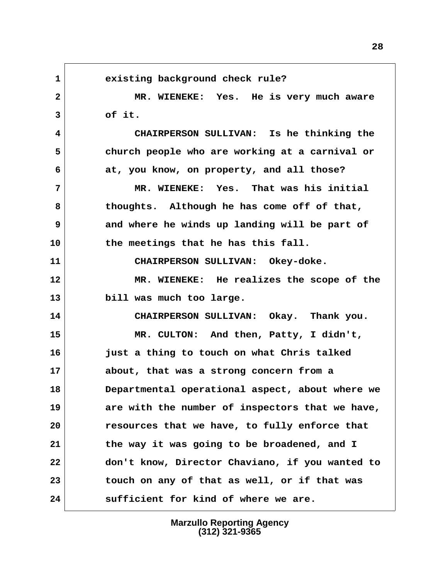1 existing background check rule?  **2 MR. WIENEKE: Yes. He is very much aware 3 of it. 4 CHAIRPERSON SULLIVAN: Is he thinking the 5 church people who are working at a carnival or 6 at, you know, on property, and all those? 7 MR. WIENEKE: Yes. That was his initial 8 thoughts. Although he has come off of that, 9 and where he winds up landing will be part of 10 the meetings that he has this fall. 11 CHAIRPERSON SULLIVAN: Okey-doke. 12 MR. WIENEKE: He realizes the scope of the 13 bill was much too large. 14 CHAIRPERSON SULLIVAN: Okay. Thank you. 15 MR. CULTON: And then, Patty, I didn't, 16 just a thing to touch on what Chris talked 17 about, that was a strong concern from a 18 Departmental operational aspect, about where we 19 are with the number of inspectors that we have, 20 resources that we have, to fully enforce that 21 the way it was going to be broadened, and I 22 don't know, Director Chaviano, if you wanted to 23 touch on any of that as well, or if that was 24 sufficient for kind of where we are.**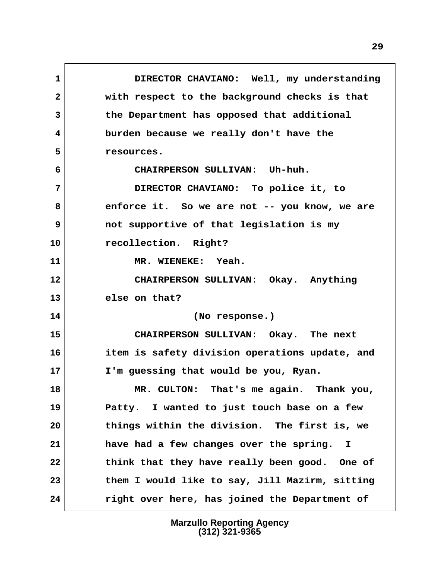**1 DIRECTOR CHAVIANO: Well, my understanding 2 with respect to the background checks is that 3 the Department has opposed that additional 4 burden because we really don't have the 5 resources. 6 CHAIRPERSON SULLIVAN: Uh-huh. 7 DIRECTOR CHAVIANO: To police it, to 8 enforce it. So we are not -- you know, we are 9 not supportive of that legislation is my 10 recollection. Right? 11 MR. WIENEKE: Yeah. 12 CHAIRPERSON SULLIVAN: Okay. Anything 13 else on that? 14 (No response.) 15 CHAIRPERSON SULLIVAN: Okay. The next 16 item is safety division operations update, and 17 I'm guessing that would be you, Ryan. 18 MR. CULTON: That's me again. Thank you, 19 Patty. I wanted to just touch base on a few 20 things within the division. The first is, we 21 have had a few changes over the spring. I 22 think that they have really been good. One of 23 them I would like to say, Jill Mazirm, sitting 24 right over here, has joined the Department of**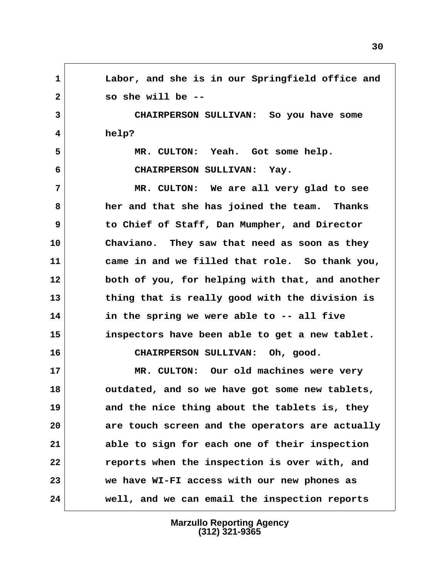**1 Labor, and she is in our Springfield office and 2 so she will be -- 3 CHAIRPERSON SULLIVAN: So you have some 4 help? 5 MR. CULTON: Yeah. Got some help. 6 CHAIRPERSON SULLIVAN: Yay. 7 MR. CULTON: We are all very glad to see 8 her and that she has joined the team. Thanks 9 to Chief of Staff, Dan Mumpher, and Director 10 Chaviano. They saw that need as soon as they 11 came in and we filled that role. So thank you, 12 both of you, for helping with that, and another 13 thing that is really good with the division is 14 in the spring we were able to -- all five 15 inspectors have been able to get a new tablet. 16 CHAIRPERSON SULLIVAN: Oh, good. 17 MR. CULTON: Our old machines were very 18 outdated, and so we have got some new tablets, 19 and the nice thing about the tablets is, they 20 are touch screen and the operators are actually 21 able to sign for each one of their inspection 22 reports when the inspection is over with, and 23 we have WI-FI access with our new phones as 24 well, and we can email the inspection reports**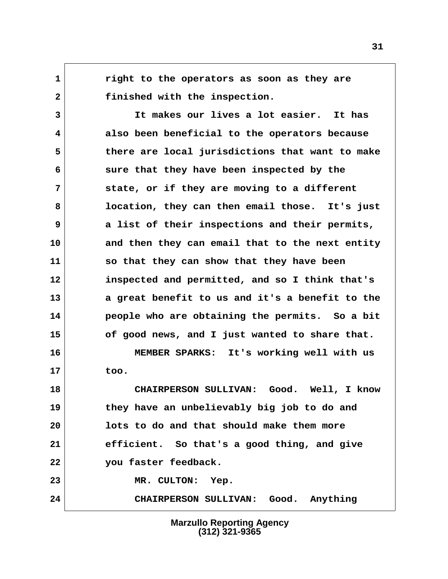**1 right to the operators as soon as they are 2 finished with the inspection.**

 **3 It makes our lives a lot easier. It has 4 also been beneficial to the operators because 5 there are local jurisdictions that want to make 6 sure that they have been inspected by the 7 state, or if they are moving to a different 8 location, they can then email those. It's just 9 a list of their inspections and their permits, 10 and then they can email that to the next entity 11 so that they can show that they have been 12 inspected and permitted, and so I think that's 13 a great benefit to us and it's a benefit to the 14 people who are obtaining the permits. So a bit 15 of good news, and I just wanted to share that.**

**16 MEMBER SPARKS: It's working well with us 17 too.**

**18 CHAIRPERSON SULLIVAN: Good. Well, I know 19 they have an unbelievably big job to do and 20 lots to do and that should make them more 21 efficient. So that's a good thing, and give 22 you faster feedback. 23 MR. CULTON: Yep.**

**24 CHAIRPERSON SULLIVAN: Good. Anything**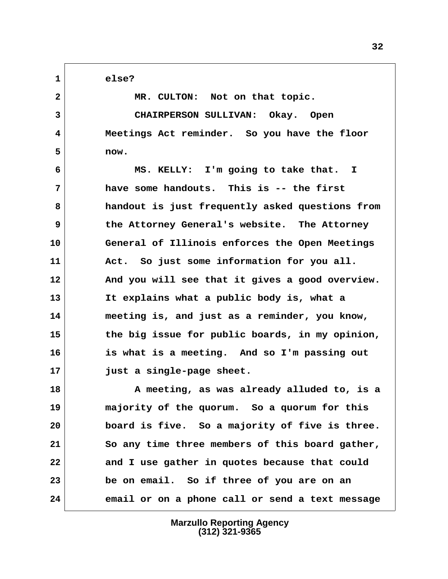**1 else?**

2 MR. CULTON: Not on that topic.  **3 CHAIRPERSON SULLIVAN: Okay. Open 4 Meetings Act reminder. So you have the floor 5 now. 6 MS. KELLY: I'm going to take that. I**

 **7 have some handouts. This is -- the first 8 handout is just frequently asked questions from 9 the Attorney General's website. The Attorney 10 General of Illinois enforces the Open Meetings 11 Act. So just some information for you all. 12 And you will see that it gives a good overview. 13 It explains what a public body is, what a 14 meeting is, and just as a reminder, you know, 15 the big issue for public boards, in my opinion, 16 is what is a meeting. And so I'm passing out 17 just a single-page sheet.**

**18 A meeting, as was already alluded to, is a 19 majority of the quorum. So a quorum for this 20 board is five. So a majority of five is three. 21 So any time three members of this board gather, 22 and I use gather in quotes because that could 23 be on email. So if three of you are on an 24 email or on a phone call or send a text message**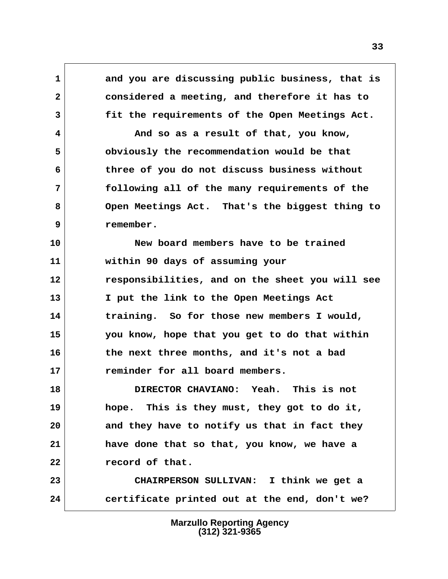**1 and you are discussing public business, that is 2 considered a meeting, and therefore it has to 3 fit the requirements of the Open Meetings Act.**

 **4 And so as a result of that, you know, 5 obviously the recommendation would be that 6 three of you do not discuss business without 7 following all of the many requirements of the 8 Open Meetings Act. That's the biggest thing to 9 remember.**

**10 New board members have to be trained 11 within 90 days of assuming your 12 responsibilities, and on the sheet you will see 13 I put the link to the Open Meetings Act 14 training. So for those new members I would, 15 you know, hope that you get to do that within 16 the next three months, and it's not a bad 17 reminder for all board members.**

**18 DIRECTOR CHAVIANO: Yeah. This is not 19 hope. This is they must, they got to do it, 20 and they have to notify us that in fact they 21 have done that so that, you know, we have a 22 record of that.**

**23 CHAIRPERSON SULLIVAN: I think we get a 24 certificate printed out at the end, don't we?**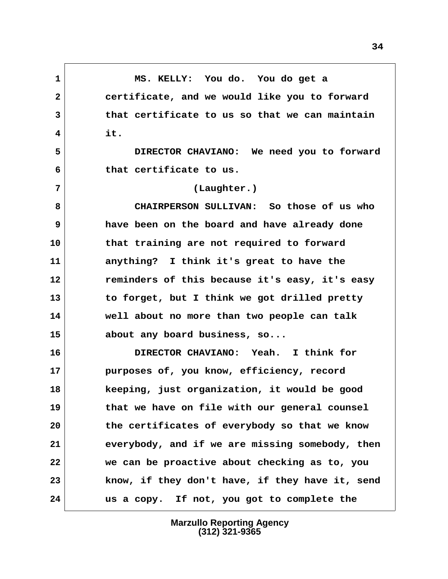**1 MS. KELLY: You do. You do get a 2 certificate, and we would like you to forward 3 that certificate to us so that we can maintain 4 it. 5 DIRECTOR CHAVIANO: We need you to forward 6 that certificate to us. 7 (Laughter.) 8 CHAIRPERSON SULLIVAN: So those of us who 9 have been on the board and have already done 10 that training are not required to forward 11 anything? I think it's great to have the 12 reminders of this because it's easy, it's easy 13 to forget, but I think we got drilled pretty 14 well about no more than two people can talk 15 about any board business, so... 16 DIRECTOR CHAVIANO: Yeah. I think for 17 purposes of, you know, efficiency, record 18 keeping, just organization, it would be good 19 that we have on file with our general counsel 20 the certificates of everybody so that we know 21 everybody, and if we are missing somebody, then 22 we can be proactive about checking as to, you 23 know, if they don't have, if they have it, send 24 us a copy. If not, you got to complete the**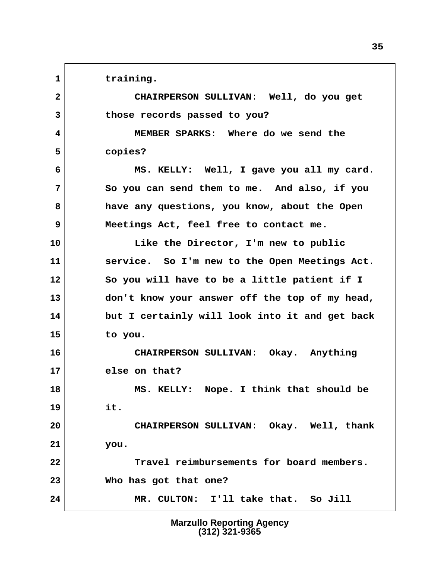1 training.

 **2 CHAIRPERSON SULLIVAN: Well, do you get 3 those records passed to you?**

 **4 MEMBER SPARKS: Where do we send the 5 copies?**

 **6 MS. KELLY: Well, I gave you all my card. 7 So you can send them to me. And also, if you 8 have any questions, you know, about the Open 9 Meetings Act, feel free to contact me.**

**10 Like the Director, I'm new to public 11 service. So I'm new to the Open Meetings Act. 12 So you will have to be a little patient if I 13 don't know your answer off the top of my head, 14 but I certainly will look into it and get back 15 to you.**

**16 CHAIRPERSON SULLIVAN: Okay. Anything 17 else on that?**

**18 MS. KELLY: Nope. I think that should be 19 it.**

**20 CHAIRPERSON SULLIVAN: Okay. Well, thank 21 you.**

**22 Travel reimbursements for board members. 23 Who has got that one?**

**24 MR. CULTON: I'll take that. So Jill**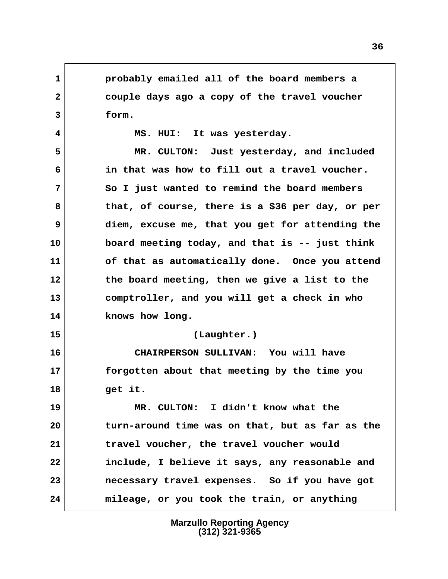**1 probably emailed all of the board members a 2 couple days ago a copy of the travel voucher 3 form.**

 **4 MS. HUI: It was yesterday.**

 **5 MR. CULTON: Just yesterday, and included 6 in that was how to fill out a travel voucher. 7 So I just wanted to remind the board members 8 that, of course, there is a \$36 per day, or per 9 diem, excuse me, that you get for attending the 10 board meeting today, and that is -- just think 11 of that as automatically done. Once you attend 12 the board meeting, then we give a list to the 13 comptroller, and you will get a check in who 14 knows how long. 15 (Laughter.)**

**16 CHAIRPERSON SULLIVAN: You will have 17 forgotten about that meeting by the time you 18 get it.**

**19 MR. CULTON: I didn't know what the 20 turn-around time was on that, but as far as the 21 travel voucher, the travel voucher would 22 include, I believe it says, any reasonable and 23 necessary travel expenses. So if you have got 24 mileage, or you took the train, or anything**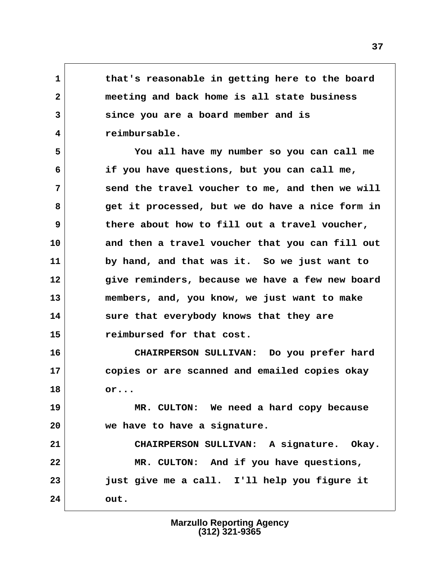**1 that's reasonable in getting here to the board 2 meeting and back home is all state business 3 since you are a board member and is 4 reimbursable.**

 **5 You all have my number so you can call me 6 if you have questions, but you can call me, 7 send the travel voucher to me, and then we will 8 get it processed, but we do have a nice form in 9 there about how to fill out a travel voucher, 10 and then a travel voucher that you can fill out 11 by hand, and that was it. So we just want to 12 give reminders, because we have a few new board 13 members, and, you know, we just want to make 14 sure that everybody knows that they are 15 reimbursed for that cost.**

**16 CHAIRPERSON SULLIVAN: Do you prefer hard 17 copies or are scanned and emailed copies okay 18 or...**

**19 MR. CULTON: We need a hard copy because 20 we have to have a signature.**

**21 CHAIRPERSON SULLIVAN: A signature. Okay. 22 MR. CULTON: And if you have questions, 23 just give me a call. I'll help you figure it 24 out.**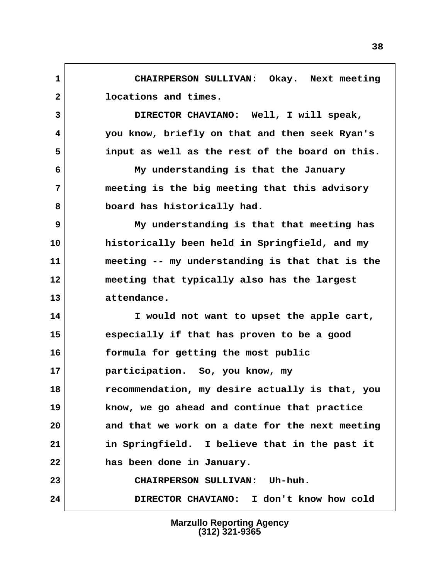**1 CHAIRPERSON SULLIVAN: Okay. Next meeting 2 locations and times.**

 **3 DIRECTOR CHAVIANO: Well, I will speak, 4 you know, briefly on that and then seek Ryan's 5 input as well as the rest of the board on this.**

 **6 My understanding is that the January 7 meeting is the big meeting that this advisory 8 board has historically had.**

 **9 My understanding is that that meeting has 10 historically been held in Springfield, and my 11 meeting -- my understanding is that that is the 12 meeting that typically also has the largest 13 attendance.**

**14 I would not want to upset the apple cart, 15 especially if that has proven to be a good 16 formula for getting the most public 17 participation. So, you know, my 18 recommendation, my desire actually is that, you 19 know, we go ahead and continue that practice 20 and that we work on a date for the next meeting 21 in Springfield. I believe that in the past it 22 has been done in January. 23 CHAIRPERSON SULLIVAN: Uh-huh. 24 DIRECTOR CHAVIANO: I don't know how cold**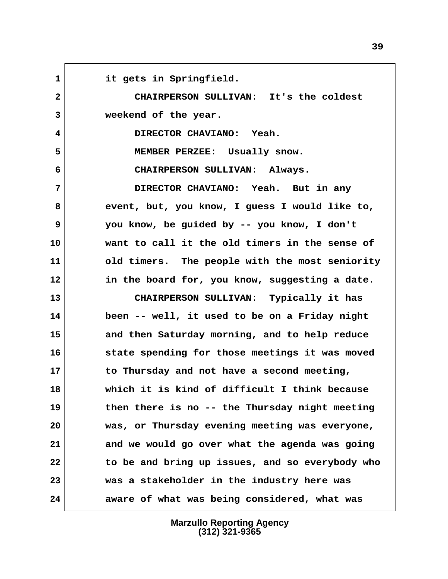**1 it gets in Springfield. 2 CHAIRPERSON SULLIVAN: It's the coldest 3 weekend of the year. 4 DIRECTOR CHAVIANO: Yeah. 5 MEMBER PERZEE: Usually snow. 6 CHAIRPERSON SULLIVAN: Always. 7 DIRECTOR CHAVIANO: Yeah. But in any 8 event, but, you know, I guess I would like to, 9 you know, be guided by -- you know, I don't 10 want to call it the old timers in the sense of 11 old timers. The people with the most seniority 12 in the board for, you know, suggesting a date. 13 CHAIRPERSON SULLIVAN: Typically it has 14 been -- well, it used to be on a Friday night 15 and then Saturday morning, and to help reduce 16 state spending for those meetings it was moved 17 to Thursday and not have a second meeting, 18 which it is kind of difficult I think because 19 then there is no -- the Thursday night meeting 20 was, or Thursday evening meeting was everyone, 21 and we would go over what the agenda was going 22 to be and bring up issues, and so everybody who 23 was a stakeholder in the industry here was 24 aware of what was being considered, what was**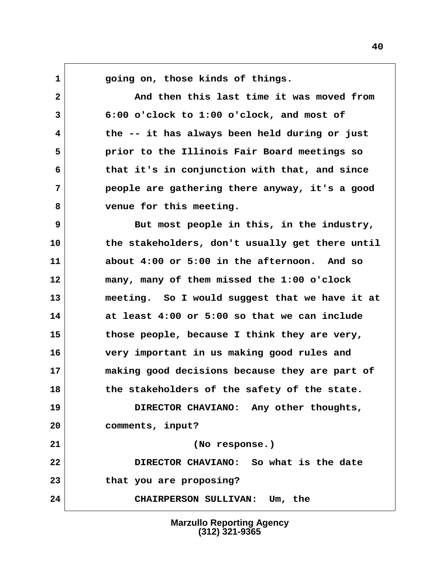**1 going on, those kinds of things.**

 **2 And then this last time it was moved from 3 6:00 o'clock to 1:00 o'clock, and most of 4 the -- it has always been held during or just 5 prior to the Illinois Fair Board meetings so 6 that it's in conjunction with that, and since 7 people are gathering there anyway, it's a good 8 venue for this meeting.**

**9** But most people in this, in the industry, **10 the stakeholders, don't usually get there until 11 about 4:00 or 5:00 in the afternoon. And so 12 many, many of them missed the 1:00 o'clock 13 meeting. So I would suggest that we have it at 14 at least 4:00 or 5:00 so that we can include 15 those people, because I think they are very, 16 very important in us making good rules and 17 making good decisions because they are part of 18 the stakeholders of the safety of the state. 19 DIRECTOR CHAVIANO: Any other thoughts, 20 comments, input? 21 (No response.) 22 DIRECTOR CHAVIANO: So what is the date 23 that you are proposing? 24 CHAIRPERSON SULLIVAN: Um, the**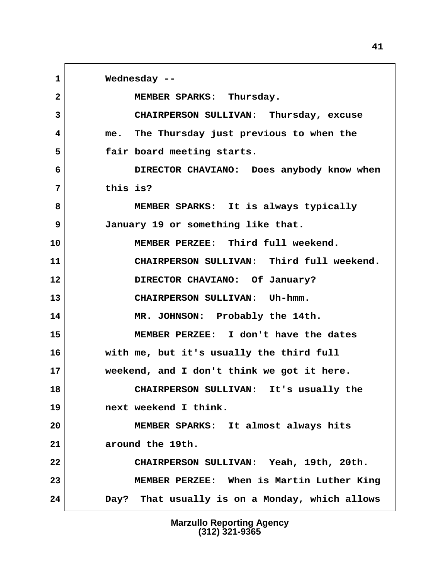**1 Wednesday -- 2 MEMBER SPARKS: Thursday. 3 CHAIRPERSON SULLIVAN: Thursday, excuse 4 me. The Thursday just previous to when the 5 fair board meeting starts. 6 DIRECTOR CHAVIANO: Does anybody know when 7 this is? 8 MEMBER SPARKS: It is always typically 9 January 19 or something like that. 10 MEMBER PERZEE: Third full weekend. 11 CHAIRPERSON SULLIVAN: Third full weekend. 12 DIRECTOR CHAVIANO: Of January? 13 CHAIRPERSON SULLIVAN: Uh-hmm. 14 MR. JOHNSON: Probably the 14th. 15 MEMBER PERZEE: I don't have the dates 16 with me, but it's usually the third full 17 weekend, and I don't think we got it here. 18 CHAIRPERSON SULLIVAN: It's usually the 19 next weekend I think. 20 MEMBER SPARKS: It almost always hits 21 around the 19th. 22 CHAIRPERSON SULLIVAN: Yeah, 19th, 20th. 23 MEMBER PERZEE: When is Martin Luther King 24 Day? That usually is on a Monday, which allows**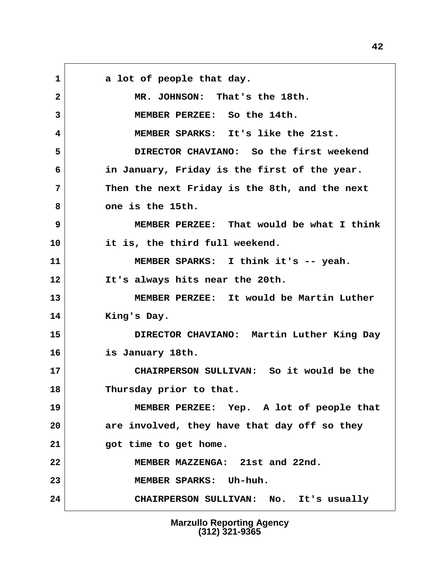1 a lot of people that day.  **2 MR. JOHNSON: That's the 18th. 3 MEMBER PERZEE: So the 14th. 4 MEMBER SPARKS: It's like the 21st. 5 DIRECTOR CHAVIANO: So the first weekend 6 in January, Friday is the first of the year. 7 Then the next Friday is the 8th, and the next 8 one is the 15th. 9 MEMBER PERZEE: That would be what I think 10 it is, the third full weekend. 11 MEMBER SPARKS: I think it's -- yeah. 12 It's always hits near the 20th. 13 MEMBER PERZEE: It would be Martin Luther 14 King's Day. 15 DIRECTOR CHAVIANO: Martin Luther King Day 16 is January 18th. 17 CHAIRPERSON SULLIVAN: So it would be the 18 Thursday prior to that. 19 MEMBER PERZEE: Yep. A lot of people that 20 are involved, they have that day off so they 21 got time to get home. 22 MEMBER MAZZENGA: 21st and 22nd. 23 MEMBER SPARKS: Uh-huh. 24 CHAIRPERSON SULLIVAN: No. It's usually**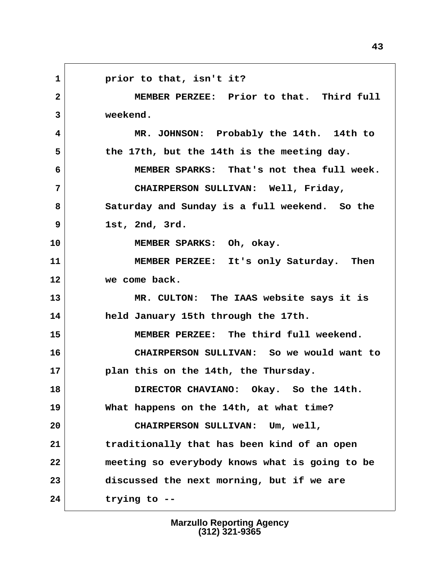1 **prior to that, isn't it? 2 MEMBER PERZEE: Prior to that. Third full 3 weekend. 4 MR. JOHNSON: Probably the 14th. 14th to 5 the 17th, but the 14th is the meeting day. 6 MEMBER SPARKS: That's not thea full week. 7 CHAIRPERSON SULLIVAN: Well, Friday, 8 Saturday and Sunday is a full weekend. So the 9 1st, 2nd, 3rd. 10 MEMBER SPARKS: Oh, okay. 11 MEMBER PERZEE: It's only Saturday. Then 12 we come back. 13 MR. CULTON: The IAAS website says it is 14 held January 15th through the 17th. 15 MEMBER PERZEE: The third full weekend. 16 CHAIRPERSON SULLIVAN: So we would want to 17 plan this on the 14th, the Thursday. 18 DIRECTOR CHAVIANO: Okay. So the 14th. 19 What happens on the 14th, at what time? 20 CHAIRPERSON SULLIVAN: Um, well, 21 traditionally that has been kind of an open 22 meeting so everybody knows what is going to be 23 discussed the next morning, but if we are 24 trying to --**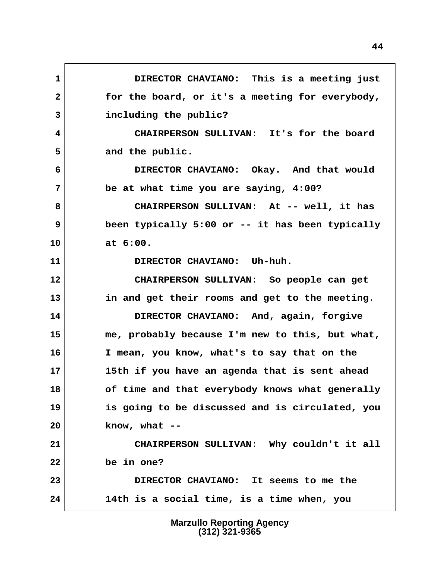**1 DIRECTOR CHAVIANO: This is a meeting just 2 for the board, or it's a meeting for everybody, 3 including the public? 4 CHAIRPERSON SULLIVAN: It's for the board** 5 and the public.  **6 DIRECTOR CHAVIANO: Okay. And that would 7 be at what time you are saying, 4:00? 8 CHAIRPERSON SULLIVAN: At -- well, it has 9 been typically 5:00 or -- it has been typically 10 at 6:00. 11 DIRECTOR CHAVIANO: Uh-huh. 12 CHAIRPERSON SULLIVAN: So people can get 13 in and get their rooms and get to the meeting. 14 DIRECTOR CHAVIANO: And, again, forgive 15 me, probably because I'm new to this, but what, 16 I mean, you know, what's to say that on the 17 15th if you have an agenda that is sent ahead 18 of time and that everybody knows what generally 19 is going to be discussed and is circulated, you 20 know, what -- 21 CHAIRPERSON SULLIVAN: Why couldn't it all 22 be in one? 23 DIRECTOR CHAVIANO: It seems to me the 24 14th is a social time, is a time when, you**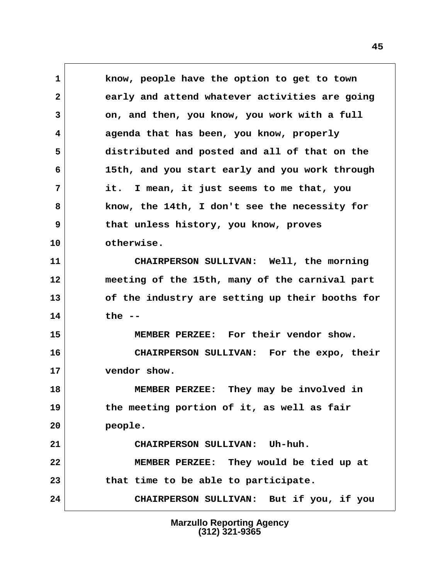**1 know, people have the option to get to town 2 early and attend whatever activities are going 3 on, and then, you know, you work with a full 4 agenda that has been, you know, properly 5 distributed and posted and all of that on the 6 15th, and you start early and you work through 7 it. I mean, it just seems to me that, you 8 know, the 14th, I don't see the necessity for 9 that unless history, you know, proves 10 otherwise. 11 CHAIRPERSON SULLIVAN: Well, the morning 12 meeting of the 15th, many of the carnival part 13 of the industry are setting up their booths for 14 the -- 15 MEMBER PERZEE: For their vendor show. 16 CHAIRPERSON SULLIVAN: For the expo, their 17 vendor show. 18 MEMBER PERZEE: They may be involved in 19 the meeting portion of it, as well as fair 20 people. 21 CHAIRPERSON SULLIVAN: Uh-huh. 22 MEMBER PERZEE: They would be tied up at 23 that time to be able to participate. 24 CHAIRPERSON SULLIVAN: But if you, if you**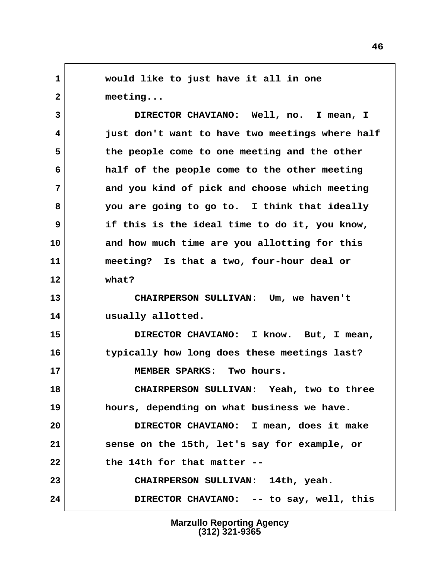**1 would like to just have it all in one 2 meeting... 3 DIRECTOR CHAVIANO: Well, no. I mean, I 4 just don't want to have two meetings where half 5 the people come to one meeting and the other 6 half of the people come to the other meeting 7 and you kind of pick and choose which meeting 8 you are going to go to. I think that ideally 9 if this is the ideal time to do it, you know, 10 and how much time are you allotting for this 11 meeting? Is that a two, four-hour deal or 12 what? 13 CHAIRPERSON SULLIVAN: Um, we haven't 14 usually allotted. 15 DIRECTOR CHAVIANO: I know. But, I mean, 16 typically how long does these meetings last? 17 MEMBER SPARKS: Two hours. 18 CHAIRPERSON SULLIVAN: Yeah, two to three 19 hours, depending on what business we have. 20 DIRECTOR CHAVIANO: I mean, does it make 21 sense on the 15th, let's say for example, or 22 the 14th for that matter -- 23 CHAIRPERSON SULLIVAN: 14th, yeah. 24 DIRECTOR CHAVIANO: -- to say, well, this**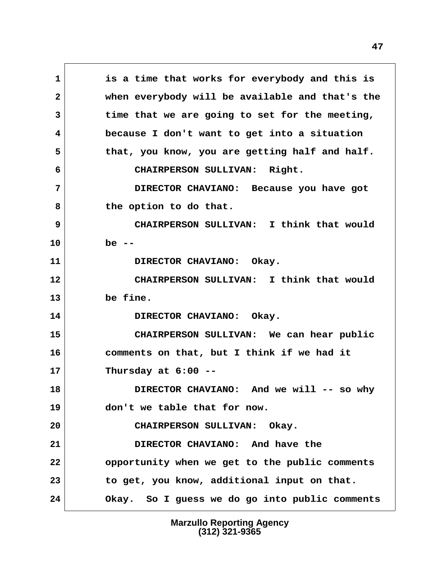**1 is a time that works for everybody and this is 2 when everybody will be available and that's the 3 time that we are going to set for the meeting, 4 because I don't want to get into a situation 5 that, you know, you are getting half and half. 6 CHAIRPERSON SULLIVAN: Right. 7 DIRECTOR CHAVIANO: Because you have got** 8 the option to do that.  **9 CHAIRPERSON SULLIVAN: I think that would 10 be --** 11 DIRECTOR CHAVIANO: Okay. **12 CHAIRPERSON SULLIVAN: I think that would 13 be fine. 14 DIRECTOR CHAVIANO: Okay. 15 CHAIRPERSON SULLIVAN: We can hear public 16 comments on that, but I think if we had it 17 Thursday at 6:00 -- 18 DIRECTOR CHAVIANO: And we will -- so why 19 don't we table that for now. 20 CHAIRPERSON SULLIVAN: Okay. 21 DIRECTOR CHAVIANO: And have the 22 opportunity when we get to the public comments 23 to get, you know, additional input on that. 24 Okay. So I guess we do go into public comments**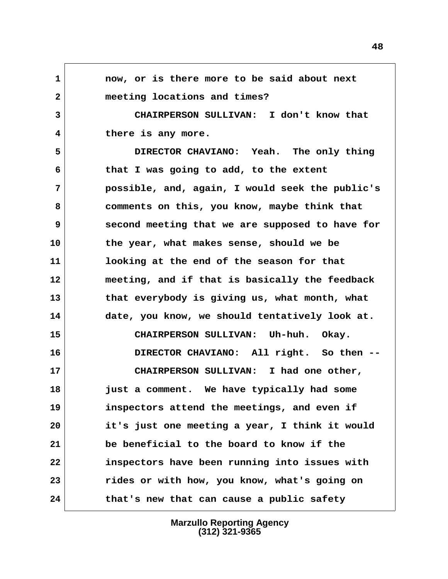**1 now, or is there more to be said about next 2 meeting locations and times? 3 CHAIRPERSON SULLIVAN: I don't know that 4 there is any more. 5 DIRECTOR CHAVIANO: Yeah. The only thing 6 that I was going to add, to the extent 7 possible, and, again, I would seek the public's 8 comments on this, you know, maybe think that 9 second meeting that we are supposed to have for 10 the year, what makes sense, should we be 11 looking at the end of the season for that 12 meeting, and if that is basically the feedback 13 that everybody is giving us, what month, what 14 date, you know, we should tentatively look at. 15 CHAIRPERSON SULLIVAN: Uh-huh. Okay. 16 DIRECTOR CHAVIANO: All right. So then -- 17 CHAIRPERSON SULLIVAN: I had one other, 18 just a comment. We have typically had some 19 inspectors attend the meetings, and even if 20 it's just one meeting a year, I think it would 21 be beneficial to the board to know if the 22 inspectors have been running into issues with 23 rides or with how, you know, what's going on 24 that's new that can cause a public safety**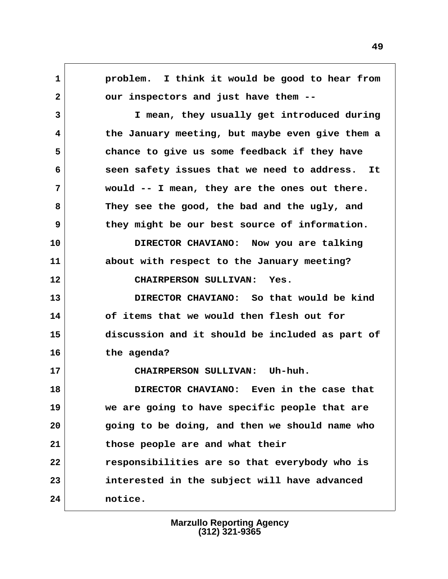**1 problem. I think it would be good to hear from 2 our inspectors and just have them -- 3 I mean, they usually get introduced during 4 the January meeting, but maybe even give them a 5 chance to give us some feedback if they have 6 seen safety issues that we need to address. It 7 would -- I mean, they are the ones out there. 8 They see the good, the bad and the ugly, and 9 they might be our best source of information. 10 DIRECTOR CHAVIANO: Now you are talking 11 about with respect to the January meeting? 12 CHAIRPERSON SULLIVAN: Yes. 13 DIRECTOR CHAVIANO: So that would be kind 14 of items that we would then flesh out for 15 discussion and it should be included as part of 16 the agenda? 17 CHAIRPERSON SULLIVAN: Uh-huh. 18 DIRECTOR CHAVIANO: Even in the case that 19 we are going to have specific people that are 20 going to be doing, and then we should name who 21 those people are and what their 22 responsibilities are so that everybody who is 23 interested in the subject will have advanced 24 notice.**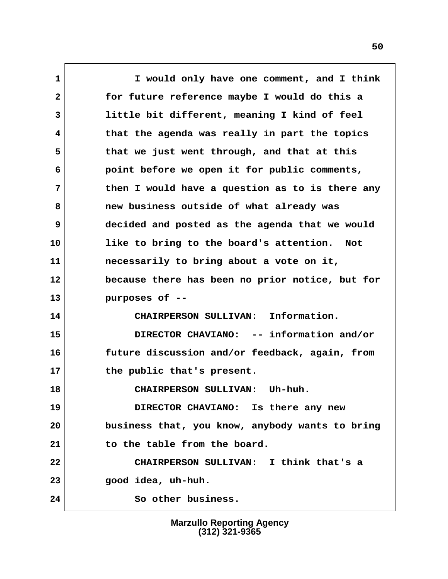**1 I would only have one comment, and I think 2 for future reference maybe I would do this a 3 little bit different, meaning I kind of feel 4 that the agenda was really in part the topics 5 that we just went through, and that at this 6 point before we open it for public comments, 7 then I would have a question as to is there any 8 new business outside of what already was 9 decided and posted as the agenda that we would 10 like to bring to the board's attention. Not 11 necessarily to bring about a vote on it, 12 because there has been no prior notice, but for 13 purposes of -- 14 CHAIRPERSON SULLIVAN: Information. 15 DIRECTOR CHAVIANO: -- information and/or 16 future discussion and/or feedback, again, from 17 the public that's present. 18 CHAIRPERSON SULLIVAN: Uh-huh. 19 DIRECTOR CHAVIANO: Is there any new 20 business that, you know, anybody wants to bring 21 to the table from the board. 22 CHAIRPERSON SULLIVAN: I think that's a 23 good idea, uh-huh. 24 So other business.**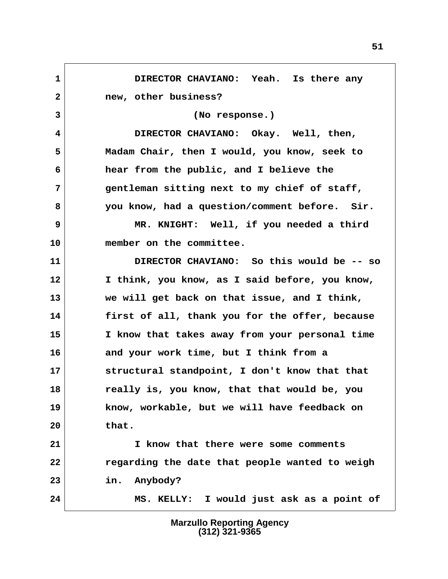**1 DIRECTOR CHAVIANO: Yeah. Is there any 2 new, other business? 3 (No response.) 4 DIRECTOR CHAVIANO: Okay. Well, then, 5 Madam Chair, then I would, you know, seek to 6 hear from the public, and I believe the 7 gentleman sitting next to my chief of staff, 8 you know, had a question/comment before. Sir. 9** MR. KNIGHT: Well, if you needed a third **10 member on the committee. 11 DIRECTOR CHAVIANO: So this would be -- so 12 I think, you know, as I said before, you know, 13 we will get back on that issue, and I think, 14 first of all, thank you for the offer, because 15 I know that takes away from your personal time 16 and your work time, but I think from a 17 structural standpoint, I don't know that that 18 really is, you know, that that would be, you 19 know, workable, but we will have feedback on 20 that. 21 I know that there were some comments 22 regarding the date that people wanted to weigh 23 in. Anybody? 24 MS. KELLY: I would just ask as a point of**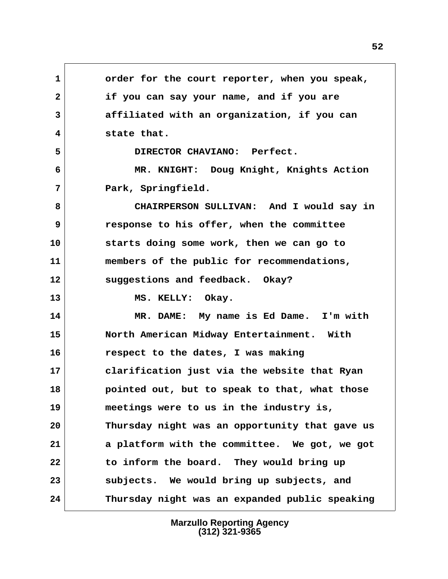**1 order for the court reporter, when you speak, 2 if you can say your name, and if you are 3 affiliated with an organization, if you can 4 state that. 5 DIRECTOR CHAVIANO: Perfect. 6 MR. KNIGHT: Doug Knight, Knights Action 7 Park, Springfield. 8 CHAIRPERSON SULLIVAN: And I would say in 9 response to his offer, when the committee 10 starts doing some work, then we can go to 11 members of the public for recommendations, 12 suggestions and feedback. Okay?** 13 MS. KELLY: Okay. **14 MR. DAME: My name is Ed Dame. I'm with 15 North American Midway Entertainment. With 16 respect to the dates, I was making 17 clarification just via the website that Ryan 18 pointed out, but to speak to that, what those 19 meetings were to us in the industry is, 20 Thursday night was an opportunity that gave us 21 a platform with the committee. We got, we got 22 to inform the board. They would bring up 23 subjects. We would bring up subjects, and 24 Thursday night was an expanded public speaking**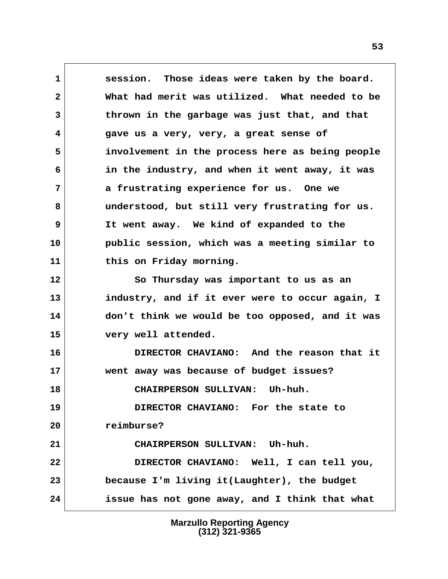**1 session. Those ideas were taken by the board. 2 What had merit was utilized. What needed to be 3 thrown in the garbage was just that, and that 4 gave us a very, very, a great sense of 5 involvement in the process here as being people 6 in the industry, and when it went away, it was 7 a frustrating experience for us. One we 8 understood, but still very frustrating for us. 9 It went away. We kind of expanded to the 10 public session, which was a meeting similar to 11 this on Friday morning. 12 So Thursday was important to us as an 13 industry, and if it ever were to occur again, I 14 don't think we would be too opposed, and it was 15 very well attended. 16 DIRECTOR CHAVIANO: And the reason that it 17 went away was because of budget issues? 18 CHAIRPERSON SULLIVAN: Uh-huh. 19 DIRECTOR CHAVIANO: For the state to 20 reimburse? 21 CHAIRPERSON SULLIVAN: Uh-huh. 22 DIRECTOR CHAVIANO: Well, I can tell you, 23 because I'm living it(Laughter), the budget 24 issue has not gone away, and I think that what**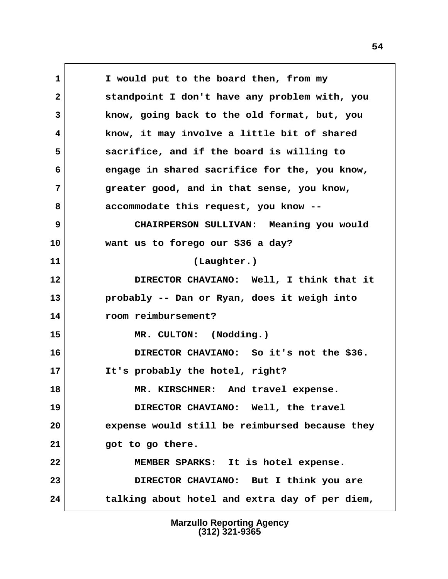**1 I would put to the board then, from my 2 standpoint I don't have any problem with, you 3 know, going back to the old format, but, you 4 know, it may involve a little bit of shared 5 sacrifice, and if the board is willing to 6 engage in shared sacrifice for the, you know, 7 greater good, and in that sense, you know, 8 accommodate this request, you know -- 9 CHAIRPERSON SULLIVAN: Meaning you would 10 want us to forego our \$36 a day? 11 (Laughter.) 12 DIRECTOR CHAVIANO: Well, I think that it 13 probably -- Dan or Ryan, does it weigh into 14 room reimbursement? 15 MR. CULTON: (Nodding.) 16 DIRECTOR CHAVIANO: So it's not the \$36. 17 It's probably the hotel, right? 18 MR. KIRSCHNER: And travel expense. 19 DIRECTOR CHAVIANO: Well, the travel 20 expense would still be reimbursed because they 21 got to go there. 22 MEMBER SPARKS: It is hotel expense. 23 DIRECTOR CHAVIANO: But I think you are 24 talking about hotel and extra day of per diem,**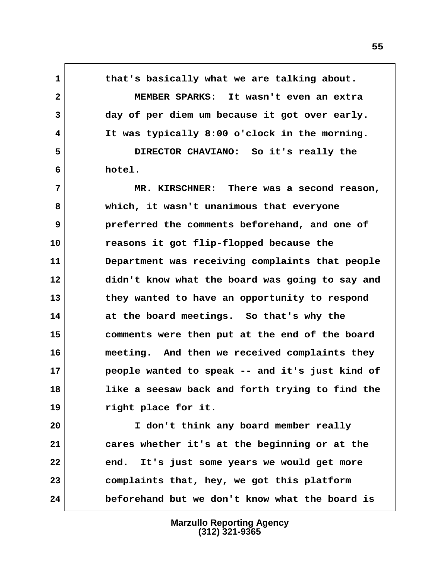**1 that's basically what we are talking about. 2 MEMBER SPARKS: It wasn't even an extra 3 day of per diem um because it got over early. 4 It was typically 8:00 o'clock in the morning. 5 DIRECTOR CHAVIANO: So it's really the 6 hotel. 7 MR. KIRSCHNER: There was a second reason, 8 which, it wasn't unanimous that everyone 9 preferred the comments beforehand, and one of 10 reasons it got flip-flopped because the 11 Department was receiving complaints that people 12 didn't know what the board was going to say and 13 they wanted to have an opportunity to respond 14 at the board meetings. So that's why the 15 comments were then put at the end of the board 16 meeting. And then we received complaints they 17 people wanted to speak -- and it's just kind of 18 like a seesaw back and forth trying to find the 19 right place for it. 20 I don't think any board member really 21 cares whether it's at the beginning or at the 22 end. It's just some years we would get more 23 complaints that, hey, we got this platform**

> **Marzullo Reporting Agency (312) 321-9365**

**24 beforehand but we don't know what the board is**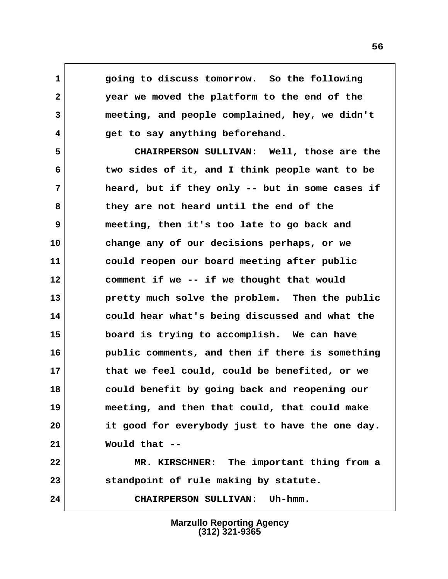**1 going to discuss tomorrow. So the following 2 year we moved the platform to the end of the 3 meeting, and people complained, hey, we didn't 4 get to say anything beforehand.**

 **5 CHAIRPERSON SULLIVAN: Well, those are the 6 two sides of it, and I think people want to be 7 heard, but if they only -- but in some cases if 8 they are not heard until the end of the 9 meeting, then it's too late to go back and 10 change any of our decisions perhaps, or we 11 could reopen our board meeting after public 12 comment if we -- if we thought that would 13 pretty much solve the problem. Then the public 14 could hear what's being discussed and what the 15 board is trying to accomplish. We can have 16 public comments, and then if there is something 17 that we feel could, could be benefited, or we 18 could benefit by going back and reopening our 19 meeting, and then that could, that could make 20 it good for everybody just to have the one day. 21 Would that --**

**22 MR. KIRSCHNER: The important thing from a 23 standpoint of rule making by statute.**

**24 CHAIRPERSON SULLIVAN: Uh-hmm.**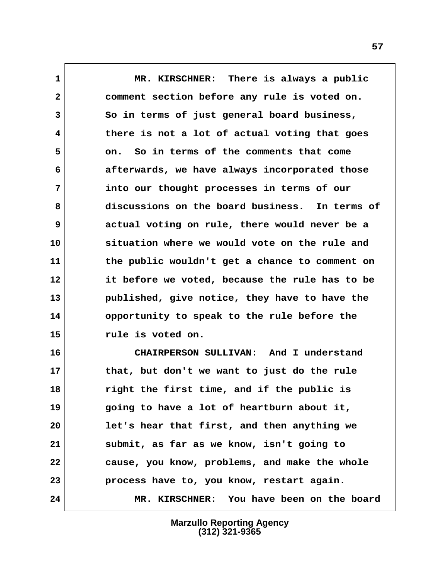**1 MR. KIRSCHNER: There is always a public 2 comment section before any rule is voted on. 3 So in terms of just general board business, 4 there is not a lot of actual voting that goes 5 on. So in terms of the comments that come 6 afterwards, we have always incorporated those 7 into our thought processes in terms of our 8 discussions on the board business. In terms of 9 actual voting on rule, there would never be a 10 situation where we would vote on the rule and 11 the public wouldn't get a chance to comment on 12 it before we voted, because the rule has to be 13 published, give notice, they have to have the 14 opportunity to speak to the rule before the 15 rule is voted on.**

**16 CHAIRPERSON SULLIVAN: And I understand 17 that, but don't we want to just do the rule 18 right the first time, and if the public is 19 going to have a lot of heartburn about it, 20 let's hear that first, and then anything we 21 submit, as far as we know, isn't going to 22 cause, you know, problems, and make the whole 23 process have to, you know, restart again. 24 MR. KIRSCHNER: You have been on the board**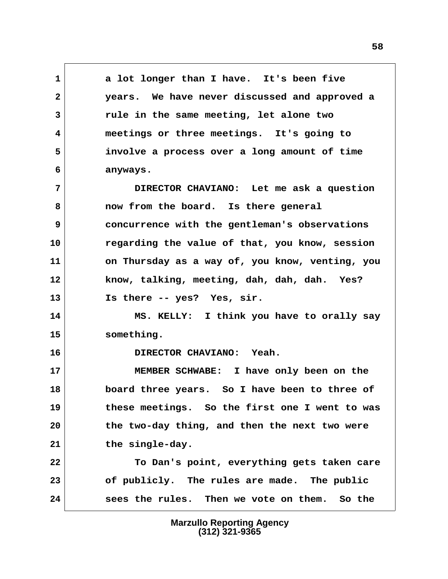**1 a lot longer than I have. It's been five 2 years. We have never discussed and approved a 3 rule in the same meeting, let alone two 4 meetings or three meetings. It's going to 5 involve a process over a long amount of time 6 anyways.**

 **7 DIRECTOR CHAVIANO: Let me ask a question 8 now from the board. Is there general 9 concurrence with the gentleman's observations 10 regarding the value of that, you know, session 11 on Thursday as a way of, you know, venting, you 12 know, talking, meeting, dah, dah, dah. Yes? 13 Is there -- yes? Yes, sir.**

**14 MS. KELLY: I think you have to orally say 15 something.**

**16 DIRECTOR CHAVIANO: Yeah.**

**17 MEMBER SCHWABE: I have only been on the 18 board three years. So I have been to three of 19 these meetings. So the first one I went to was 20 the two-day thing, and then the next two were 21 the single-day.**

**22 To Dan's point, everything gets taken care 23 of publicly. The rules are made. The public 24 sees the rules. Then we vote on them. So the**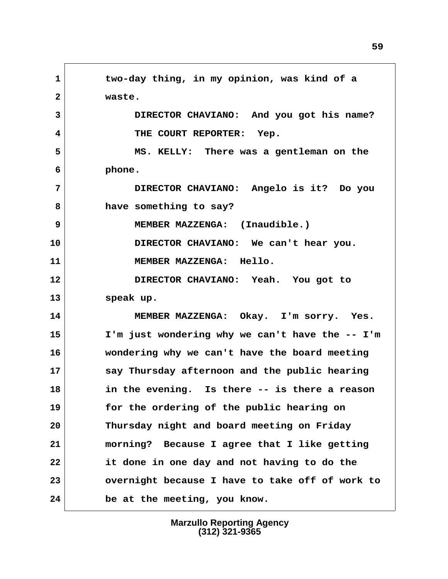**1 two-day thing, in my opinion, was kind of a 2 waste. 3 DIRECTOR CHAVIANO: And you got his name? 4 THE COURT REPORTER: Yep. 5 MS. KELLY: There was a gentleman on the 6 phone. 7 DIRECTOR CHAVIANO: Angelo is it? Do you 8 have something to say? 9 MEMBER MAZZENGA: (Inaudible.) 10 DIRECTOR CHAVIANO: We can't hear you. 11 MEMBER MAZZENGA: Hello. 12 DIRECTOR CHAVIANO: Yeah. You got to 13 speak up. 14 MEMBER MAZZENGA: Okay. I'm sorry. Yes. 15 I'm just wondering why we can't have the -- I'm 16 wondering why we can't have the board meeting 17 say Thursday afternoon and the public hearing 18 in the evening. Is there -- is there a reason 19 for the ordering of the public hearing on 20 Thursday night and board meeting on Friday 21 morning? Because I agree that I like getting 22 it done in one day and not having to do the 23 overnight because I have to take off of work to 24 be at the meeting, you know.**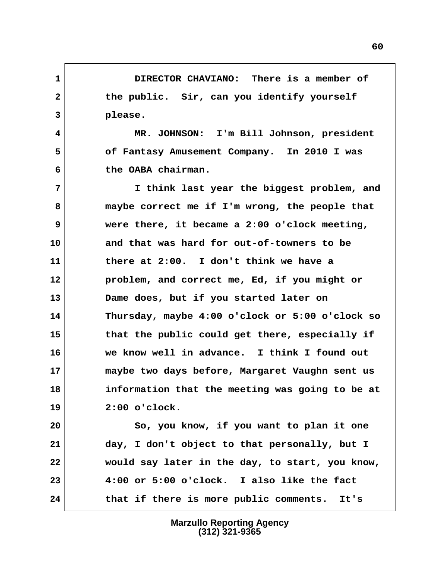**1 DIRECTOR CHAVIANO: There is a member of** 2 the public. Sir, can you identify yourself  **3 please.**

 **4 MR. JOHNSON: I'm Bill Johnson, president 5 of Fantasy Amusement Company. In 2010 I was 6 the OABA chairman.**

 **7 I think last year the biggest problem, and 8 maybe correct me if I'm wrong, the people that 9 were there, it became a 2:00 o'clock meeting, 10 and that was hard for out-of-towners to be 11 there at 2:00. I don't think we have a 12 problem, and correct me, Ed, if you might or 13 Dame does, but if you started later on 14 Thursday, maybe 4:00 o'clock or 5:00 o'clock so 15 that the public could get there, especially if 16 we know well in advance. I think I found out 17 maybe two days before, Margaret Vaughn sent us 18 information that the meeting was going to be at 19 2:00 o'clock.**

**20 So, you know, if you want to plan it one 21 day, I don't object to that personally, but I 22 would say later in the day, to start, you know, 23 4:00 or 5:00 o'clock. I also like the fact 24 that if there is more public comments. It's**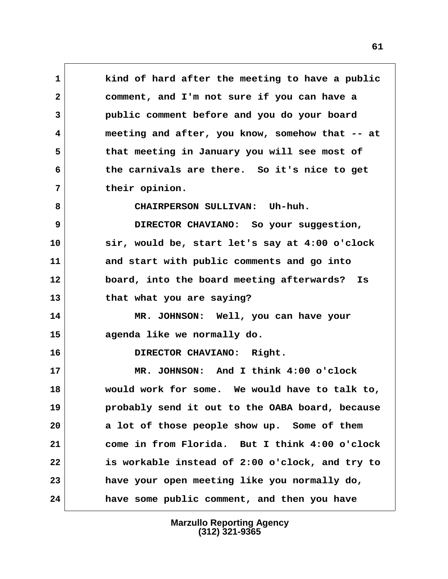**1 kind of hard after the meeting to have a public 2 comment, and I'm not sure if you can have a 3 public comment before and you do your board 4 meeting and after, you know, somehow that -- at 5 that meeting in January you will see most of 6 the carnivals are there. So it's nice to get 7 their opinion. 8 CHAIRPERSON SULLIVAN: Uh-huh. 9 DIRECTOR CHAVIANO: So your suggestion, 10 sir, would be, start let's say at 4:00 o'clock 11 and start with public comments and go into 12 board, into the board meeting afterwards? Is 13 that what you are saying? 14 MR. JOHNSON: Well, you can have your 15 agenda like we normally do. 16 DIRECTOR CHAVIANO: Right. 17 MR. JOHNSON: And I think 4:00 o'clock 18 would work for some. We would have to talk to, 19 probably send it out to the OABA board, because 20 a lot of those people show up. Some of them 21 come in from Florida. But I think 4:00 o'clock 22 is workable instead of 2:00 o'clock, and try to 23 have your open meeting like you normally do, 24 have some public comment, and then you have**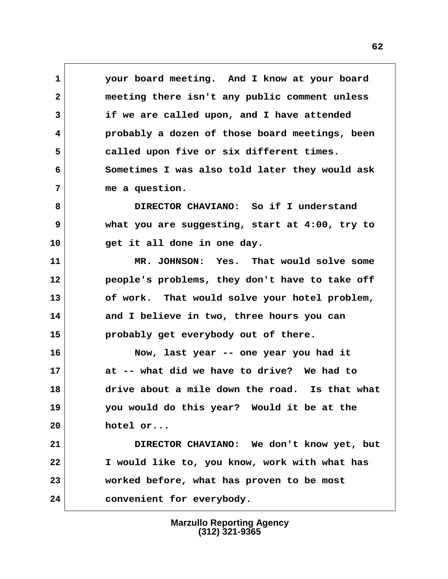**1 your board meeting. And I know at your board 2 meeting there isn't any public comment unless 3 if we are called upon, and I have attended 4 probably a dozen of those board meetings, been 5 called upon five or six different times. 6 Sometimes I was also told later they would ask 7 me a question.**

 **8 DIRECTOR CHAVIANO: So if I understand 9 what you are suggesting, start at 4:00, try to 10 get it all done in one day.**

**11 MR. JOHNSON: Yes. That would solve some 12 people's problems, they don't have to take off 13 of work. That would solve your hotel problem, 14 and I believe in two, three hours you can 15 probably get everybody out of there.**

**16 Now, last year -- one year you had it 17 at -- what did we have to drive? We had to 18 drive about a mile down the road. Is that what 19 you would do this year? Would it be at the 20 hotel or...**

**21 DIRECTOR CHAVIANO: We don't know yet, but 22 I would like to, you know, work with what has 23 worked before, what has proven to be most 24 convenient for everybody.**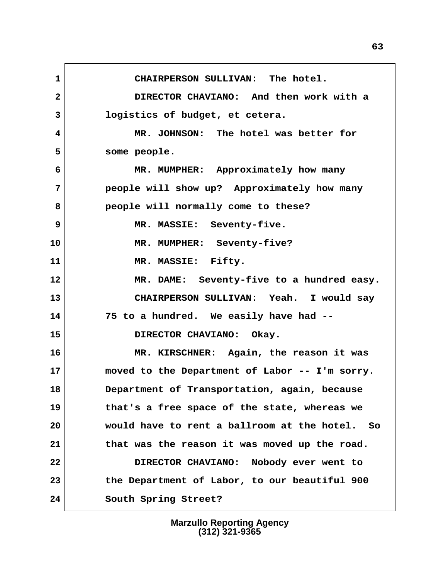**1 CHAIRPERSON SULLIVAN: The hotel. 2 DIRECTOR CHAVIANO: And then work with a 3 logistics of budget, et cetera. 4 MR. JOHNSON: The hotel was better for 5 some people. 6 MR. MUMPHER: Approximately how many 7 people will show up? Approximately how many 8 people will normally come to these? 9 MR. MASSIE: Seventy-five. 10 MR. MUMPHER: Seventy-five? 11 MR. MASSIE: Fifty. 12 MR. DAME: Seventy-five to a hundred easy. 13 CHAIRPERSON SULLIVAN: Yeah. I would say 14 75 to a hundred. We easily have had -- 15 DIRECTOR CHAVIANO: Okay. 16 MR. KIRSCHNER: Again, the reason it was 17 moved to the Department of Labor -- I'm sorry. 18 Department of Transportation, again, because 19 that's a free space of the state, whereas we 20 would have to rent a ballroom at the hotel. So 21 that was the reason it was moved up the road. 22 DIRECTOR CHAVIANO: Nobody ever went to 23 the Department of Labor, to our beautiful 900 24 South Spring Street?**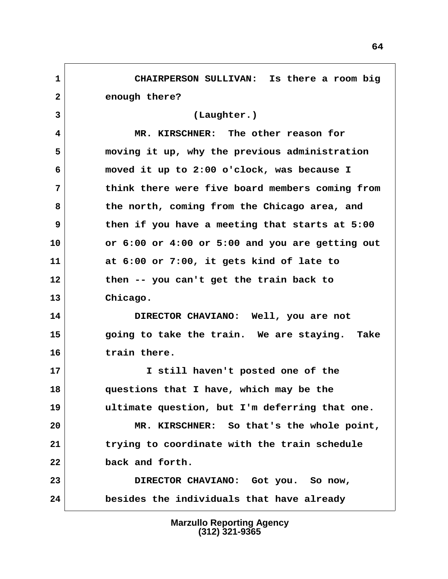**1 CHAIRPERSON SULLIVAN: Is there a room big 2 enough there? 3 (Laughter.) 4 MR. KIRSCHNER: The other reason for 5 moving it up, why the previous administration 6 moved it up to 2:00 o'clock, was because I 7 think there were five board members coming from 8 the north, coming from the Chicago area, and 9 then if you have a meeting that starts at 5:00 10 or 6:00 or 4:00 or 5:00 and you are getting out 11 at 6:00 or 7:00, it gets kind of late to 12 then -- you can't get the train back to 13 Chicago. 14 DIRECTOR CHAVIANO: Well, you are not 15 going to take the train. We are staying. Take 16 train there. 17 I still haven't posted one of the 18 questions that I have, which may be the 19 ultimate question, but I'm deferring that one. 20 MR. KIRSCHNER: So that's the whole point, 21 trying to coordinate with the train schedule 22 back and forth. 23 DIRECTOR CHAVIANO: Got you. So now, 24 besides the individuals that have already**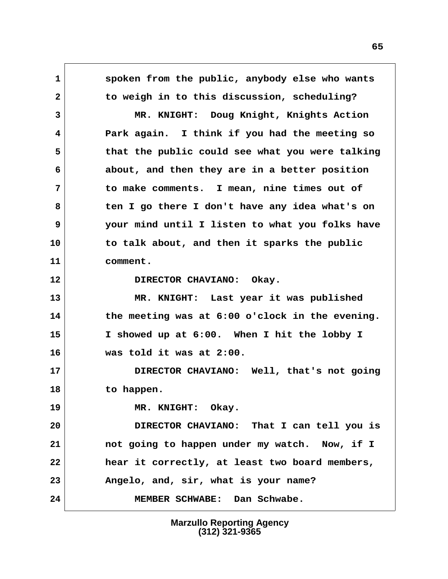**1 spoken from the public, anybody else who wants 2 to weigh in to this discussion, scheduling? 3 MR. KNIGHT: Doug Knight, Knights Action 4 Park again. I think if you had the meeting so 5 that the public could see what you were talking 6 about, and then they are in a better position 7 to make comments. I mean, nine times out of 8 ten I go there I don't have any idea what's on 9 your mind until I listen to what you folks have 10 to talk about, and then it sparks the public 11 comment.** 12 DIRECTOR CHAVIANO: Okay. **13 MR. KNIGHT: Last year it was published 14 the meeting was at 6:00 o'clock in the evening. 15 I showed up at 6:00. When I hit the lobby I 16 was told it was at 2:00. 17 DIRECTOR CHAVIANO: Well, that's not going 18 to happen. 19 MR. KNIGHT: Okay. 20 DIRECTOR CHAVIANO: That I can tell you is 21 not going to happen under my watch. Now, if I 22 hear it correctly, at least two board members, 23 Angelo, and, sir, what is your name? 24 MEMBER SCHWABE: Dan Schwabe.**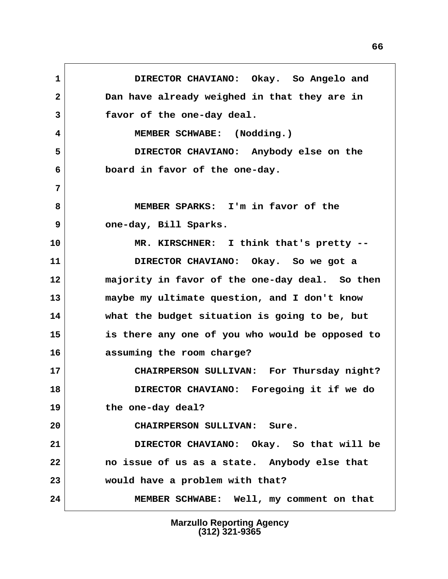**1 DIRECTOR CHAVIANO: Okay. So Angelo and 2 Dan have already weighed in that they are in 3 favor of the one-day deal.** 4 MEMBER SCHWABE: (Nodding.)  **5 DIRECTOR CHAVIANO: Anybody else on the 6 board in favor of the one-day. 7 8 MEMBER SPARKS: I'm in favor of the 9 one-day, Bill Sparks. 10 MR. KIRSCHNER: I think that's pretty -- 11 DIRECTOR CHAVIANO: Okay. So we got a 12 majority in favor of the one-day deal. So then 13 maybe my ultimate question, and I don't know 14 what the budget situation is going to be, but 15 is there any one of you who would be opposed to 16 assuming the room charge? 17 CHAIRPERSON SULLIVAN: For Thursday night? 18 DIRECTOR CHAVIANO: Foregoing it if we do 19 the one-day deal? 20 CHAIRPERSON SULLIVAN: Sure. 21 DIRECTOR CHAVIANO: Okay. So that will be 22 no issue of us as a state. Anybody else that 23 would have a problem with that? 24 MEMBER SCHWABE: Well, my comment on that**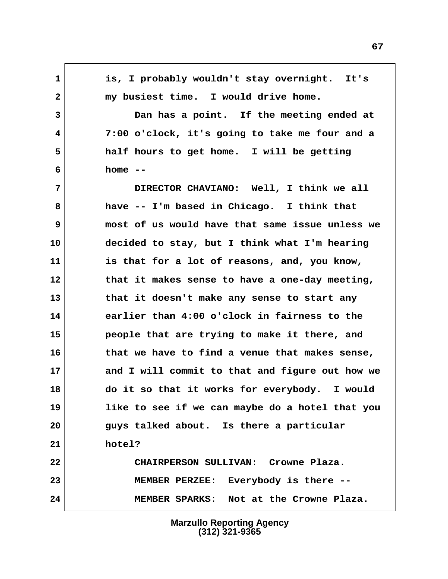**1 is, I probably wouldn't stay overnight. It's** 2 my busiest time. I would drive home.  **3 Dan has a point. If the meeting ended at 4 7:00 o'clock, it's going to take me four and a 5 half hours to get home. I will be getting 6 home -- 7 DIRECTOR CHAVIANO: Well, I think we all 8 have -- I'm based in Chicago. I think that 9 most of us would have that same issue unless we 10 decided to stay, but I think what I'm hearing 11 is that for a lot of reasons, and, you know, 12 that it makes sense to have a one-day meeting, 13 that it doesn't make any sense to start any 14 earlier than 4:00 o'clock in fairness to the 15 people that are trying to make it there, and 16 that we have to find a venue that makes sense, 17 and I will commit to that and figure out how we 18 do it so that it works for everybody. I would 19 like to see if we can maybe do a hotel that you 20 guys talked about. Is there a particular 21 hotel? 22 CHAIRPERSON SULLIVAN: Crowne Plaza. 23 MEMBER PERZEE: Everybody is there -- 24 MEMBER SPARKS: Not at the Crowne Plaza.**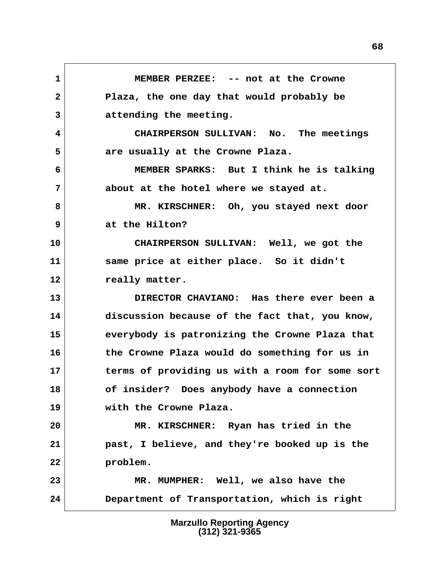**1 MEMBER PERZEE: -- not at the Crowne 2 Plaza, the one day that would probably be 3 attending the meeting. 4 CHAIRPERSON SULLIVAN: No. The meetings 5 are usually at the Crowne Plaza. 6 MEMBER SPARKS: But I think he is talking 7 about at the hotel where we stayed at. 8 MR. KIRSCHNER: Oh, you stayed next door 9 at the Hilton? 10 CHAIRPERSON SULLIVAN: Well, we got the 11 same price at either place. So it didn't** 12 really matter.

**13 DIRECTOR CHAVIANO: Has there ever been a 14 discussion because of the fact that, you know, 15 everybody is patronizing the Crowne Plaza that 16 the Crowne Plaza would do something for us in 17 terms of providing us with a room for some sort 18 of insider? Does anybody have a connection 19 with the Crowne Plaza.**

**20 MR. KIRSCHNER: Ryan has tried in the 21 past, I believe, and they're booked up is the 22 problem.**

**23 MR. MUMPHER: Well, we also have the 24 Department of Transportation, which is right**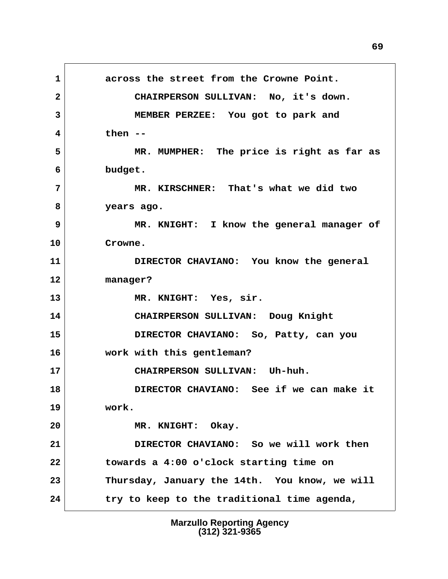**1 across the street from the Crowne Point. 2 CHAIRPERSON SULLIVAN: No, it's down. 3 MEMBER PERZEE: You got to park and 4 then -- 5 MR. MUMPHER: The price is right as far as 6 budget. 7 MR. KIRSCHNER: That's what we did two 8 years ago. 9 MR. KNIGHT: I know the general manager of 10 Crowne. 11 DIRECTOR CHAVIANO: You know the general 12 manager? 13 MR. KNIGHT: Yes, sir. 14 CHAIRPERSON SULLIVAN: Doug Knight 15 DIRECTOR CHAVIANO: So, Patty, can you 16 work with this gentleman? 17 CHAIRPERSON SULLIVAN: Uh-huh. 18 DIRECTOR CHAVIANO: See if we can make it 19 work. 20 MR. KNIGHT: Okay. 21 DIRECTOR CHAVIANO: So we will work then 22 towards a 4:00 o'clock starting time on 23 Thursday, January the 14th. You know, we will 24 try to keep to the traditional time agenda,**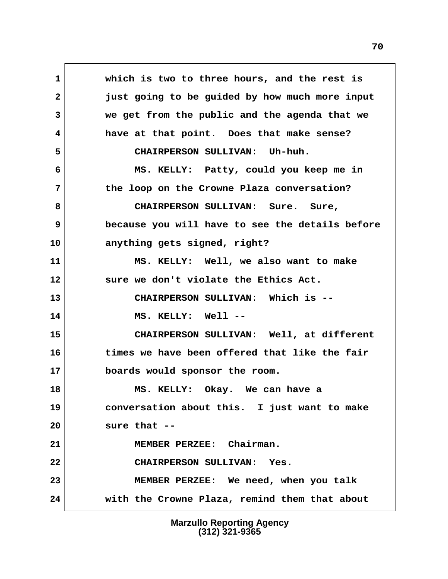**1 which is two to three hours, and the rest is 2 just going to be guided by how much more input 3 we get from the public and the agenda that we 4 have at that point. Does that make sense? 5 CHAIRPERSON SULLIVAN: Uh-huh. 6 MS. KELLY: Patty, could you keep me in 7 the loop on the Crowne Plaza conversation? 8 CHAIRPERSON SULLIVAN: Sure. Sure, 9 because you will have to see the details before 10 anything gets signed, right? 11 MS. KELLY: Well, we also want to make 12 sure we don't violate the Ethics Act. 13 CHAIRPERSON SULLIVAN: Which is -- 14 MS. KELLY: Well -- 15 CHAIRPERSON SULLIVAN: Well, at different 16 times we have been offered that like the fair 17 boards would sponsor the room. 18 MS. KELLY: Okay. We can have a 19 conversation about this. I just want to make 20 sure that -- 21 MEMBER PERZEE: Chairman. 22 CHAIRPERSON SULLIVAN: Yes. 23 MEMBER PERZEE: We need, when you talk 24 with the Crowne Plaza, remind them that about**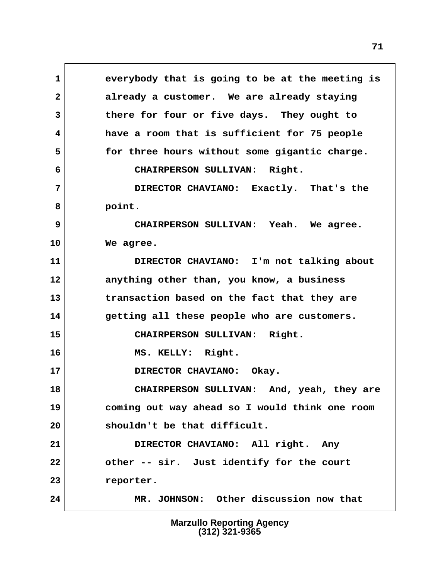**1 everybody that is going to be at the meeting is 2 already a customer. We are already staying 3 there for four or five days. They ought to 4 have a room that is sufficient for 75 people 5 for three hours without some gigantic charge. 6 CHAIRPERSON SULLIVAN: Right. 7 DIRECTOR CHAVIANO: Exactly. That's the 8 point. 9 CHAIRPERSON SULLIVAN: Yeah. We agree. 10 We agree. 11 DIRECTOR CHAVIANO: I'm not talking about 12 anything other than, you know, a business 13 transaction based on the fact that they are 14 getting all these people who are customers. 15 CHAIRPERSON SULLIVAN: Right. 16 MS. KELLY: Right. 17 DIRECTOR CHAVIANO: Okay. 18 CHAIRPERSON SULLIVAN: And, yeah, they are 19 coming out way ahead so I would think one room 20 shouldn't be that difficult. 21 DIRECTOR CHAVIANO: All right. Any 22 other -- sir. Just identify for the court 23 reporter. 24 MR. JOHNSON: Other discussion now that**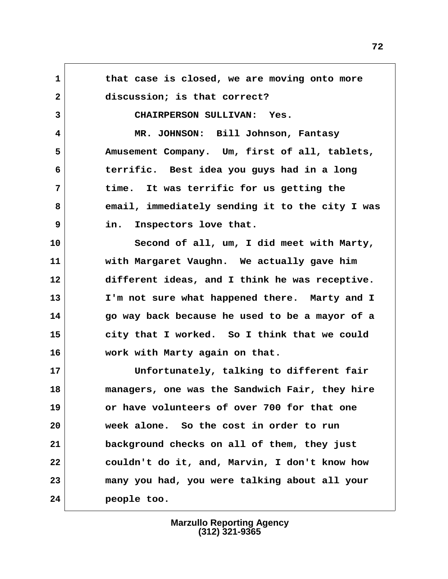**1 that case is closed, we are moving onto more** 2 discussion; is that correct?  **3 CHAIRPERSON SULLIVAN: Yes. 4 MR. JOHNSON: Bill Johnson, Fantasy 5 Amusement Company. Um, first of all, tablets, 6 terrific. Best idea you guys had in a long 7 time. It was terrific for us getting the 8 email, immediately sending it to the city I was 9 in. Inspectors love that. 10 Second of all, um, I did meet with Marty, 11 with Margaret Vaughn. We actually gave him 12 different ideas, and I think he was receptive. 13 I'm not sure what happened there. Marty and I 14 go way back because he used to be a mayor of a 15 city that I worked. So I think that we could 16 work with Marty again on that. 17 Unfortunately, talking to different fair 18 managers, one was the Sandwich Fair, they hire 19 or have volunteers of over 700 for that one 20 week alone. So the cost in order to run 21 background checks on all of them, they just 22 couldn't do it, and, Marvin, I don't know how 23 many you had, you were talking about all your 24 people too.**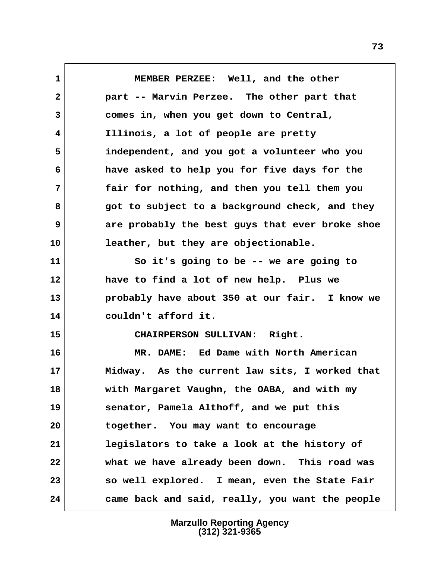**1 MEMBER PERZEE: Well, and the other 2 part -- Marvin Perzee. The other part that 3 comes in, when you get down to Central, 4 Illinois, a lot of people are pretty 5 independent, and you got a volunteer who you 6 have asked to help you for five days for the 7 fair for nothing, and then you tell them you 8 got to subject to a background check, and they 9 are probably the best guys that ever broke shoe 10 leather, but they are objectionable. 11 So it's going to be -- we are going to 12 have to find a lot of new help. Plus we 13 probably have about 350 at our fair. I know we 14 couldn't afford it. 15 CHAIRPERSON SULLIVAN: Right. 16 MR. DAME: Ed Dame with North American 17 Midway. As the current law sits, I worked that 18 with Margaret Vaughn, the OABA, and with my 19 senator, Pamela Althoff, and we put this 20 together. You may want to encourage 21 legislators to take a look at the history of 22 what we have already been down. This road was 23 so well explored. I mean, even the State Fair 24 came back and said, really, you want the people**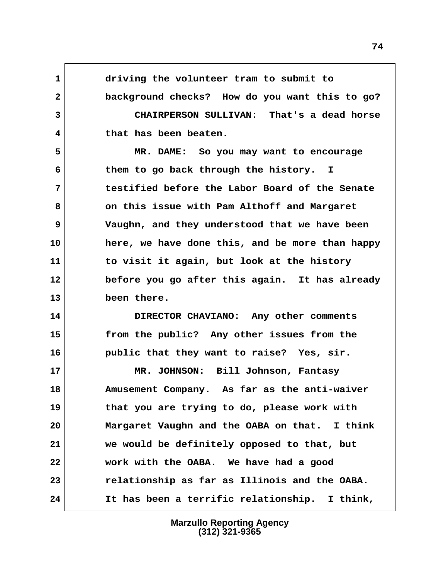**1 driving the volunteer tram to submit to 2 background checks? How do you want this to go? 3 CHAIRPERSON SULLIVAN: That's a dead horse 4 that has been beaten. 5 MR. DAME: So you may want to encourage 6 them to go back through the history. I 7 testified before the Labor Board of the Senate 8 on this issue with Pam Althoff and Margaret 9 Vaughn, and they understood that we have been 10 here, we have done this, and be more than happy 11 to visit it again, but look at the history 12 before you go after this again. It has already 13 been there. 14 DIRECTOR CHAVIANO: Any other comments 15 from the public? Any other issues from the 16 public that they want to raise? Yes, sir. 17 MR. JOHNSON: Bill Johnson, Fantasy 18 Amusement Company. As far as the anti-waiver 19 that you are trying to do, please work with 20 Margaret Vaughn and the OABA on that. I think 21 we would be definitely opposed to that, but 22 work with the OABA. We have had a good 23 relationship as far as Illinois and the OABA. 24 It has been a terrific relationship. I think,**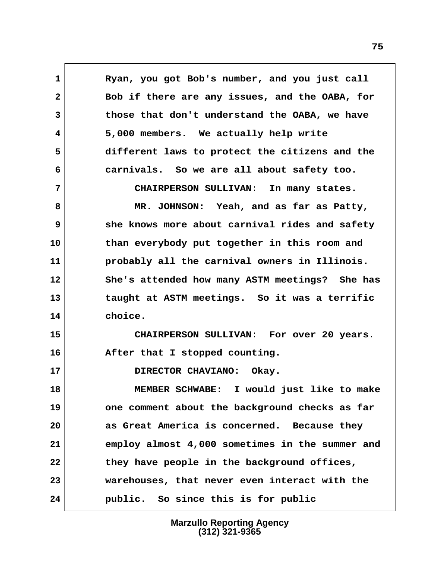1 Ryan, you got Bob's number, and you just call  **2 Bob if there are any issues, and the OABA, for 3 those that don't understand the OABA, we have 4 5,000 members. We actually help write 5 different laws to protect the citizens and the 6 carnivals. So we are all about safety too. 7 CHAIRPERSON SULLIVAN: In many states. 8 MR. JOHNSON: Yeah, and as far as Patty, 9 she knows more about carnival rides and safety 10 than everybody put together in this room and 11 probably all the carnival owners in Illinois. 12 She's attended how many ASTM meetings? She has 13 taught at ASTM meetings. So it was a terrific 14 choice. 15 CHAIRPERSON SULLIVAN: For over 20 years. 16 After that I stopped counting. 17 DIRECTOR CHAVIANO: Okay. 18 MEMBER SCHWABE: I would just like to make**

**19 one comment about the background checks as far 20 as Great America is concerned. Because they 21 employ almost 4,000 sometimes in the summer and 22 they have people in the background offices, 23 warehouses, that never even interact with the 24 public. So since this is for public**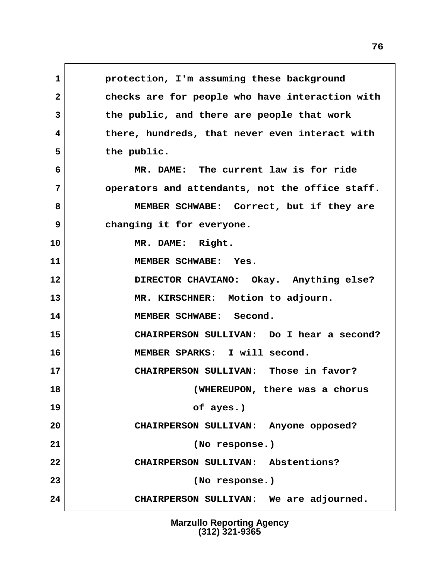**1 protection, I'm assuming these background 2 checks are for people who have interaction with 3 the public, and there are people that work 4 there, hundreds, that never even interact with 5 the public. 6 MR. DAME: The current law is for ride 7 operators and attendants, not the office staff. 8 MEMBER SCHWABE: Correct, but if they are 9 changing it for everyone. 10 MR. DAME: Right. 11 MEMBER SCHWABE: Yes. 12 DIRECTOR CHAVIANO: Okay. Anything else? 13 MR. KIRSCHNER: Motion to adjourn. 14 MEMBER SCHWABE: Second. 15 CHAIRPERSON SULLIVAN: Do I hear a second? 16 MEMBER SPARKS: I will second. 17 CHAIRPERSON SULLIVAN: Those in favor? 18 (WHEREUPON, there was a chorus 19 of ayes.) 20 CHAIRPERSON SULLIVAN: Anyone opposed? 21 (No response.) 22 CHAIRPERSON SULLIVAN: Abstentions? 23 (No response.) 24 CHAIRPERSON SULLIVAN: We are adjourned.**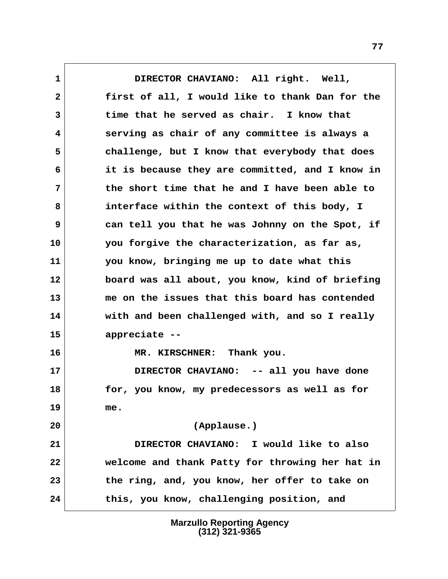**1 DIRECTOR CHAVIANO: All right. Well, 2 first of all, I would like to thank Dan for the 3 time that he served as chair. I know that 4 serving as chair of any committee is always a 5 challenge, but I know that everybody that does 6 it is because they are committed, and I know in 7 the short time that he and I have been able to 8 interface within the context of this body, I 9 can tell you that he was Johnny on the Spot, if 10 you forgive the characterization, as far as, 11 you know, bringing me up to date what this 12 board was all about, you know, kind of briefing 13 me on the issues that this board has contended 14 with and been challenged with, and so I really 15 appreciate -- 16 MR. KIRSCHNER: Thank you. 17 DIRECTOR CHAVIANO: -- all you have done 18 for, you know, my predecessors as well as for 19 me. 20 (Applause.) 21 DIRECTOR CHAVIANO: I would like to also 22 welcome and thank Patty for throwing her hat in 23 the ring, and, you know, her offer to take on 24 this, you know, challenging position, and**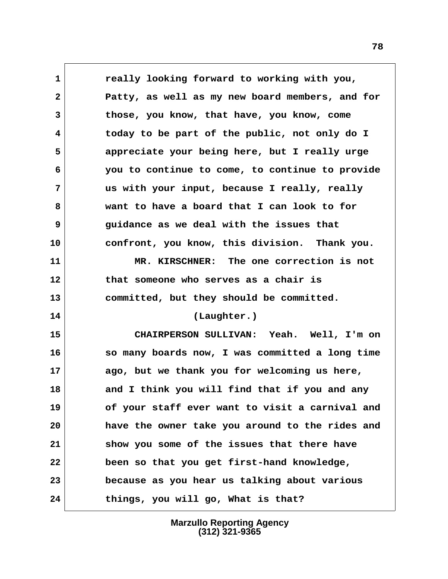**1 really looking forward to working with you, 2 Patty, as well as my new board members, and for 3 those, you know, that have, you know, come 4 today to be part of the public, not only do I 5 appreciate your being here, but I really urge 6 you to continue to come, to continue to provide 7 us with your input, because I really, really 8 want to have a board that I can look to for 9 guidance as we deal with the issues that 10 confront, you know, this division. Thank you. 11 MR. KIRSCHNER: The one correction is not 12 that someone who serves as a chair is 13 committed, but they should be committed. 14 (Laughter.) 15 CHAIRPERSON SULLIVAN: Yeah. Well, I'm on 16 so many boards now, I was committed a long time 17 ago, but we thank you for welcoming us here, 18 and I think you will find that if you and any 19 of your staff ever want to visit a carnival and 20 have the owner take you around to the rides and 21 show you some of the issues that there have 22 been so that you get first-hand knowledge, 23 because as you hear us talking about various 24 things, you will go, What is that?**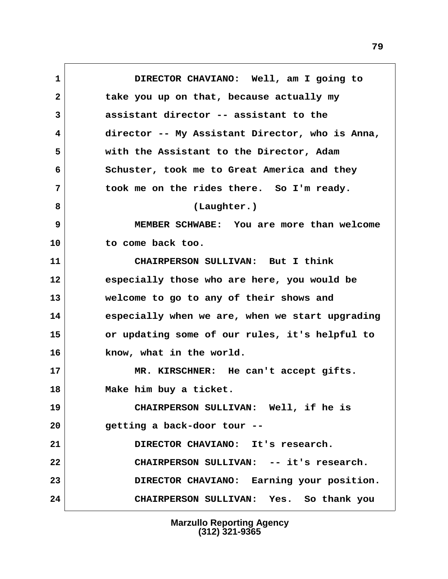**1 DIRECTOR CHAVIANO: Well, am I going to 2 take you up on that, because actually my 3 assistant director -- assistant to the 4 director -- My Assistant Director, who is Anna, 5 with the Assistant to the Director, Adam 6 Schuster, took me to Great America and they 7 took me on the rides there. So I'm ready. 8 (Laughter.) 9 MEMBER SCHWABE: You are more than welcome 10 to come back too. 11 CHAIRPERSON SULLIVAN: But I think 12 especially those who are here, you would be 13 welcome to go to any of their shows and 14 especially when we are, when we start upgrading 15 or updating some of our rules, it's helpful to 16 know, what in the world. 17 MR. KIRSCHNER: He can't accept gifts. 18 Make him buy a ticket. 19 CHAIRPERSON SULLIVAN: Well, if he is 20 getting a back-door tour -- 21 DIRECTOR CHAVIANO: It's research. 22 CHAIRPERSON SULLIVAN: -- it's research. 23 DIRECTOR CHAVIANO: Earning your position. 24 CHAIRPERSON SULLIVAN: Yes. So thank you**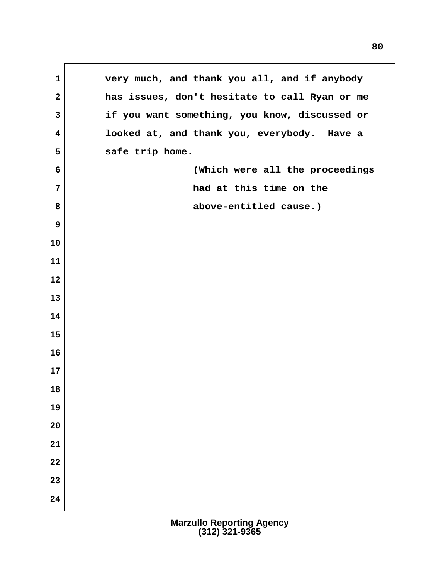**1 very much, and thank you all, and if anybody 2 has issues, don't hesitate to call Ryan or me 3 if you want something, you know, discussed or 4 looked at, and thank you, everybody. Have a 5 safe trip home. 6 (Which were all the proceedings 7 had at this time on the** 8 above-entitled cause.)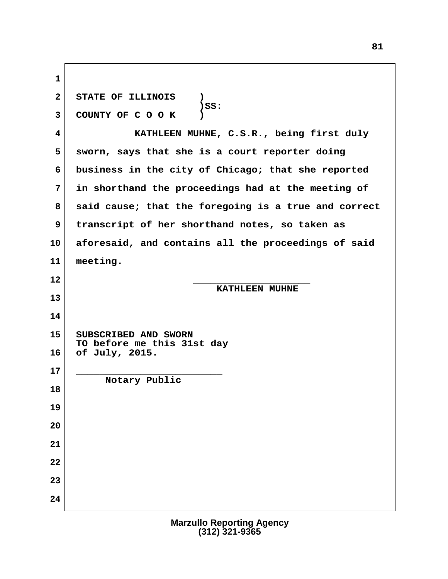| $\mathbf{1}$            |                                                      |  |
|-------------------------|------------------------------------------------------|--|
| $\overline{2}$          | STATE OF ILLINOIS<br>$\mathbf{r}$                    |  |
| $\overline{3}$          | $)$ SS:<br>COUNTY OF COOK                            |  |
| $\overline{\mathbf{4}}$ | KATHLEEN MUHNE, C.S.R., being first duly             |  |
| 5                       | sworn, says that she is a court reporter doing       |  |
| 6                       | business in the city of Chicago; that she reported   |  |
| $\overline{7}$          | in shorthand the proceedings had at the meeting of   |  |
| 8                       | said cause; that the foregoing is a true and correct |  |
| 9                       | transcript of her shorthand notes, so taken as       |  |
| 10                      | aforesaid, and contains all the proceedings of said  |  |
| 11                      | meeting.                                             |  |
| 12                      | <b>KATHLEEN MUHNE</b>                                |  |
| 13                      |                                                      |  |
| 14                      |                                                      |  |
| 15                      | SUBSCRIBED AND SWORN<br>TO before me this 31st day   |  |
| 16                      | of July, 2015.                                       |  |
| 17                      | Notary Public                                        |  |
| 18                      |                                                      |  |
| 19                      |                                                      |  |
| 20                      |                                                      |  |
| 21                      |                                                      |  |
| 22                      |                                                      |  |
| 23                      |                                                      |  |
| 24                      |                                                      |  |

 $\Gamma$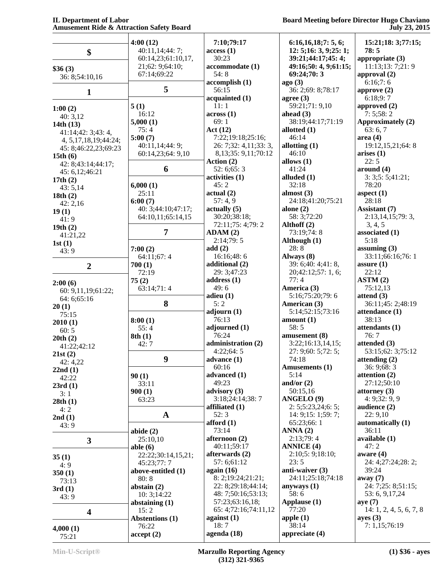|                                  | 4:00(12)               | 7:10;79:17                        | 6:16,16,18;7:5,6;                    | 15:21;18: 3;77:15;                  |
|----------------------------------|------------------------|-----------------------------------|--------------------------------------|-------------------------------------|
| \$                               | 40:11,14;44: 7;        | access(1)                         | 12: 5;16: 3, 9;25: 1;                | 78:5                                |
|                                  | 60:14,23;61:10,17,     | 30:23                             | 39:21;44:17;45: 4;                   | appropriate $(3)$                   |
| \$36(3)                          | 21;62:9;64:10;         | accommodate (1)                   | 49:16;50: 4, 9;61:15;                | 11:13;13: 7;21: 9                   |
| 36: 8;54:10,16                   | 67:14;69:22            | 54:8                              | 69:24;70:3                           | approval $(2)$                      |
|                                  |                        | accomplish(1)                     | ago(3)                               | 6:16;7:6                            |
| $\mathbf{1}$                     | 5                      | 56:15                             | 36: 2;69: 8;78:17                    | approve $(2)$                       |
|                                  |                        | acquainted (1)                    | agree $(3)$                          | 6:18;9:7                            |
| 1:00(2)                          | 5(1)                   | 11:1                              | 59:21;71: 9,10                       | approved (2)                        |
| 40:3,12                          | 16:12                  | across(1)                         | ahead $(3)$                          | 7:5;58:2                            |
| 14th $(13)$                      | 5,000(1)<br>75:4       | 69:1                              | 38:19;44:17;71:19<br>allotted $(1)$  | Approximately (2)                   |
| 41:14;42: 3;43: 4,               | 5:00(7)                | Act(12)<br>7:22;19:18;25:16;      | 46:14                                | 63:6,7<br>area(4)                   |
| 4, 5, 17, 18, 19; 44: 24;        | 40:11,14;44: 9;        | 26: 7;32: 4,11;33: 3,             | allotting $(1)$                      | 19:12,15,21;64:8                    |
| 45: 8;46:22,23;69:23             | 60:14,23;64: 9,10      | 8, 13; 35: 9, 11; 70: 12          | 46:10                                | arises (1)                          |
| 15th $(6)$<br>42: 8;43:14;44:17; |                        | Action (2)                        | allows $(1)$                         | 22:5                                |
| 45: 6, 12; 46: 21                | 6                      | 52: 6;65: 3                       | 41:24                                | around (4)                          |
| 17th $(2)$                       |                        | activities (1)                    | alluded $(1)$                        | 3:3;5:5;41:21;                      |
| 43:5,14                          | 6,000(1)               | 45:2                              | 32:18                                | 78:20                               |
| 18th(2)                          | 25:11                  | actual(2)                         | almost $(3)$                         | aspect $(1)$                        |
| 42:2,16                          | 6:00(7)                | 57:4.9                            | 24:18;41:20;75:21                    | 28:18                               |
| 19(1)                            | 40: 3;44:10;47:17;     | actually(5)                       | alone $(2)$                          | Assistant (7)                       |
| 41:9                             | 64:10,11;65:14,15      | 30:20;38:18;<br>72:11;75: 4;79: 2 | 58: 3;72:20<br>Althoff (2)           | 2:13,14,15;79:3,<br>3, 4, 5         |
| 19th(2)                          | $\overline{7}$         | ADAM(2)                           | 73:19;74:8                           | associated (1)                      |
| 41:21,22                         |                        | 2:14;79:5                         | Although (1)                         | 5:18                                |
| 1st(1)                           | 7:00(2)                | add(2)                            | 28:8                                 | assuming $(3)$                      |
| 43:9                             | 64:11;67:4             | 16:16;48:6                        | Always (8)                           | 33:11;66:16;76:1                    |
| $\overline{2}$                   | 700(1)                 | additional (2)                    | 39: 6;40: 4;41: 8,                   | assure $(1)$                        |
|                                  | 72:19                  | 29: 3;47:23                       | 20;42:12;57: 1, 6;                   | 22:12                               |
| 2:00(6)                          | 75(2)                  | address $(1)$                     | 77:4                                 | ASTM(2)                             |
| 60: 9,11,19;61:22;               | 63:14;71:4             | 49:6                              | America (3)                          | 75:12,13                            |
| 64: 6; 65: 16                    |                        | adieu $(1)$                       | 5:16;75:20;79:6                      | attend $(3)$                        |
| 20(1)                            | 8                      | 5:2                               | American (3)<br>5:14;52:15;73:16     | 36:11;45: 2;48:19<br>attendance (1) |
| 75:15                            | 8:00(1)                | adjourn(1)<br>76:13               | amount(1)                            | 38:13                               |
| 2010(1)                          | 55:4                   | adjourned (1)                     | 58:5                                 | attendants (1)                      |
| 60:5                             | 8th(1)                 | 76:24                             | amusement (8)                        | 76:7                                |
| 20th(2)<br>41:22;42:12           | 42:7                   | administration (2)                | 3:22;16:13,14,15;                    | attended (3)                        |
| 21st(2)                          |                        | 4:22;64:5                         | 27: 9;60: 5;72: 5;                   | 53:15;62: 3;75:12                   |
| 42: 4,22                         | 9                      | advance $(1)$                     | 74:18                                | attending $(2)$                     |
| 22nd(1)                          |                        | 60:16                             | Amusements (1)                       | 36: 9;68: 3                         |
| 42:22                            | 90(1)                  | advanced (1)                      | 5:14                                 | attention $(2)$                     |
| 23rd(1)                          | 33:11                  | 49:23                             | and/or $(2)$                         | 27:12;50:10                         |
| 3:1                              | 900(1)<br>63:23        | advisory (3)<br>3:18;24:14;38:7   | 50:15,16<br>ANGELO <sup>(9)</sup>    | attorney $(3)$<br>4: 9:32:9.9       |
| 28th(1)                          |                        | affiliated (1)                    | 2: 5; 5: 23, 24; 6: 5;               | audience $(2)$                      |
| 4:2                              | $\mathbf{A}$           | 52:3                              | 14: 9;15: 1;59: 7;                   | 22:9,10                             |
| 2nd(1)<br>43:9                   |                        | afford $(1)$                      | 65:23;66: 1                          | automatically (1)                   |
|                                  | abide $(2)$            | 73:14                             | ANNA(2)                              | 36:11                               |
| $\overline{\mathbf{3}}$          | 25:10,10               | afternoon (2)                     | 2:13;79:4                            | available (1)                       |
|                                  | able $(6)$             | 40:11;59:17                       | <b>ANNICE (4)</b>                    | 47:2                                |
| 35(1)                            | 22:22;30:14,15,21;     | afterwards (2)                    | 2:10;5:9;18:10;                      | aware $(4)$                         |
| 4:9                              | 45:23;77:7             | 57: 6:61:12                       | 23:5                                 | 24: 4;27:24;28: 2;                  |
| 350(1)                           | above-entitled (1)     | again $(16)$<br>8: 2;19:24;21:21; | anti-waiver (3)<br>24:11;25:18;74:18 | 39:24                               |
| 73:13                            | 80:8<br>abstain $(2)$  | 22: 8;29:18;44:14;                | anyways $(1)$                        | away $(7)$<br>24: 7;25: 8;51:15;    |
| 3rd(1)                           | 10: 3; 14:22           | 48: 7;50:16;53:13;                | 58:6                                 | 53: 6, 9, 17, 24                    |
| 43:9                             | abstaining $(1)$       | 57:23;63:16,18;                   | Applause (1)                         | aye(7)                              |
| $\overline{\mathbf{4}}$          | 15:2                   | 65: 4;72:16;74:11,12              | 77:20                                | 14: 1, 2, 4, 5, 6, 7, 8             |
|                                  | <b>Abstentions (1)</b> | against $(1)$                     | apple $(1)$                          | ayes(3)                             |
| 4,000(1)                         | 76:22                  | 18:7                              | 38:14                                | 7: 1,15;76:19                       |
| 75:21                            | accept(2)              | agenda (18)                       | appreciate (4)                       |                                     |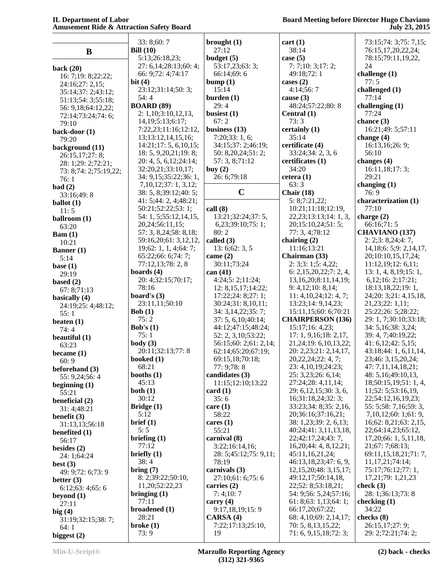|                                     | 33: 8;60: 7                                | brought $(1)$           | cart(1)                                     | 73:15:74: 3:75: 7.15:                |
|-------------------------------------|--------------------------------------------|-------------------------|---------------------------------------------|--------------------------------------|
| $\bf{B}$                            | Bill $(10)$                                | 27:12                   | 38:14                                       | 76:15,17,20,22,24;                   |
|                                     | 5:13;26:18,23;                             | budget $(5)$            | case $(5)$                                  | 78:15;79:11,19,22,                   |
| back $(20)$                         | 27: 6,14;28:13;60: 4;                      | 53:17,23;63: 3;         | 7:7;10:3;17:2;                              | 24                                   |
| 16: 7;19: 8;22:22;                  | 66: 9;72: 4;74:17                          | 66:14;69:6              | 49:18;72:1                                  | challenge (1)                        |
| 24:16;27: 2,15;                     | bit $(4)$                                  | bump(1)                 | cases $(2)$                                 | 77:5                                 |
| 35:14;37: 2;43:12;                  | 23:12;31:14;50:3;                          | 15:14                   | 4:14;56:7                                   | challenged (1)                       |
| 51:13;54: 3;55:18;                  | 54:4                                       | burden $(1)$            | cause $(3)$                                 | 77:14                                |
| 56: 9,18;64:12,22;                  | <b>BOARD (89)</b>                          | 29:4                    | 48:24;57:22;80:8                            | challenging $(1)$                    |
| 72:14;73:24;74:6;                   | 2: 1,10; 3:10,12,13,                       | busiest (1)             | Central (1)                                 | 77:24                                |
| 79:10                               | 14, 19; 5: 13; 6: 17;                      | 67:2                    | 73:3                                        | chance $(3)$                         |
| back-door (1)                       | 7:22,23;11:16;12:12,                       | business $(13)$         | certainly (1)                               | 16:21;49: 5;57:11                    |
| 79:20                               | 13;13:12,14,15,16;                         | 7:20;33:1,6;            | 35:14                                       | change $(4)$                         |
| background (11)                     | 14:21;17:5, 6,10,15;                       | 34:15;37: 2;46:19;      | certificate (4)                             | 16:13,16;26: 9;                      |
| 26:15,17;27: 8;                     | 18: 5, 9, 20, 21; 19: 8;                   | 50: 8,20,24;51: 2;      | 33:24;34:2,3,6                              | 56:10                                |
| 28: 1;29: 2;72:21;                  | 20: 4, 5, 6, 12; 24: 14;                   | 57: 3, 8;71:12          | certificates (1)                            | changes (4)                          |
| 73: 8;74: 2;75:19,22;               | 32:20,21;33:10,17;                         | buy $(2)$               | 34:20                                       | 16:11,18;17:3;                       |
| 76:1                                | 34: 9,15;35:22;36: 1,                      | 26: 6;79:18             | cetera(1)                                   | 29:21                                |
| bad(2)                              | 7,10,12;37:1,3,12;                         | $\mathbf C$             | 63:3                                        | changing $(1)$<br>76:9               |
| 33:16;49:8                          | 38: 5, 8;39:12;40: 5;                      |                         | Chair $(18)$<br>5: 8; 7:21,22;              | characterization (1)                 |
| ballot $(1)$                        | 41: 5;44: 2, 4;48:21;<br>50:21;52:22;53:1; | call(8)                 | 10:21;11:18;12:19,                          | 77:10                                |
| 11:5                                | 54: 1, 5;55:12,14,15,                      | 13:21;32:24;37:5,       | 22, 23; 13: 13; 14: 1, 3,                   | charge $(2)$                         |
| ballroom (1)                        | 20,24;56:11,15;                            | 6,23;39:10;75:1;        | 20;15:10,24;51:5;                           | 66:16:71:5                           |
| 63:20                               | 57: 3, 8, 24; 58: 8, 18;                   | 80:2                    | 77: 3, 4;78:12                              | <b>CHAVIANO</b> (137)                |
| $\text{Bam}(1)$                     | 59:16,20;61: 3,12,12,                      | called (3)              | chairing $(2)$                              | 2: 2; 3: 8, 24; 4: 7,                |
| 10:21                               | 19;62:1, 1, 4;64:7;                        | 13: 6; 62: 3, 5         | 11:16;13:21                                 | 14, 18; 6: 5; 9: 2, 14, 17,          |
| Banner (1)                          | 65:22;66: 6;74: 7;                         | came $(2)$              | Chairman (33)                               | 20;10:10,15,17,24;                   |
| 5:14                                | 77:12,13;78:2,8                            | 30:11;73:24             | 2: 3; 3: 1; 5: 4, 22;                       | 11:12,19;12:6,11;                    |
| base $(1)$                          | boards $(4)$                               | can $(41)$              | 6: 2,15,20,22;7:2,4,                        | 13: 1, 4, 8, 19; 15: 1,              |
| 29:19                               | 20: 4;32:15;70:17;                         | 4:24;5: 2;11:24;        | 13, 16, 20; 8: 11, 14, 19;                  | 6, 12; 16: 2; 17:21;                 |
| based $(2)$                         | 78:16                                      | 12: 8, 15, 17; 14:22;   | 9: 4,12;10: 8,14;                           | 18:13,18,22;19:1,                    |
| 67: 8;71:13                         | board's $(3)$                              | 17:22;24:8;27:1;        | 11: 4, 10, 24; 12: 4, 7;                    | 24;20: 3;21: 4,15,18,                |
| basically (4)<br>24:19;25: 4;48:12; | 23:11,11;50:10                             | 30:24;31:8,10,11;       | 13:23;14: 9,14,23;                          | 21, 23; 22: 1, 11;                   |
| 55:1                                | Bob(1)                                     | 34: 3, 14, 22; 35: 7;   | 15:11,15;60: 6;70:21                        | 25:22;26: 5;28:22;                   |
| beaten $(1)$                        | 75:2                                       | 37: 5, 6, 10; 40: 14;   | <b>CHAIRPERSON (136)</b>                    | 29: 1, 7;30:10;33:18;                |
| 74:4                                | Bob's $(1)$                                | 44:12;47:15;48:24;      | 15:17;16:4,23;                              | 34: 5, 16; 38: 3, 24;                |
| beautiful (1)                       | 75:1                                       | 52: 2, 3, 10; 53: 22;   | 17: 1, 9, 16; 18: 2, 17,                    | 39: 4, 7;40:19,22;                   |
| 63:23                               | body(3)                                    | 56:15;60: 2;61: 2,14;   | 21, 24; 19: 6, 10, 13, 22;                  | 41: 6,12;42: 5,15;                   |
| became $(1)$                        | 20:11;32:13;77:8                           | 62:14;65:20;67:19;      | 20: 2,23;21: 2,14,17,                       | 43:18;44: 1, 6, 11, 14,              |
| 60:9                                | booked $(1)$                               | 69:15,18;70:18;         | 20, 22, 24; 22: 4, 7;                       | 23;46: 3,15,20,24;                   |
| beforehand (3)                      | 68:21                                      | 77: 9;78: 8             | 23: 4, 10, 19; 24: 23;                      | 47: 7,11,14,18,21;                   |
| 55: 9,24;56: 4                      | booths $(1)$                               | candidates $(3)$        | 25: 3,23;26: 6,14;                          | 48: 5, 16; 49: 10, 13,               |
| beginning $(1)$                     | 45:13                                      | 11:15;12:10;13:22       | 27:24;28: 4,11,14;                          | 18;50:15,19;51: 1, 4,                |
| 55:21                               | both $(1)$                                 | card $(1)$              | 29: 6,12,15;30:3,6,                         | 11;52: 5;53:16,19,                   |
| beneficial (2)                      | 30:12                                      | 35:6                    | 16;31:18,24;32:3;                           | 22;54:12,16,19,23;                   |
| 31: 4;48:21                         | Bridge $(1)$                               | care(1)                 | 33:23;34: 8;35: 2,16,                       | 55: 5;58: 7,16;59: 3,                |
| benefit $(3)$                       | 5:12                                       | 58:22                   | 20;36:16;37:16,21;                          | 7, 10, 12; 60: 1; 61: 9,             |
| 31:13,13;56:18                      | brief (1)                                  | cares $(1)$             | 38: 1,23;39: 2, 6,13;                       | 16;62:8,21;63:2,15,                  |
| benefited (1)                       | 5:5                                        | 55:21                   | 40:24;41: 3,11,13,18,                       | 22;64:14,23;65:12,                   |
| 56:17                               | briefing $(1)$                             | carnival (8)            | 22;42:17,24;43:7,                           | 17, 20; 66: 1, 5, 11, 18,            |
| besides $(2)$                       | 77:12                                      | 3:22;16:14,16;          | 16,20;44:4,8,12,21;                         | 21;67: 7;68:13;                      |
| 24: 1;64:24                         | briefly $(1)$                              | 28: 5;45:12;75: 9,11;   | 45:11,16,21,24;                             | 69:11,15,18,21;71:7,                 |
| best $(3)$                          | 38:4                                       | 78:19                   | 46:13,18,23;47: 6, 9,                       | 11, 17, 21; 74: 14;                  |
| 49: 9;72: 6;73: 9                   | bring(7)                                   | carnivals $(3)$         | 12, 15, 20; 48: 3, 15, 17;                  | 75:17;76:12;77:1,                    |
| better $(3)$                        | 8: 2;39:22;50:10,<br>11,20;52:22,23        | 27:10;61: 6;75: 6       | 49:12,17;50:14,18,                          | 17, 21; 79: 1, 21, 23<br>check $(3)$ |
| 6:12;63:4;65:6                      |                                            | carries $(2)$           | 22;52: 8;53:18,21;<br>54: 9;56: 5,24;57:16; | 28: 1;36:13;73: 8                    |
| beyond $(1)$                        | bringing $(1)$<br>77:11                    | 7:4;10:7<br>carry $(4)$ | 61: 8; 63: 1, 13; 64: 1;                    | checking (1)                         |
| 27:11                               | broadened (1)                              | 9:17,18,19;15:9         | 66:17,20;67:22;                             | 34:22                                |
| big $(4)$                           | 28:21                                      | CARSA(4)                | 68: 4, 10; 69: 2, 14, 17;                   | checks (8)                           |
| 31:19;32:15;38:7;                   | $b$ roke $(1)$                             | 7:22;17:13;25:10,       | 70: 5, 8, 13, 15, 22;                       | 26:15,17;27: 9;                      |
| 64:1                                | 73:9                                       | 19                      | 71: 6, 9, 15, 18; 72: 3;                    | 29: 2;72:21;74: 2;                   |
| biggest $(2)$                       |                                            |                         |                                             |                                      |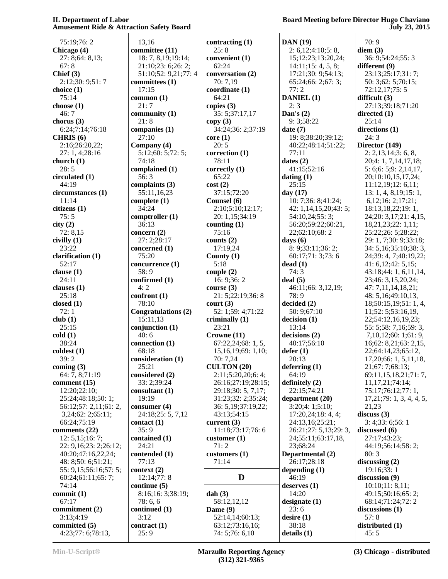**Board Meeting before Director Hugo Chaviano July 23, 2015**

 75:19;76: 2 **Chicago (4)** 27: 8;64: 8,13; 67: 8 **Chief (3)** 2:12;30: 9;51: 7 **choice (1)** 75:14 **choose (1)** 46: 7 **chorus (3)** 6:24;7:14;76:18 **CHRIS (6)** 2:16;26:20,22; 27: 1, 4;28:16 **church (1)** 28: 5 **circulated (1)** 44:19 **circumstances (1)** 11:14 **citizens (1)** 75: 5 **city (2)** 72: 8,15 **civilly (1)** 23:22 **clarification (1)** 52:17 **clause (1)** 24:11 **clauses (1)** 25:18 **closed (1)** 72: 1 **club (1)** 25:15 **cold (1)** 38:24 **coldest (1)** 39: 2 **coming (3)** 64: 7, 8;71:19 **comment (15)** 12:20;22:10; 25:24;48:18;50: 1; 56:12;57: 2,11;61: 2, 3,24;62: 2;65:11; 66:24;75:19 **comments (22)** 12: 5,15;16: 7; 22: 9,16;23: 2;26:12; 40:20;47:16,22,24; 48: 8;50: 6;51:21; 55: 9,15;56:16;57: 5; 60:24;61:11;65: 7; 74:14 **commit (1)** 67:17 **commitment (2)** 3:13;4:19 **committed (5)** 4:23;77: 6;78:13,

 13,16 **committee (11)** 18: 7, 8,19;19:14; 21:10;23: 6;26: 2; 51:10;52: 9,21;77: 4 **committees (1)** 17:15 **common (1)** 21: 7 **community (1)** 21: 8 **companies (1)** 27:10 **Company (4)** 5:12;60: 5;72: 5; 74:18 **complained (1)** 56: 3 **complaints (3)** 55:11,16,23 **complete (1)** 34:24 **comptroller (1)** 36:13 **concern (2)** 27: 2;28:17 **concerned (1)** 75:20 **concurrence (1)** 58: 9 **confirmed (1)** 4: 2 **confront (1)** 78:10 **Congratulations (2)** 15:11,13 **conjunction (1)** 40: 6 **connection (1)** 68:18 **consideration (1)** 25:21 **considered (2)** 33: 2;39:24 **consultant (1)** 19:19 **consumer (4)** 24:18;25: 5, 7,12 **contact (1)** 35: 9 **contained (1)** 24:21 **contended (1)** 77:13 **context (2)** 12:14;77: 8 **continue (5)** 8:16;16: 3;38:19; 78: 6, 6 **continued (1)** 3:12 **contract (1)** 25: 9

**contracting (1)** 25: 8 **convenient (1)** 62:24 **conversation (2)** 70: 7,19 **coordinate (1)** 64:21 **copies (3)** 35: 5;37:17,17 **copy (3)** 34:24;36: 2;37:19 **core (1)** 20: 5 **correction (1)** 78:11 **correctly (1)** 65:22 **cost (2)** 37:15;72:20 **Counsel (6)** 2:10;5:10;12:17; 20: 1,15;34:19 **counting (1)** 75:16 **counts (2)** 17:19,24 **County (1)** 5:18 **couple (2)** 16: 9;36: 2 **course (3)** 21: 5;22:19;36: 8 **court (3)** 52: 1;59: 4;71:22 **criminally (1)** 23:21 **Crowne (11)** 67:22,24;68: 1, 5, 15,16,19;69: 1,10; 70: 7,24 **CULTON (20)** 2:11;5:20,20;6: 4; 26:16;27:19;28:15; 29:18;30: 5, 7,17; 31:23;32: 2;35:24; 36: 5,19;37:19,22; 43:13;54:15 **current (3)** 11:18;73:17;76: 6 **customer (1)** 71: 2 **customers (1)** 71:14 **D dah (3)** 58:12,12,12 **Dame (9)** 52:14,14;60:13; 63:12;73:16,16; 74: 5;76: 6,10

**DAN (19)** 2: 6,12;4:10;5: 8, 15;12:23;13:20,24; 14:11;15: 4, 5, 8; 17:21;30: 9;54:13; 65:24;66: 2;67: 3; 77: 2 **DANIEL (1)** 2: 3 **Dan's (2)** 9: 3;58:22 **date (7)** 19: 8;38:20;39:12; 40:22;48:14;51:22; 77:11 **dates (2)** 41:15;52:16 **dating (1)** 25:15 **day (17)** 10: 7;36: 8;41:24; 42: 1,14,15,20;43: 5; 54:10,24;55: 3; 56:20;59:22;60:21, 22;62:10;68: 2 **days (6)** 8: 9;33:11;36: 2; 60:17;71: 3;73: 6 **dead (1)** 74: 3 **deal (5)** 46:11;66: 3,12,19; 78: 9 **decided (2)** 50: 9;67:10 **decision (1)** 13:14 **decisions (2)** 40:17;56:10 **defer (1)** 20:13 **deferring (1)** 64:19 **definitely (2)** 22:15;74:21 **department (20)** 3:20;4: 1;5:10; 17:20,24;18: 4, 4; 24:13,16;25:21; 26:21;27: 5,13;29: 3, 24;55:11;63:17,18, 23;68:24 **Departmental (2)** 26:17;28:18 **depending (1)** 46:19 **deserves (1)** 14:20 **designate (1)** 23: 6 **desire (1)** 38:18 **details (1)**

 70: 9 **diem (3)** 36: 9;54:24;55: 3 **different (9)** 23:13;25:17;31: 7; 50: 3;62: 5;70:15; 72:12,17;75: 5 **difficult (3)** 27:13;39:18;71:20 **directed (1)**  $25:14$ **directions (1)** 24: 3 **Director (149)** 2: 2,13,14;3: 6, 8, 20;4: 1, 7,14,17,18; 5: 6;6: 5;9: 2,14,17, 20;10:10,15,17,24; 11:12,19;12: 6,11; 13: 1, 4, 8,19;15: 1, 6,12;16: 2;17:21; 18:13,18,22;19: 1, 24;20: 3,17;21: 4,15, 18,21,23;22: 1,11; 25:22;26: 5;28:22; 29: 1, 7;30: 9;33:18; 34: 5,16;35:10;38: 3, 24;39: 4, 7;40:19,22; 41: 6,12;42: 5,15; 43:18;44: 1, 6,11,14, 23;46: 3,15,20,24; 47: 7,11,14,18,21; 48: 5,16;49:10,13, 18;50:15,19;51: 1, 4, 11;52: 5;53:16,19, 22;54:12,16,19,23; 55: 5;58: 7,16;59: 3, 7,10,12;60: 1;61: 9, 16;62: 8,21;63: 2,15, 22;64:14,23;65:12, 17,20;66: 1, 5,11,18, 21;67: 7;68:13; 69:11,15,18,21;71: 7, 11,17,21;74:14; 75:17;76:12;77: 1, 17,21;79: 1, 3, 4, 4, 5, 21,23 **discuss (3)** 3: 4;33: 6;56: 1 **discussed (6)** 27:17;43:23; 44:19;56:14;58: 2; 80: 3 **discussing (2)** 19:16;33: 1 **discussion (9)** 10:10;11: 8,11; 49:15;50:16;65: 2; 68:14;71:24;72: 2 **discussions (1)** 57: 8 **distributed (1)** 45: 5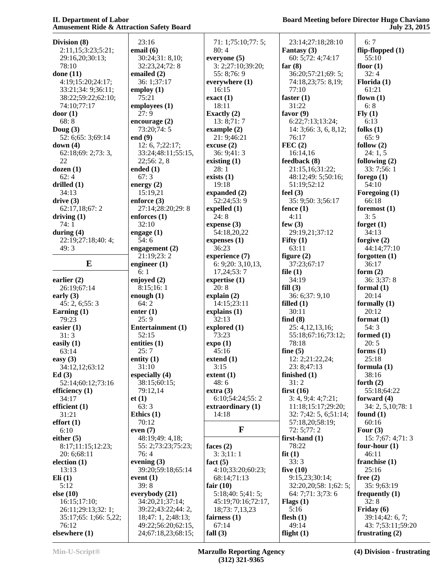## **Board Meeting before Director Hugo Chaviano July 23, 2015**

| Division (8)          | 23:16                | 71: 1;75:10;77: 5;           | 23:14;27:18;28:10     | 6:7                 |
|-----------------------|----------------------|------------------------------|-----------------------|---------------------|
| 2:11,15;3:23;5:21;    | email $(6)$          | 80:4                         | Fantasy (3)           | flip-flopped $(1)$  |
| 29:16,20;30:13;       | 30:24;31:8,10;       | everyone $(5)$               | 60: 5;72: 4;74:17     | 55:10               |
| 78:10                 | 32:23,24;72:8        | 3: 2;27:10;39:20;            | far $(8)$             | floor $(1)$         |
| done $(11)$           | emailed $(2)$        | 55: 8;76: 9                  | 36:20;57:21;69:5;     | 32:4                |
| 4:19;15:20;24:17;     | 36: 1;37:17          | everywhere (1)               | 74:18,23;75: 8,19;    | Florida (1)         |
| 33:21;34: 9;36:11;    | employ $(1)$         | 16:15                        | 77:10                 | 61:21               |
| 38:22;59:22;62:10;    | 75:21                | exact(1)                     | faster $(1)$          | flown $(1)$         |
| 74:10;77:17           | employees $(1)$      | 18:11                        | 31:22                 | 6:8                 |
| door(1)               | 27:9                 | Exactly $(2)$                | favor $(9)$           | Fly(1)              |
| 68:8                  | encourage $(2)$      | 13:8;71:7                    | 6:22;7:13;13:24;      | 6:13                |
| Doug $(3)$            | 73:20;74:5           | example $(2)$                | 14: 3;66: 3, 6, 8,12; | folks $(1)$         |
| 52: 6;65: 3;69:14     | end $(9)$            | 21: 9;46:21                  | 76:17                 | 65:9                |
| down $(4)$            | 12: 6, 7; 22: 17;    | excuse(2)                    | FEC(2)                | follow $(2)$        |
| 62:18;69: 2;73: 3,    | 33:24;48:11;55:15,   | 36:9;41:3                    | 16:14,16              | 24:1, 5             |
| 22                    | 22;56:2,8            | existing $(1)$               | feedback (8)          | following $(2)$     |
| dozen(1)              | ended $(1)$          | 28:1                         | 21:15,16;31:22;       | 33: 7;56: 1         |
| 62:4                  | 67:3                 | exists $(1)$                 | 48:12;49: 5;50:16;    | forego $(1)$        |
| drilled $(1)$         | energy $(2)$         | 19:18                        | 51:19;52:12           | 54:10               |
| 34:13                 | 15:19,21             | expanded $(2)$               | feel $(3)$            | Foregoing (1)       |
| drive(3)              | enforce $(3)$        | 52:24;53:9                   | 35: 9:50: 3:56:17     | 66:18               |
| 62:17,18;67:2         | 27:14;28:20;29:8     | expelled (1)                 | fence $(1)$           | foremost $(1)$      |
| driving $(1)$         | enforces $(1)$       | 24:8                         | 4:11                  | 3:5                 |
| 74:1                  | 32:10                | expense $(3)$                | few $(3)$             | forget $(1)$        |
| during $(4)$          | engage $(1)$         | 54:18,20,22                  | 29:19,21;37:12        | 34:13               |
| 22:19:27:18:40:4;     | 54:6                 | expenses $(1)$               | Fifty $(1)$           | forgive $(2)$       |
| 49:3                  | engagement $(2)$     | 36:23                        | 63:11                 | 44:14;77:10         |
|                       | 21:19:23:2           | experience (7)               | figure $(2)$          | forgotten $(1)$     |
| E                     | engineer $(1)$       | 6: 9;20: 3,10,13,            | 37:23;67:17           | 36:17               |
|                       | 6:1                  | 17,24;53:7                   | file $(1)$            | form $(2)$          |
| earlier $(2)$         | enjoyed $(2)$        | expertise $(1)$              | 34:19                 | 36:3;37:8           |
|                       | 8:15;16:1            | 20:8                         | fill(3)               | formal $(1)$        |
| 26:19;67:14           |                      |                              | 36: 6;37: 9,10        | 20:14               |
| early $(3)$           | enough $(1)$<br>64:2 | explain $(2)$<br>14:15;23:11 |                       |                     |
| 45: 2, 6; 55: 3       |                      |                              | filled $(1)$          | formally $(1)$      |
| Earning $(1)$         | enter $(1)$          | explains $(1)$               | 30:11                 | 20:12               |
| 79:23                 | 25:9                 | 32:13                        | find $(8)$            | format $(1)$        |
| easier $(1)$          | Entertainment (1)    | explored (1)                 | 25: 4, 12, 13, 16;    | 54:3                |
| 31:3                  | 52:15                | 73:23                        | 55:18;67:16;73:12;    | formed $(1)$        |
| easily $(1)$          | entities $(1)$       | expo(1)                      | 78:18                 | 20:5                |
| 63:14                 | 25:7                 | 45:16                        | fine $(5)$            | forms $(1)$         |
| easy $(3)$            | entity $(1)$         | extend(1)                    | 12: 2;21:22,24;       | 25:18               |
| 34:12,12;63:12        | 31:10                | 3:15                         | 23: 8;47:13           | formula $(1)$       |
| Ed(3)                 | especially (4)       | extent(1)                    | finished (1)          | 38:16               |
| 52:14;60:12;73:16     | 38:15;60:15;         | 48:6                         | 31:2                  | forth $(2)$         |
| efficiency $(1)$      | 79:12,14             | extra(3)                     | first $(16)$          | 55:18;64:22         |
| 34:17                 | et(1)                | 6:10;54:24;55:2              | 3: 4, 9:4:4:7:21;     | forward $(4)$       |
| efficient $(1)$       | 63:3                 | extra<br>ordinary (1)        | 11:18;15:17;29:20;    | 34: 2, 5, 10; 78: 1 |
| 31:21                 | Ethics $(1)$         | 14:18                        | 32: 7;42: 5, 6;51:14; | found $(1)$         |
| effort(1)             | 70:12                |                              | 57:18,20;58:19;       | 60:16               |
| 6:10                  | even $(7)$           | F                            | 72: 5;77: 2           | Four $(3)$          |
| either $(5)$          | 48:19:49: 4,18;      |                              | first-hand $(1)$      | 15:7;67:4;71:3      |
| 8:17;11:15;12:23;     | 55: 2;73:23;75:23;   | faces $(2)$                  | 78:22                 | four-hour $(1)$     |
| 20: 6;68:11           | 76:4                 | 3:3;11:1                     | fit(1)                | 46:11               |
| election (1)          | evening $(3)$        | fact $(5)$                   | 33:3                  | franchise $(1)$     |
| 13:13                 | 39:20;59:18;65:14    | 4:10;33:20;60:23;            | five $(10)$           | 25:16               |
| Eli(1)                | event $(1)$          | 68:14;71:13                  | 9:15,23;30:14;        | free $(2)$          |
| 5:12                  | 39:8                 | fair $(10)$                  | 32:20,20;58: 1;62: 5; | 35: 9;63:19         |
| else(10)              | everybody (21)       | 5:18;40:5;41:5;              | 64: 7;71: 3;73: 6     | frequently (1)      |
| 16:15;17:10;          | 34:20,21;37:14;      | 45:19;70:16;72:17,           | Flags $(1)$           | 32:8                |
| 26:11;29:13;32:1;     | 39:22;43:22;44: 2,   | 18;73: 7,13,23               | 5:16                  | Friday $(6)$        |
| 35:17;65: 1;66: 5,22; | 18;47: 1, 2;48:13;   | fairness $(1)$               | flesh $(1)$           | 39:14;42: 6, 7;     |
| 76:12                 | 49:22;56:20;62:15,   | 67:14                        | 49:14                 | 43: 7;53:11;59:20   |
| elsewhere (1)         | 24;67:18,23;68:15;   | fall $(3)$                   | flight $(1)$          | frustrating $(2)$   |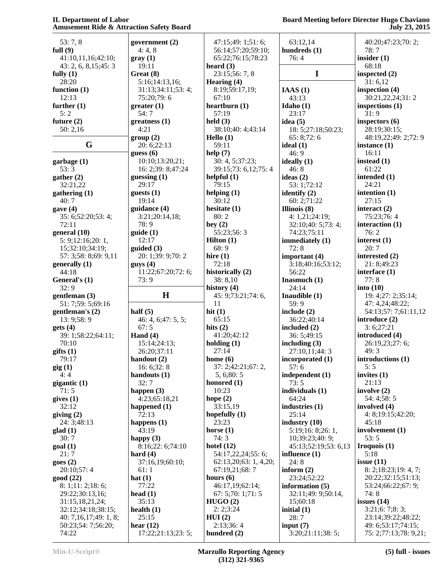| 53:7,8                      | government (2)                   | 47:15;49: 1;51: 6;         | 63:12,14                        | 40:20;47:23;70: 2;                          |
|-----------------------------|----------------------------------|----------------------------|---------------------------------|---------------------------------------------|
| full $(9)$                  | 4:4,8                            | 56:14;57:20;59:10;         | hundreds (1)                    | 78:7                                        |
| 41:10,11,16;42:10;          | gray(1)                          | 65:22;76:15;78:23          | 76:4                            | insider $(1)$                               |
| 43: 2, 6, 8, 15; 45: 3      | 19:11                            | heard $(3)$                |                                 | 68:18                                       |
| fully $(1)$                 | Great (8)                        | 23:15;56: 7, 8             | I                               | inspected $(2)$                             |
| 28:20                       | 5:16;14:13,16;                   | Hearing (4)                |                                 | 31:6,12                                     |
| function $(1)$              | 31:13;34:11;53:4;                | 8:19;59:17,19;             | IAAS(1)                         | inspection (4)                              |
| 12:13                       | 75:20;79:6                       | 67:10                      | 43:13                           | 30:21,22,24;31:2                            |
| further $(1)$               | greater(1)                       | heartburn $(1)$            | Idaho $(1)$                     | inspections $(1)$                           |
| 5:2                         | 54:7                             | 57:19                      | 23:17                           | 31:9                                        |
| future $(2)$                | $g$ reatness $(1)$               | held $(3)$                 | idea $(5)$                      | inspectors $(6)$                            |
| 50:2,16                     | 4:21                             | 38:10;40: 4;43:14          | 18: 5;27:18;50:23;              | 28:19;30:15;                                |
|                             | group(2)                         | Hello (1)                  | 65: 8;72:6                      | 48:19,22;49: 2;72: 9                        |
| G                           | 20: 6;22:13                      | 59:11                      | ideal $(1)$                     | instance $(1)$                              |
|                             | guess(6)                         | help $(7)$                 | 46:9                            | 16:11                                       |
|                             | 10:10;13:20,21;                  | 30: 4, 5;37:23;            | ideally $(1)$                   | instead (1)                                 |
| garbage (1)                 |                                  |                            |                                 | 61:22                                       |
| 53:3                        | 16: 2;39: 8;47:24                | 39:15;73: 6,12;75: 4       | 46:8                            |                                             |
| gather $(2)$                | guessing $(1)$                   | helpful $(1)$              | ideas $(2)$                     | intended (1)                                |
| 32:21,22                    | 29:17                            | 79:15                      | 53: 1;72:12                     | 24:21                                       |
| gathering (1)               | guests $(1)$                     | helping $(1)$              | identify $(2)$                  | intention $(1)$                             |
| 40:7                        | 19:14                            | 30:12                      | 60: 2;71:22                     | 27:15                                       |
| gave(4)                     | guidance (4)                     | hesitate $(1)$             | Illinois $(8)$                  | interact $(2)$                              |
| 35: 6;52:20;53: 4;          | 3:21;20:14,18;                   | 80:2                       | 4: 1,21;24:19;                  | 75:23;76:4                                  |
| 72:11                       | 78:9                             | hey $(2)$                  | 32:10;40:5;73:4;                | interaction $(1)$                           |
| general(10)                 | guide(1)                         | 55:23;56:3                 | 74:23;75:11                     | 76:2                                        |
| 5: 9; 12: 16; 20: 1,        | 12:17                            | <b>Hilton</b> $(1)$        | immediately (1)                 | interest $(1)$                              |
| 15;32:10;34:19;             | guided(3)                        | 68:9                       | 72:8                            | 20:7                                        |
| 57: 3;58: 8;69: 9,11        | 20: 1;39: 9;70: 2                | hire $(1)$                 | important (4)                   | interested (2)                              |
| generally (1)               | guys(4)                          | 72:18                      | 3:18;40:16;53:12;               | 21: 8;49:23                                 |
| 44:18                       | 11:22;67:20;72:6;                | historically (2)           | 56:22                           | interface (1)                               |
| General's (1)               | 73:9                             | 38:8,10                    | Inasmuch (1)                    | 77:8                                        |
|                             |                                  |                            |                                 |                                             |
|                             |                                  |                            |                                 |                                             |
| 32:9                        |                                  | history $(4)$              | 24:14                           | into $(10)$                                 |
| gentleman (3)               | H                                | 45: 9;73:21;74: 6,         | Inaudible $(1)$                 | 19: 4;27: 2;35:14;                          |
| 51: 7;59: 5;69:16           |                                  | 11                         | 59:9                            | 47: 4,24;48:22;                             |
| gentleman's (2)             | half $(5)$                       | hit $(1)$                  | include $(2)$                   | 54:13;57: 7;61:11,12                        |
| 13: 9;58: 9                 | 46: 4, 6; 47: 5, 5;              | 65:15                      | 36:22;40:14                     | introduce $(2)$                             |
| gets(4)                     | 67:5                             | hits $(2)$                 | included (2)                    | 3:6;27:21                                   |
| 39: 1;58:22;64:11;          | Hand $(4)$                       | 41:20;42:12                | 36: 5;49:15                     | introduced (4)                              |
| 70:10                       | 15:14;24:13;                     | holding $(1)$              | including $(3)$                 | 26:19,23;27: 6;                             |
| giffs(1)                    | 26:20;37:11                      | 27:14                      | 27:10,11;44:3                   | 49:3                                        |
| 79:17                       | handout (2)                      | home $(6)$                 | incorporated (1)                | introductions (1)                           |
| $\text{gig}(1)$             | 16: $6;32:8$                     | 37: 2;42:21;67: 2,         | 57:6                            | 5:5                                         |
| 4:4                         | handouts (1)                     | 5, 6;80:5                  | independent (1)                 | invites $(1)$                               |
| gigantic (1)                | 32:7                             | honored (1)                | 73:5                            | 21:13                                       |
| 71:5                        | happen $(3)$                     | 10:23                      | individuals (1)                 | involve $(2)$                               |
| gives(1)                    | 4:23;65:18,21                    | hope $(2)$                 | 64:24                           | 54: 4;58: 5                                 |
| 32:12                       | happened (1)                     | 33:15,19                   | industries (1)                  | involved (4)                                |
| giving $(2)$                | 72:13                            | hopefully $(1)$            | 25:14                           | 4: 8;19:15;42:20;                           |
| 24: 3;48:13                 | happens $(1)$                    | 23:23                      | industry $(10)$                 | 45:18                                       |
| $\text{glad}(1)$            | 43:19                            | horse $(1)$                | 5:19;16: 8;26: 1,               | involvement (1)                             |
| 30:7                        | happy $(3)$                      | 74:3                       | 10;39:23;40: 9;                 | 53:5                                        |
|                             | 8:16;22: 6;74:10                 | hotel $(12)$               | 45:13;52:19;53: 6,13            |                                             |
| goal (1)<br>21:7            | hard $(4)$                       |                            |                                 | Iroquois $(1)$<br>5:18                      |
|                             |                                  | 54:17,22,24;55: 6;         | influence $(1)$                 |                                             |
| goes(2)                     | 37:16,19;60:10;                  | 62:13,20;63: 1, 4,20;      | 24:8                            | issue $(11)$                                |
| 20:10;57:4                  | 61:1                             | 67:19,21;68:7              | inform $(2)$                    | 8: 2; 18: 23; 19: 4, 7;                     |
| good (22)                   | hat $(1)$                        | hours $(6)$                | 23:24;52:22                     | 20:22;32:15;51:13;                          |
| 8: 1; 11: 2; 18: 6;         | 77:22                            | 46:17,19;62:14;            | information $(5)$               | 53:24;66:22;67: 9;                          |
| 29:22;30:13,16;             | head $(1)$                       | 67: 5;70: 1;71: 5          | 32:11;49: 9;50:14,              | 74:8                                        |
| 31:15,18,21,24;             | 35:13                            | HUGO(2)                    | 15;60:18                        | issues $(14)$                               |
| 32:12;34:18;38:15;          | health $(1)$                     | 2:2;3:24                   | initial $(1)$                   | 3:21;6:7;8:3;                               |
| 40: 7,16,17;49:1,8;         | 25:15                            | HUI(2)                     | 28:7                            | 23:14;39:22;48:22;                          |
| 50:23;54: 7;56:20;<br>74:22 | hear $(12)$<br>17:22;21:13;23:5; | 2:13;36:4<br>hundred $(2)$ | input $(7)$<br>3:20;21:11;38:5; | 49: 6;53:17;74:15;<br>75: 2;77:13;78: 9,21; |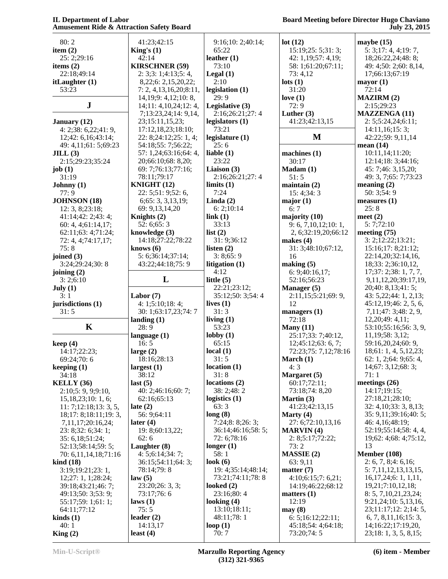| 80:2                              | 41:23;42:15                | 9:16;10:2;40:14;   | lot(12)                 | maybe $(15)$              |
|-----------------------------------|----------------------------|--------------------|-------------------------|---------------------------|
| item $(2)$                        | King's $(1)$               | 65:22              | 15:19;25:5;31:3;        | 5: 3;17: 4, 4;19: 7,      |
| 25: 2;29:16                       | 42:14                      | leather $(1)$      | 42: 1,19;57: 4,19;      | 18;26:22,24;48:8;         |
| items $(2)$                       | <b>KIRSCHNER (59)</b>      | 73:10              | 58: 1;61:20;67:11;      | 49: 4;50: 2;60: 8,14,     |
| 22:18;49:14                       | 2: 3; 3: 1; 4: 13; 5: 4,   | Legal $(1)$        | 73:4,12                 | 17;66:13;67:19            |
| itLaughter (1)                    | 8,22;6: 2,15,20,22;        | 2:10               | $\text{lots}$ (1)       | mayor (1)                 |
| 53:23                             | 7: 2, 4, 13, 16, 20; 8:11, | legislation (1)    | 31:20                   | 72:14                     |
|                                   | 14,19;9:4,12;10:8,         | 29:9               | love $(1)$              | <b>MAZIRM (2)</b>         |
| ${\bf J}$                         | 14;11:4,10,24;12:4,        | Legislative (3)    | 72:9                    | 2:15;29:23                |
|                                   | 7;13:23,24;14: 9,14,       | 2:16;26:21;27:4    | Luther $(3)$            | <b>MAZZENGA (11)</b>      |
| January (12)                      | 23;15:11,15,23;            | legislators $(1)$  | 41:23;42:13,15          | 2: 5; 5: 24, 24; 6: 11;   |
| 4: 2;38: 6,22;41:9,               | 17:12,18,23;18:10;         | 73:21              |                         | 14:11,16;15:3;            |
| 12;42:6,16;43:14;                 | 22: 8;24:12;25: 1, 4;      | legislature $(1)$  | M                       | 42:22;59: 9,11,14         |
| 49: 4,11;61: 5;69:23              | 54:18;55: 7;56:22;         | 25:6               |                         | mean $(14)$               |
| JILL(3)                           | 57: 1,24;63:16;64: 4,      | liable $(1)$       | machines $(1)$          | 10:11,14;11:20;           |
| 2:15;29:23;35:24                  | 20;66:10;68: 8,20;         | 23:22              | 30:17                   | 12:14;18:3;44:16;         |
| job $(1)$                         | 69: 7;76:13;77:16;         | Liaison $(3)$      | Madam(1)                | 45: 7;46: 3,15,20;        |
| 31:19                             | 78:11;79:17                | 2:16;26:21;27:4    | 51:5                    | 49: 3, 7;65: 7;73:23      |
| Johnny $(1)$                      | KNIGHT (12)                | limits(1)          | maintain $(2)$          | meaning $(2)$             |
| 77:9                              | 22: 5;51: 9;52: 6,         | 7:24               | 15:4;34:3               | 50: 3;54: 9               |
| <b>JOHNSON</b> (18)               | 6;65:3,3,13,19;            | Linda $(2)$        | major(1)                | measures $(1)$            |
| 12: 3, 8; 23: 18;                 | 69: 9, 13, 14, 20          | 6: 2; 10:14        | 6:7                     | 25:8                      |
| 41:14;42: 2;43: 4;                | Knights (2)                | link(1)            | majority (10)           | meet $(2)$                |
| 60: 4, 4; 61:14, 17;              | 52: 6; 65: 3               | 33:13              | 9: 6, 7, 10, 12; 10: 1, | 5:7:72:10                 |
| 62:11;63: 4;71:24;                | knowledge $(3)$            | list $(2)$         | 2, 6;32:19,20;66:12     | meeting $(75)$            |
| 72: 4, 4;74:17,17;                | 14:18;27:22;78:22          | 31: 9;36:12        | makes $(4)$             | 3: 2; 12: 22; 13: 21;     |
| 75:8                              | knows $(6)$                | listen $(2)$       | 31: 3;48:10;67:12,      | 15:16;17: 8;21:12;        |
| joined $(3)$                      | 5: 6;36:14;37:14;          | 3:8;65:9           | 16                      | 22:14,20;32:14,16,        |
| 3:24;29:24;30:8                   |                            |                    |                         | 18;33: 2;36:10,12,        |
|                                   | 43:22;44:18;75:9           | litigation (1)     | making (5)              |                           |
| joining $(2)$                     | L                          | 4:12               | 6: 9;40:16,17;          | 17;37:2;38:1,7,7,         |
| 3: 2; 6: 10                       |                            | little $(5)$       | 52:16;56:23             | 9,11,12,20;39:17,19,      |
|                                   |                            |                    |                         |                           |
| July $(1)$                        |                            | 22:21;23:12;       | Manager (5)             | 20;40: 8,13;41: 5;        |
| 3:1                               | Labor $(7)$                | 35:12;50: 3;54: 4  | 2:11,15;5:21;69: 9,     | 43: 5,22; 44: 1, 2,13;    |
| jurisdictions (1)                 | 4: 1; 5: 10; 18: 4;        | lives $(1)$        | 12                      | 45:12,19;46:2,5,6,        |
| 31:5                              | 30: 1;63:17,23;74: 7       | 31:3               | managers $(1)$          | 7, 11; 47: 3; 48: 2, 9,   |
|                                   | landing $(1)$              | living $(1)$       | 72:18                   | 12,20;49: 4,11;           |
| $\mathbf K$                       | 28:9                       | 53:23              | Many $(11)$             | 53:10;55:16;56: 3, 9,     |
|                                   | language $(1)$             | $\text{lobby}(1)$  | 25:17;33: 7;40:12,      | 11, 19; 58: 3, 12;        |
| keep(4)                           | 16:5                       | 65:15              | 12;45:12;63:6,7;        | 59:16,20,24;60: 9,        |
| 14:17;22:23;                      | large $(2)$                | local $(1)$        | 72:23;75: 7,12;78:16    | 18;61:1,4,5,12,23;        |
| 69:24;70:6                        | 18:16;28:13                | 31:5               | March (1)               | 62: 1, 2;64: 9;65: 4,     |
| keeping $(1)$                     | largest $(1)$              | location(1)        | 4:3                     | 14;67: 3,12;68: 3;        |
| 34:18                             | 38:12                      | 31:8               | Margaret (5)            | 71:1                      |
| <b>KELLY</b> (36)                 | last $(5)$                 | locations (2)      | 60:17;72:11;            | meetings $(26)$           |
| 2:10;5: 9, 9;9:10,                | 40: 2;46:16;60: 7;         | 38: 2;48: 2        | 73:18;74: 8,20          | 14:17;19:15;              |
| 15,18,23;10:1,6;                  | 62:16;65:13                | logistics $(1)$    | Martin $(3)$            | 27:18,21;28:10;           |
| 11: 7; 12: 18; 13: 3, 5,          | late $(2)$                 | 63:3               | 41:23;42:13,15          | 32: 4,10;33: 3, 8,13;     |
| 18;17:8;18:11;19:3,               | 56: 9;64:11                | long(8)            | Marty (4)               | 35: 9,11;39:16;40: 5;     |
| 7,11,17;20:16,24;                 | later $(4)$                | 7:24;8:8;26:3;     | 27: 6;72:10,13,16       | 46: 4, 16; 48: 19;        |
| 23: 8;32: 6;34: 1;                | 19: 8;60:13,22;            | 36:14;46:16;58:5;  | $MARKIN (4)$            | 52:19;55:14;58: 4, 4,     |
| 35: 6,18;51:24;                   | 62:6                       | 72: 6;78:16        | 2: 8; 5: 17; 72: 22;    | 19;62: 4;68: 4;75:12,     |
| 52:13;58:14;59: 5;                | Laughter (8)               | longer $(1)$       | 73:2                    | 13                        |
| 70: 6,11,14,18;71:16              | 4: 5; 6: 14; 34: 7;        | 58:1               | <b>MASSIE</b> (2)       | <b>Member (108)</b>       |
| $\boldsymbol{\mathrm{kind}}$ (18) | 36:15;54:11;64:3;          | look $(6)$         | 63: 9,11                | 2: 6, 7, 8; 4: 6; 16;     |
| 3:19;19:21;23:1,                  | 78:14;79:8                 | 19: 4;35:14;48:14; | matter $(7)$            | 5: 7, 11, 12, 13, 13, 15, |
| 12;27:1, 1;28:24;                 | law(5)                     | 73:21;74:11;78:8   | 4:10;6:15;7:6,21;       | 16, 17, 24; 6: 1, 1, 11,  |
| 39:18;43:21;46: 7;                | 23:20;26:3,3;              | looked $(2)$       | 14:19;46:22;68:12       | 19,21;7:10,12,18;         |
| 49:13;50: 3;53: 9;                | 73:17;76:6                 | 23:16;80:4         | matters (1)             | 8: 5, 7, 10, 21, 23, 24;  |
| 55:17;59:1;61:1;                  | laws(1)                    | looking $(4)$      | 12:19                   | 9:21,24;10:5,13,16,       |
| 64:11;77:12                       | 75:5                       | 13:10;18:11;       | may(8)                  | 23;11:17;12: 2;14: 5,     |
| $\boldsymbol{\text{kinds}}$ (1)   | leader $(2)$               | 48:11;78:1         | 6: 5; 16: 12; 22: 11;   | 6, 7, 8, 11, 16; 15: 3,   |
| 40:1                              | 14:13,17                   | loop $(1)$         | 45:18;54: 4;64:18;      | 14;16:22;17:19,20,        |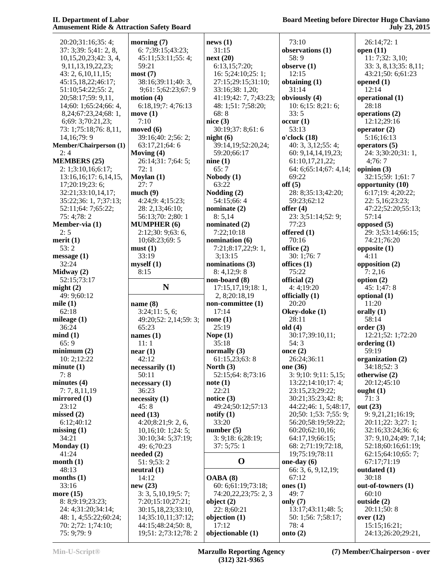# **Board Meeting before Director Hugo Chaviano July 23, 2015**

| 20:20;31:16;35:4;                 | morning $(7)$                             | news(1)                    | 73:10                  | 26:14;72:1                         |
|-----------------------------------|-------------------------------------------|----------------------------|------------------------|------------------------------------|
| 37: 3;39: 5;41: 2, 8,             | 6: 7;39:15;43:23;                         | 31:15                      | observations (1)       | open $(11)$                        |
| 10,15,20,23,42:3,4,               | 45:11;53:11;55:4;                         | next(20)                   | 58:9                   | 11: 7;32: 3,10;                    |
| 9,11,13,19,22,23;                 | 59:21                                     | 6:13,15;7:20;              | observe $(1)$          | 33: 3, 8, 13; 35: 8, 11;           |
| 43: 2, 6, 10, 11, 15;             | most(7)                                   | 16: 5;24:10;25:1;          | 12:15                  | 43:21;50: 6;61:23                  |
| 45:15,18,22;46:17;                | 38:16;39:11;40:3,                         |                            |                        |                                    |
|                                   |                                           | 27:15;29:15;31:10;         | obtaining (1)          | opened $(1)$                       |
| 51:10;54:22;55: 2,                | 9;61: 5;62:23;67: 9                       | 33:16;38: 1,20;            | 31:14                  | 12:14                              |
| 20;58:17;59: 9,11,                | motion $(4)$                              | 41:19;42: 7, 7;43:23;      | obviously (4)          | operational (1)                    |
| 14;60: 1;65:24;66: 4,             | 6:18,19;7: 4;76:13                        | 48: 1;51: 7;58:20;         | 10: 6;15: 8;21: 6;     | 28:18                              |
| 8, 24; 67: 23, 24; 68: 1,         | move $(1)$                                | 68:8                       | 33:5                   | operations (2)                     |
| 6;69: 3;70:21,23;                 | 7:10                                      | nice $(3)$                 | occur(1)               | 12:12;29:16                        |
|                                   |                                           |                            |                        |                                    |
| 73: 1;75:18;76: 8,11,             | moved $(6)$                               | 30:19;37: 8;61: 6          | 53:13                  | operator $(2)$                     |
| 14, 16; 79: 9                     | 39:16;40: 2;56: 2;                        | night(6)                   | o'clock(18)            | 5:16;16:13                         |
| <b>Member/Chairperson (1)</b>     | 63:17,21;64:6                             | 39:14,19;52:20,24;         | 40: 3, 3, 12; 55: 4;   | operators $(5)$                    |
| 2:4                               | Moving $(4)$                              | 59:20;66:17                | 60: 9, 14, 14, 19, 23; | 24: 3;30:20;31: 1,                 |
| <b>MEMBERS (25)</b>               | 26:14;31: 7;64: 5;                        | nine(1)                    | 61:10,17,21,22;        | 4;76:7                             |
| 2: 1; 3: 10, 16; 6: 17;           | 72:1                                      | 65:7                       | 64: 6;65:14;67: 4,14;  | opinion $(3)$                      |
|                                   |                                           |                            |                        |                                    |
| 13:16,16;17: 6,14,15,             | Moylan $(1)$                              | Nobody(1)                  | 69:22                  | 32:15;59: 1;61: 7                  |
| 17;20:19;23: 6;                   | 27:7                                      | 63:22                      | off(5)                 | opportunity (10)                   |
| 32:21;33:10,14,17;                | much(9)                                   | Nodding (2)                | 28: 8;35:13;42:20;     | 6:17;19: 4;20:22;                  |
| 35:22;36: 1, 7;37:13;             | 4:24;9:4;15:23;                           | 54:15;66:4                 | 59:23;62:12            | 22: 5, 16; 23: 23;                 |
| 52:11;64: 7;65:22;                | 28: 2,13;46:10;                           | nominate $(2)$             | offer $(4)$            | 47:22;52:20;55:13;                 |
|                                   |                                           |                            |                        |                                    |
| 75: 4;78: 2                       | 56:13;70: 2;80: 1                         | 8:5,14                     | 23: 3;51:14;52: 9;     | 57:14                              |
| Member-via (1)                    | <b>MUMPHER (6)</b>                        | nominated (2)              | 77:23                  | opposed $(5)$                      |
| 2:5                               | 2:12;30: 9;63: 6,                         | 7:22;10:18                 | offered (1)            | 29: 3;53:14;66:15;                 |
| merit(1)                          | 10;68:23;69:5                             | nomination (6)             | 70:16                  | 74:21;76:20                        |
| 53:2                              | must(1)                                   | 7:21;8:17,22;9:1,          | office $(2)$           | opposite $(1)$                     |
|                                   | 33:19                                     | 3:13:15                    | 30: 1;76: 7            | 4:11                               |
| message $(1)$                     |                                           |                            |                        |                                    |
| 32:24                             | myself(1)                                 | nominations (3)            | offices $(1)$          | opposition $(2)$                   |
| Midway $(2)$                      | 8:15                                      | 8: 4,12;9:8                | 75:22                  | 7:2,16                             |
| 52:15;73:17                       |                                           | non-board (8)              | official (2)           | option $(2)$                       |
| might $(2)$                       | N                                         | 17:15, 17, 19; 18: 1,      | 4:4;19:20              | 45: 1;47: 8                        |
|                                   |                                           |                            |                        |                                    |
|                                   |                                           |                            |                        |                                    |
| 49: 9;60:12                       |                                           | 2, 8;20:18,19              | officially $(1)$       | optional $(1)$                     |
| mile $(1)$                        | name $(8)$                                | non-committee (1)          | 20:20                  | 11:20                              |
| 62:18                             | 3:24;11:5,6;                              | 17:14                      | Okey-doke (1)          | orally $(1)$                       |
| mileage $(1)$                     | 49:20;52: 2,14;59: 3;                     | none $(1)$                 | 28:11                  | 58:14                              |
|                                   |                                           |                            |                        |                                    |
| 36:24                             | 65:23                                     | 25:19                      | old(4)                 | order(3)                           |
| mind(1)                           | names $(1)$                               | Nope $(1)$                 | 30:17;39:10,11;        | 12:21;52: 1;72:20                  |
| 65:9                              | 11:1                                      | 35:18                      | 54:3                   | ordering $(1)$                     |
| minimum(2)                        | near(1)                                   | normally $(3)$             | once $(2)$             | 59:19                              |
| 10: 2;12:22                       | 42:12                                     | 61:15,23;63:8              | 26:24;36:11            | organization (2)                   |
|                                   |                                           |                            | one (36)               |                                    |
| minute(1)                         | necessarily (1)                           | North $(3)$                |                        | 34:18;52:3                         |
| 7:8                               | 50:11                                     | 52:15;64: 8;73:16          | 3: 9;10: 9;11: 5,15;   | otherwise $(2)$                    |
| minutes <sub>(4)</sub>            | necessary (1)                             | note(1)                    | 13:22;14:10;17:4;      | 20:12;45:10                        |
| 7:7, 8, 11, 19                    | 36:23                                     | 22:21                      | 23:15,23;29:22;        | ought $(1)$                        |
| mirrored (1)                      | necessity(1)                              | notice $(3)$               | 30:21;35:23;42: 8;     | 71:3                               |
| 23:12                             | 45:8                                      | 49:24;50:12;57:13          | 44:22;46: 1, 5;48:17,  | out (23)                           |
| missed(2)                         | need(13)                                  | notify $(1)$               | 20;50: 1;53: 7;55: 9;  | 9: 9,21,21;16:19;                  |
|                                   |                                           |                            |                        |                                    |
| 6:12;40:12                        | 4:20;8:21;9:2,6,                          | 33:20                      | 56:20;58:19;59:22;     | 20:11;22: 3;27: 1;                 |
| missing $(1)$                     | 10,16;10:1;24:5;                          | number(5)                  | 60:20;62:10,16;        | 32:16;33:24;36:6;                  |
| 34:21                             | 30:10;34: 5;37:19;                        | 3: 9;18: 6;28:19;          | 64:17,19;66:15;        | 37: 9,10,24;49: 7,14;              |
| Monday (1)                        | 49: 6;70:23                               | 37:5;75:1                  | 68: 2;71:19;72:18,     | 52:18;60:16;61:19;                 |
| 41:24                             | needed $(2)$                              |                            | 19;75:19;78:11         | 62:15;64:10;65:7;                  |
| month $(1)$                       | 51: 9;53: 2                               | $\mathbf 0$                | one-day $(6)$          | 67:17:71:19                        |
|                                   |                                           |                            |                        |                                    |
| 48:13                             | neutral $(1)$                             |                            | 66: 3, 6, 9, 12, 19;   | outdated (1)                       |
| months $(1)$                      | 14:12                                     | OABA(8)                    | 67:12                  | 30:18                              |
| 33:16                             | new(23)                                   | 60: 6;61:19;73:18;         | ones $(1)$             | out-of-towners (1)                 |
| more $(15)$                       | 3: 3, 5, 10, 19; 5: 7;                    | 74:20,22,23;75: 2, 3       | 49:7                   | 60:10                              |
| 8: 8;9:19;23:23;                  | 7:20;15:10;27:21;                         | object $(2)$               | only $(7)$             | outside (2)                        |
| 24: 4;31:20;34:14;                | 30:15,18,23;33:10,                        | 22: 8;60:21                | 13:17;43:11;48:5;      | 20:11;50:8                         |
|                                   |                                           |                            |                        |                                    |
| 48: 1, 4;55:22;60:24;             | 14;35:10,11;37:12;                        | objection (1)              | 50: 1;56: 7;58:17;     | over $(12)$                        |
| 70: 2;72: 1;74:10;<br>75: 9;79: 9 | 44:15;48:24;50:8,<br>19;51: 2;73:12;78: 2 | 17:12<br>objectionable (1) | 78:4<br>onto $(2)$     | 15:15;16:21;<br>24:13;26:20;29:21, |

**(7) Member/Chairperson - over**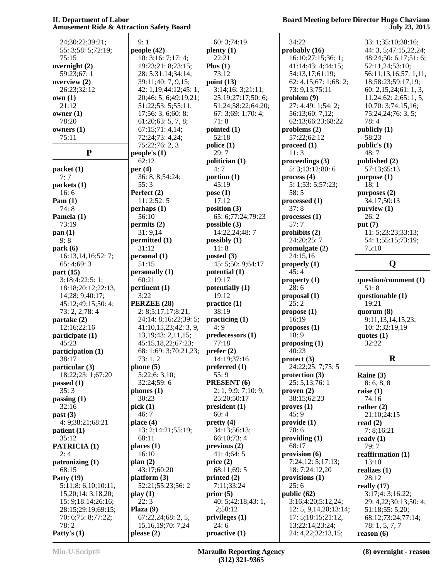| 24;30:22;39:21;            | 9:1                     | 60: 3;74:19                     | 34:22                                  | 3 <sup>′</sup> |
|----------------------------|-------------------------|---------------------------------|----------------------------------------|----------------|
| 55: 3;58: 5;72:19;         | people (42)             | $\mathbf{plenty}\left(1\right)$ | probably (16)                          | 4 <sub>4</sub> |
| 75:15                      | 10: 3; 16: 7; 17: 4;    | 22:21                           | 16:10;27:15;36:1;                      | 4 <sub>6</sub> |
|                            |                         |                                 |                                        | 5 <sup>′</sup> |
| overnight $(2)$            | 19:23;21:8;23:15;       | Plus $(1)$                      | 41:14;43:4;44:15;                      | 5 <sub>6</sub> |
| 59:23;67:1                 | 28: 5;31:14;34:14;      | 73:12                           | 54:13,17;61:19;                        |                |
| overview (2)               | 39:11;40: 7, 9,15;      | point $(13)$                    | 62: 4,15;67:1;68:2;                    | 1 <sup>5</sup> |
| 26:23;32:12                | 42: 1,19;44:12;45: 1,   | 3:14;16:3;21:11;                | 73: 9,13;75:11                         | 6              |
| own(1)                     | 20;46: 5, 6;49:19,21;   | 25:19;27:17;50: 6;              | problem(9)                             | 1 <sup>1</sup> |
| 21:12                      | 51:22;53: 5;55:11,      | 51:24;58:22;64:20;              | 27: 4;49: 1;54: 2;                     | 1 <sup>1</sup> |
| owner $(1)$                | 17;56: 3, 6;60: 8;      | 67:3;69:1;70:4;                 | 56:13;60: 7,12;                        | 7:             |
| 78:20                      | 61:20;63:5,7,8;         | 71:8                            | 62:13;66:23;68:22                      | 78             |
| owners $(1)$               | 67:15;71:4,14;          | pointed $(1)$                   | problems $(2)$                         | pub            |
| 75:11                      | 72:24;73: 4,24;         | 52:18                           | 57:22;62:12                            | 5 <sub>6</sub> |
|                            | 75:22;76:2,3            | police(1)                       | $\boldsymbol{proceed}\boldsymbol{(1)}$ | pub            |
| ${\bf P}$                  | people's $(1)$          | 29:7                            | 11:3                                   | 4 <sub>6</sub> |
|                            | 62:12                   | politician (1)                  | proceedings (3)                        | pub            |
| packet(1)                  | per $(4)$               | 4:7                             | 5: 3; 13: 12; 80: 6                    | $5^{\prime}$   |
| 7:7                        | 36: 8, 8;54:24;         | portion $(1)$                   | process(4)                             | pur            |
| packets (1)                | 55:3                    | 45:19                           | 5: 1;53: 5;57:23;                      | 18             |
| 16:6                       | Perfect (2)             | pose $(1)$                      | 58:5                                   | pur            |
| Pam $(1)$                  | 11: 2; 52: 5            | 17:12                           | processed(1)                           | 34             |
| 74:8                       | perhaps(1)              | position $(3)$                  | 37:8                                   | pur            |
| Pamela (1)                 | 56:10                   | 65: 6;77:24;79:23               | processes(1)                           | 2 <sub>0</sub> |
| 73:19                      | permits (2)             | possible $(3)$                  | 57:7                                   | put            |
| pan(1)                     | 31:9,14                 | 14:22,24;48:7                   | prohibits (2)                          | 1              |
| 9:8                        | permitted (1)           | possibly $(1)$                  | 24:20;25:7                             | 54             |
| park(6)                    | 31:12                   | 11:8                            | promulgate (2)                         | 7:             |
| 16:13,14,16;52: 7;         | personal (1)            | posted $(3)$                    | 24:15,16                               |                |
|                            | 51:15                   | 45: 5;50: 9;64:17               |                                        |                |
| 65:4;69:3                  |                         |                                 | properly $(1)$<br>45:4                 |                |
| part (15)                  | personally (1)          | potential (1)                   |                                        |                |
| 3:18;4:22;5:1;             | 60:21                   | 19:17                           | property (1)                           | que:           |
| 18:18;20:12;22:13,         | pertinent (1)           | potentially (1)                 | 28:6                                   | 5 <sup>1</sup> |
| 14;28: 9;40:17;            | 3:22                    | 19:12                           | proposal (1)                           | que:           |
| 45:12;49:15;50:4;          | PERZEE (28)             | practive(1)                     | 25:2                                   | 1 <sup>0</sup> |
| 73: 2, 2;78: 4             | 2: 8; 5: 17, 17; 8: 21, | 38:19                           | propose(1)                             | quo            |
| partake (2)                | 24;14: 8;16:22;39: 5;   | practicing (1)                  | 16:19                                  | 9:             |
| 12:16;22:16                | 41:10,15,23;42:3,9,     | 4:9                             | proposes(1)                            | 1 <sup>1</sup> |
| participate (1)            | 13,19;43:2,11,15;       | predecessors (1)                | 18:9                                   | quo            |
| 45:23                      | 45:15,18,22;67:23;      | 77:18                           | proposing $(1)$                        | 3 <sup>′</sup> |
| participation (1)          | 68: 1;69: 3;70:21,23;   | prefer $(2)$                    | 40:23                                  |                |
| 38:17                      | 73:1,2                  | 14:19;37:16                     | $\text{protect } (3)$                  |                |
| particular (3)             | phone (5)               | preferred $(1)$                 | 24:22;25: 7;75: 5                      |                |
| 18:22;23: 1;67:20          | 5:22;6: 3,10;           | 55:9                            | protection $(3)$                       | Rai            |
| passed(1)                  | 32:24;59:6              | PRESENT (6)                     | 25: 5, 13; 76: 1                       | 8:             |
| 35:3                       | phones(1)               | 2: 1, 9;9:7;10:9;               | proven(2)                              | rais           |
| passing(1)                 | 30:23                   | 25:20;50:17                     | 38:15;62:23                            | 74             |
| 32:16                      | pick(1)                 | president(1)                    | $\mathbf{proves}$ (1)                  | rath           |
| past (3)                   | 46:7                    | 60:4                            | 45:9                                   | $\overline{2}$ |
| 4: 9;38:21;68:21           | place $(4)$             | pretty(4)                       | provide(1)                             | read           |
| patient $(1)$              | 13: 2;14:21;55:19;      | 34:13;56:13;                    | 78: 6                                  | 7:             |
| 35:12                      | 68:11                   | 66:10;73:4                      | providing(1)                           | read           |
| <b>PATRICIA (1)</b>        | places(1)               | previous(2)                     | 68:17                                  | 79             |
| 2:4                        | 16:10                   | 41:4;64:5                       | provision (6)                          | reaf           |
| patronizing (1)            | plan(2)                 | price $(2)$                     | 7:24;12: 5;17:13;                      | 11             |
| 68:15                      | 43:17;60:20             | 68:11;69:5                      | 18: 7;24:12,20                         | real           |
| Patty $(19)$               | platform (3)            | printed $(2)$                   | provisions $(1)$                       | 28             |
| 5:11;8: 6,10;10:11,        | 52:21;55:23;56:2        | 7:11;33:24                      | 25:6                                   | real           |
| 15,20;14: 3,18,20;         | play(1)                 | prior $(5)$                     | public $(62)$                          | 3:             |
| 15: 9; 18: 14; 26: 16;     | 22:3                    | 40: 5;42:18;43:1,               | 3:16;4:20;5:12,24;                     | 2 <sup>0</sup> |
| 28:15;29:19;69:15;         | Plaza $(9)$             | 2;50:12                         | 12: 5, 9, 14, 20; 13: 14;              | 5 <sup>1</sup> |
|                            | 67:22,24;68:2,5,        | privileges $(1)$                | 17: 5;18:15;21:12,                     | 6              |
| 70: 6;75: 8;77:22;<br>78:2 | 15, 16, 19; 70: 7, 24   | 24:6                            | 13;22:14;23:24;                        | 78             |
| Patty's $(1)$              | please $(2)$            | $\text{proactive}(1)$           | 24: 4,22;32:13,15;                     |                |
|                            |                         |                                 |                                        | reas           |

 33: 1;35:10;38:16; 44: 3, 5;47:15,22,24; 48:24;50: 6,17;51: 6; 52:11,24;53:10; 56:11,13,16;57: 1,11, 18;58:23;59:17,19; 60: 2,15,24;61: 1, 3, 11,24;62: 2;65: 1, 5, 10;70: 3;74:15,16; 75:24,24;76: 3, 5; 78: 4 **publicly (1)** 58:23 **public's (1)** 48: 7 **published (2)** 57:13;65:13 **purpose (1)** 18: 1 **purposes (2)** 34:17;50:13 **purview (1)** 26: 2 **put (7)** 11: 5;23:23;33:13; 54: 1;55:15;73:19; 75:10 **Q question/comment (1)** 51: 8 **questionable (1)** 19:21 **quorum (8)** 9:11,13,14,15,23; 10: 2;32:19,19 **quotes (1)** 32:22 **R Raine (3)** 8: 6, 8, 8 **raise (1)** 74:16 **rather (2)** 21:10;24:15 **read (2)** 7: 8;16:21 **ready (1)** 79: 7 **reaffirmation (1)**

 13:10 **realizes (1)** 28:12 **really (17)** 3:17;4: 3;16:22; 29: 4,22;30:13;50: 4; 51:18;55: 5,20; 68:12;73:24;77:14; 78: 1, 5, 7, 7 **reason (6)**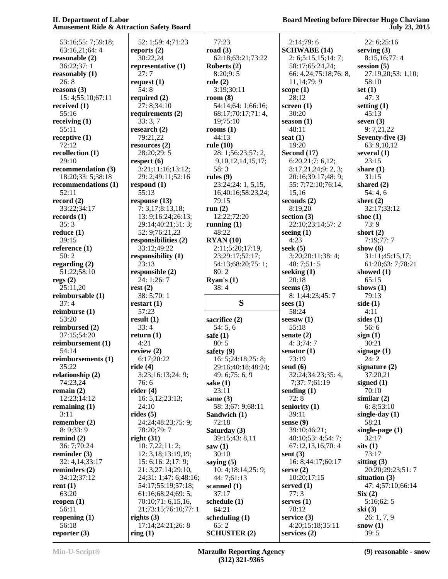# **Board Meeting before Director Hugo Chaviano July 23, 2015**

| 53:16;55: 7;59:18;      | 52: 1;59: 4;71:23           | 77:23                       | 2:14;79:6                          | 22: 6;25:16               |
|-------------------------|-----------------------------|-----------------------------|------------------------------------|---------------------------|
| 63:16,21;64:4           | reports $(2)$               | road $(3)$                  | <b>SCHWABE</b> (14)                | serving $(3)$             |
| reasonable (2)          | 30:22,24                    | 62:18;63:21;73:22           | 2: 6; 5: 15, 15; 14: 7;            | 8:15,16;77:4              |
| 36:22;37:1              | representative (1)          | Roberts $(2)$               | 58:17;65:24,24;                    | session $(5)$             |
| reasonably $(1)$        | 27:7                        | 8:20;9:5                    | 66: 4,24;75:18;76: 8,              | 27:19,20;53: 1,10;        |
| 26:8                    | request $(1)$               | role(2)                     | 11, 14; 79: 9                      | 58:10                     |
| reasons $(3)$           | 54:8                        | 3:19;30:11                  | scope $(1)$                        | set $(1)$                 |
| 15: 4;55:10;67:11       | required $(2)$              | room $(8)$                  | 28:12                              | 47:3                      |
| received $(1)$          | 27: 8;34:10                 | 54:14;64: 1;66:16;          | screen $(1)$                       | setting $(1)$             |
| 55:16                   | requirements $(2)$          | 68:17;70:17;71:4,           | 30:20                              | 45:13                     |
| receiving $(1)$         | 33:3,7                      | 19;75:10                    | season $(1)$                       | seven $(3)$               |
| 55:11                   | research $(2)$              | rooms $(1)$                 | 48:11                              | 9:7,21,22                 |
|                         |                             |                             |                                    |                           |
| receptive $(1)$         | 79:21,22                    | 44:13                       | seat $(1)$                         | Seventy-five (3)          |
| 72:12                   | resources $(2)$             | rule $(10)$                 | 19:20                              | 63: 9, 10, 12             |
| recollection $(1)$      | 28:20;29:5                  | 28: 1;56:23;57: 2,          | Second (17)                        | several $(1)$             |
| 29:10                   | respect $(6)$               | 9, 10, 12, 14, 15, 17;      | 6:20,21;7:6,12;                    | 23:15                     |
| recommendation (3)      | 3:21;11:16;13:12;           | 58:3                        | 8:17,21,24;9: 2, 3;                | share $(1)$               |
| 18:20;33: 5;38:18       | 29: 2;49:11;52:16           | rules $(9)$                 | 20:16;39:17;48: 9;                 | 31:15                     |
| recommendations (1)     | respond $(1)$               | 23:24;24: 1, 5,15,          | 55: 7;72:10;76:14,                 | shared $(2)$              |
| 52:11                   | 55:13                       | 16;40:16;58:23,24;          | 15,16                              | 54:4,6                    |
| record $(2)$            | response $(13)$             | 79:15                       | seconds $(2)$                      | sheet $(2)$               |
| 33:22;34:17             | 7: 3,17;8:13,18;            | run $(2)$                   | 8:19,20                            | 32:17;33:12               |
| records (1)             | 13: 9;16:24;26:13;          | 12:22;72:20                 | section $(3)$                      | shoe $(1)$                |
| 35:3                    | 29:14;40:21;51:3;           | running $(1)$               | 22:10;23:14;57:2                   | 73:9                      |
| reduce $(1)$            | 52: 9;76:21,23              | 48:22                       | seeing $(1)$                       | short $(2)$               |
| 39:15                   | responsibilities (2)        | RYAN(10)                    | 4:23                               | 7:19;77:7                 |
| reference $(1)$         | 33:12;49:22                 | 2:11;5:20;17:19,            | seek $(5)$                         | show $(6)$                |
| 50:2                    | responsibility (1)          | 23;29:17;52:17;             | 3:20;20:11;38:4;                   | 31:11;45:15,17;           |
|                         |                             |                             |                                    |                           |
| regarding $(2)$         | 23:13                       | 54:13;68:20;75:1;           | 48:7;51:5                          | 61:20;63: 7;78:21         |
| 51:22;58:10             | responsible (2)             | 80:2                        | seeking $(1)$                      | showed (1)                |
| regs $(2)$              | 24: 1;26: 7                 | Ryan's $(1)$                | 20:18                              | 65:15                     |
| 25:11,20                | rest(2)                     | 38:4                        | seems $(3)$                        | shows $(1)$               |
|                         |                             |                             |                                    |                           |
| reimbursable (1)        | 38: 5;70: 1                 |                             | 8: 1;44:23;45: 7                   | 79:13                     |
| 37:4                    | restart $(1)$               | S                           | sees $(1)$                         | side $(1)$                |
| reimburse (1)           | 57:23                       |                             | 58:24                              | 4:11                      |
| 53:20                   | result(1)                   | sacrifice (2)               | seesaw(1)                          | sides $(1)$               |
| reimbursed (2)          | 33:4                        |                             | 55:18                              | 56:6                      |
|                         |                             | 54:5,6                      |                                    |                           |
| 37:15;54:20             | return $(1)$                | safe $(1)$                  | senate $(2)$                       | sign(1)                   |
| reimbursement (1)       | 4:21                        | 80:5                        | 4:3;74:7                           | 30:21                     |
| 54:14                   | review $(2)$                | safety $(9)$                | senator $(1)$                      | signage $(1)$             |
| reimbursements (1)      | 6:17;20:22                  | 16: 5;24:18;25: 8;          | 73:19                              | 24:2                      |
| 35:22                   | ride $(4)$                  | 29:16;40:18;48:24;          | send $(6)$                         | signature $(2)$           |
| relationship (2)        | 3:23;16:13;24: 9;           | 49: 6;75: 6, 9              | 32:24;34:23;35:4,                  | 37:20,21                  |
| 74:23,24                | 76:6                        | sake $(1)$                  | 7;37: 7;61:19                      | signed $(1)$              |
| remain $(2)$            | rider $(4)$                 | 23:11                       | sending $(1)$                      | 70:10                     |
| 12:23;14:12             | 16: 5, 12; 23: 13;          | same $(3)$                  | 72:8                               | similar $(2)$             |
| remaining $(1)$         | 24:10                       | 58: 3;67: 9;68:11           | seniority $(1)$                    | 6: 8; 53:10               |
| 3:11                    | rides $(5)$                 | Sandwich (1)                | 39:11                              | single-day $(1)$          |
| remember $(2)$          | 24:24;48:23;75: 9;          | 72:18                       | sense $(9)$                        | 58:21                     |
| 8: 9:33:9               | 78:20;79: 7                 | Saturday (3)                | 39:10;46:21;                       | single-page $(1)$         |
| remind $(2)$            | right $(31)$                | 39:15;43: 8,11              | 48:10;53: 4;54: 7;                 | 32:17                     |
| 36: 7;70:24             | 10: 7,22;11:2;              | saw $(1)$                   | 67:12,13,16;70:4                   | sits(1)                   |
| reminder $(3)$          | 12: 3, 18; 13: 19, 19;      | 30:10                       | sent $(3)$                         | 73:17                     |
| 32: 4, 14; 33: 17       | 15: 6; 16: 2; 17: 9;        | saying $(5)$                | 16: 8;44:17;60:17                  | sitting $(3)$             |
|                         |                             |                             |                                    |                           |
| reminders $(2)$         | 21: 3;27:14;29:10,          | 10: 4;18:14;25: 9;          | serve $(2)$                        | 20:20;29:23;51:7          |
| 34:12;37:12             | 24;31: 1;47: 6;48:16;       | 44: 7;61:13                 | 10:20;17:15                        | situation $(3)$           |
| rent $(1)$              | 54:17;55:19;57:18;          | scanned $(1)$               | served $(1)$                       | 47: 4;57:10;66:14         |
| 63:20                   | 61:16;68:24;69:5;           | 37:17                       | 77:3                               | Six(2)                    |
| reopen $(1)$            | 70:10;71: 6,15,16,          | schedule (1)                | serves $(1)$                       | 5:16;62:5                 |
| 56:11                   | 21;73:15;76:10;77:1         | 64:21                       | 78:12                              | ski(3)                    |
| reopening $(1)$         | rights $(3)$                | scheduling $(1)$            | service $(3)$                      | 26:1,7,9                  |
| 56:18<br>reporter $(3)$ | 17:14;24:21;26:8<br>ring(1) | 65:2<br><b>SCHUSTER (2)</b> | 4:20;15:18;35:11<br>services $(2)$ | $\text{snow} (1)$<br>39:5 |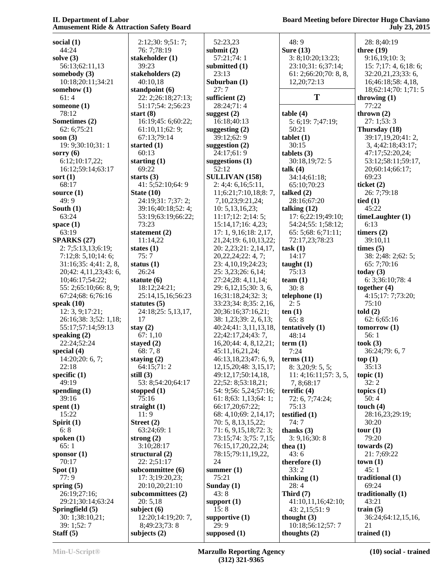| social $(1)$               | 2:12;30:9;51:7;     | 52:23,23                   | 48:9                     | 28: 8;40:19           |
|----------------------------|---------------------|----------------------------|--------------------------|-----------------------|
| 44:24                      | 76: 7;78:19         | submit $(2)$               | Sure $(13)$              | three $(19)$          |
| solve $(3)$                | stakeholder (1)     | 57:21;74:1                 | 3: 8;10:20;13:23;        | 9:16,19:10:3;         |
| 56:13;62:11,13             | 39:23               | submitted (1)              | 23:10;31: 6;37:14;       | 15: 7;17: 4, 6;18: 6; |
| somebody (3)               | stakeholders (2)    | 23:13                      | 61: 2; 66: 20; 70: 8, 8, | 32:20,21,23;33:6,     |
|                            |                     |                            |                          |                       |
| 10:18;20:11;34:21          | 40:10,18            | Suburban (1)               | 12,20;72:13              | 16;46:18;58: 4,18,    |
| somehow (1)                | standpoint $(6)$    | 27:7                       |                          | 18;62:14;70: 1;71: 5  |
| 61:4                       | 22: 2;26:18;27:13;  | sufficient $(2)$           | T                        | throwing $(1)$        |
| someone $(1)$              | 51:17;54: 2;56:23   | 28:24;71:4                 |                          | 77:22                 |
|                            |                     |                            |                          |                       |
| 78:12                      | start $(8)$         | suggest $(2)$              | table(4)                 | thrown $(2)$          |
| Sometimes (2)              | 16:19;45: 6;60:22;  | 16:18;40:13                | 5: 6; 19: 7; 47: 19;     | 27:1;53:3             |
| 62: 6;75:21                | 61:10,11;62:9;      | suggesting $(2)$           | 50:21                    | Thursday (18)         |
| soon $(3)$                 | 67:13;79:14         | 39:12;62:9                 | tablet(1)                | 39:17,19,20;41:2,     |
|                            |                     |                            | 30:15                    |                       |
| 19: 9;30:10;31: 1          | started $(1)$       | suggestion $(2)$           |                          | 3, 4;42:18;43:17;     |
| sorry $(6)$                | 60:13               | 24:17;61:9                 | tables (3)               | 47:17;52:20,24;       |
| 6:12;10:17,22;             | starting $(1)$      | suggestions (1)            | 30:18,19;72:5            | 53:12;58:11;59:17,    |
| 16:12;59:14;63:17          | 69:22               | 52:12                      | talk $(4)$               | 20;60:14;66:17;       |
| sort $(1)$                 | starts $(3)$        | <b>SULLIVAN (158)</b>      | 34:14;61:18;             | 69:23                 |
|                            |                     |                            |                          |                       |
| 68:17                      | 41: 5;52:10;64: 9   | 2: 4;4: 6,16;5:11,         | 65:10;70:23              | ticket $(2)$          |
| source $(1)$               | State $(10)$        | 11;6:21;7:10,18;8:7,       | talked $(2)$             | 26: 7;79:18           |
| 49:9                       | 24:19;31: 7;37: 2;  | 7,10,23;9:21,24;           | 28:16;67:20              | tied $(1)$            |
| South $(1)$                | 39:16;40:18;52:4;   | 10: 5, 13, 16, 23;         | talking $(12)$           | 45:22                 |
|                            |                     |                            |                          |                       |
| 63:24                      | 53:19;63:19;66:22;  | 11:17;12:2;14:5;           | 17: 6;22:19;49:10;       | timeLaughter (1)      |
| space $(1)$                | 73:23               | 15:14,17;16: 4,23;         | 54:24;55: 1;58:12;       | 6:13                  |
| 63:19                      | statement (2)       | 17: 1, 9, 16; 18: 2, 17,   | 65: 5;68: 6;71:11;       | timers $(2)$          |
| <b>SPARKS (27)</b>         | 11:14,22            | 21, 24; 19: 6, 10, 13, 22; | 72:17,23;78:23           | 39:10,11              |
|                            |                     |                            |                          |                       |
| 2: 7; 5: 13, 13; 6: 19;    | states $(1)$        | 20: 2,23;21: 2,14,17,      | task(1)                  | times $(5)$           |
| 7:12;8:5,10;14:6;          | 75:7                | 20, 22, 24; 22: 4, 7;      | 14:17                    | 38: 2;48: 2;62: 5;    |
| 31:16;35:4;41:2,8,         | status $(1)$        | 23: 4, 10, 19; 24: 23;     | taught(1)                | 65: 7;70:16           |
| 20;42: 4,11,23;43: 6,      | 26:24               | 25: 3,23;26: 6,14;         | 75:13                    | today $(3)$           |
|                            |                     |                            |                          |                       |
| 10;46:17;54:22;            | statute $(6)$       | 27:24;28: 4,11,14;         | team $(1)$               | 6: 3;36:10;78:4       |
| 55: 2;65:10;66: 8, 9;      | 18:12;24:21;        | 29: 6, 12, 15; 30: 3, 6,   | 30:8                     | together $(4)$        |
| 67:24;68: 6;76:16          | 25:14,15,16;56:23   | 16;31:18,24;32: 3;         | telphone(1)              | 4:15;17:7;73:20;      |
| speak $(10)$               | statutes $(5)$      | 33:23;34: 8;35: 2,16,      | 2:5                      | 75:10                 |
|                            |                     |                            |                          |                       |
| 12: 3, 9; 17:21;           | 24:18;25: 5,13,17,  | 20;36:16;37:16,21;         | ten(1)                   | told(2)               |
| 26:16;38: 3;52: 1,18;      | 17                  | 38: 1,23;39: 2, 6,13;      | 65:8                     | 62:6;65:16            |
| 55:17;57:14;59:13          | stay $(2)$          | 40:24;41: 3,11,13,18,      | tentatively $(1)$        | tomorrow(1)           |
| speaking $(2)$             | 67:1,10             | 22;42:17,24;43:7,          | 48:14                    | 56:1                  |
|                            |                     |                            |                          |                       |
| 22:24;52:24                | stayed $(2)$        | 16,20;44:4,8,12,21;        | term(1)                  | took(3)               |
| special $(4)$              | 68:7,8              | 45:11,16,21,24;            | 7:24                     | 36:24;79: 6, 7        |
| 14:20;20:6,7;              | staying (2)         | 46:13,18,23;47: 6, 9,      | terms $(11)$             | top(1)                |
| 22:18                      | 64:15;71:2          | 12, 15, 20; 48: 3, 15, 17; | 8: 3,20; 9: 5, 5;        | 35:13                 |
|                            |                     |                            |                          |                       |
| specific $(1)$             | still $(3)$         | 49:12,17;50:14,18,         | 11:4;16:11;57:3,5,       | topic $(1)$           |
| 49:19                      | 53: 8;54:20;64:17   | 22;52: 8;53:18,21;         | 7, 8; 68: 17             | 32:2                  |
| spending $(1)$             | stopped $(1)$       | 54: 9;56: 5,24;57:16;      | terrific $(4)$           | topics $(1)$          |
| 39:16                      | 75:16               | 61: 8; 63: 1, 13; 64: 1;   | 72: 6, 7;74:24;          | 50:4                  |
| spent $(1)$                | straight $(1)$      | 66:17,20;67:22;            | 75:13                    | touch $(4)$           |
|                            |                     |                            |                          |                       |
| 15:22                      | 11:9                | 68: 4, 10; 69: 2, 14, 17;  | testified (1)            | 28:16,23;29:19;       |
| Spirit (1)                 | Street (2)          | 70: 5, 8, 13, 15, 22;      | 74:7                     | 30:20                 |
| 6:8                        | 63:24;69:1          | 71: 6, 9, 15, 18, 72: 3;   | thanks $(3)$             | tour (1)              |
| spoken $(1)$               | strong $(2)$        | 73:15;74: 3;75: 7,15;      | 3: 9,16;30:8             | 79:20                 |
|                            |                     |                            |                          |                       |
| 65:1                       | 3:10;28:17          | 76:15,17,20,22,24;         | thea $(1)$               | towards $(2)$         |
| sponsor $(1)$              | structural $(2)$    | 78:15;79:11,19,22,         | 43:6                     | 21: 7;69:22           |
| 70:17                      | 22: 2;51:17         | 24                         | therefore (1)            | town(1)               |
| Spot(1)                    | subcommittee (6)    | summer $(1)$               | 33:2                     | 45:1                  |
| 77:9                       | 17:3;19:20,23;      | 75:21                      |                          | traditional $(1)$     |
|                            |                     |                            | thinking $(1)$           |                       |
| spring $(5)$               | 20:10,20;21:10      | Sunday $(1)$               | 28:4                     | 69:24                 |
| 26:19;27:16;               |                     |                            | Third $(7)$              | traditionally (1)     |
|                            | subcommittees $(2)$ | 43:8                       |                          |                       |
|                            |                     |                            |                          |                       |
| 29:21;30:14;63:24          | 20:5,18             | support $(1)$              | 41:10,11,16;42:10;       | 43:21                 |
| Springfield (5)            | subject $(6)$       | 15:8                       | 43: 2,15;51:9            | train $(5)$           |
| 30: 1;38:10,21;            | 12:20;14:19;20:7,   | supportive $(1)$           | thought $(3)$            | 36:24;64:12,15,16,    |
| 39: 1;52: 7<br>Staff $(5)$ | 8;49:23;73:8        | 29:9                       | 10:18;56:12;57:7         | 21<br>trained (1)     |